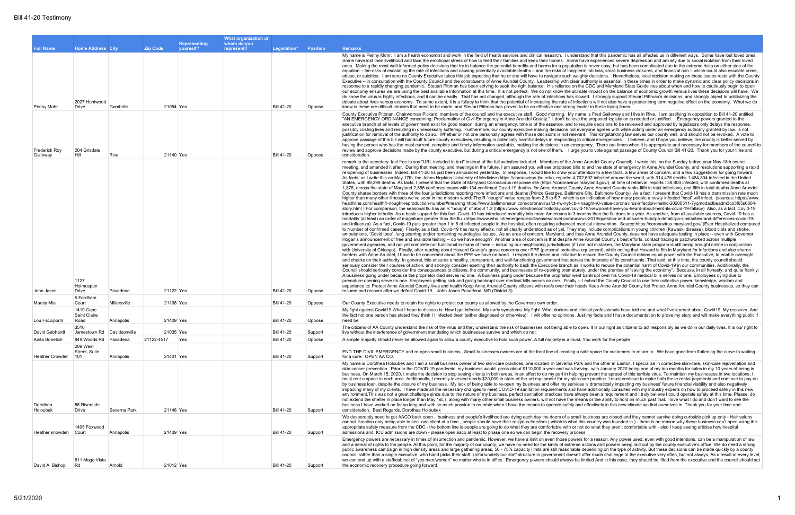and that this pandemic has all affected us in different ways. Some have lost loved ones. ave experienced severe depression and anxiety due to social isolation from their loved is never easy, but has been complicated due to the extreme risks on either side of the  $m$  iob loss, small business closures, and financial ruin – which could also escalate crime hty decisions. Nevertheless, local decision making on these issues rests with the County authority is essential in these times in order to make dynamic and clear policy decisions in e CDC and Maryland State Guidelines about when and how to cautiously begin to open ate impact on the balance of economic growth versus lives these decisions will have. We wed. I strongly support Steuart Pittman's decisions, and strongly object to politicizing the tions will not also have a greater long term negative effect on the economy. What we do der in these trying times.

ne is Fred Galloway and I live in Riva. I am testifying in opposition to Bill 41-20 entitled: he proposed legislation is needed or justified. Emergency powers granted to the equire decisions to be reviewed and approved by legislators only delays the response. eryone agrees with while acting under an emergency authority granted by law, is not nt. This longstanding law serves our county well, and should not be revoked. A vote to critical emergencies. I believe, and I hope you believe, the county is better served by jency. There are times when it is appropriate and necessary for members of the council to vou to vote against passage of County Council Bill 41-20. Thank you for your time and

Referent to Secretary to Secretary: Feeding in text included included included Council website functions of the Sunday before your May 18th council; Annual 20th council; I wrote this, on the Sunday before your May 18th cou to end the state of emergency in Anne Arundel County, and resolutions supporting a rapid tention to a few facts, a few areas of concern, and a few suggestions for going forward. 2,602 infected around the world, with 314,476 deaths 1,484,804 infected in the United haryland gov/), at time of retrieval, reports : 38,804 infected, with confirmed deaths at Anne Arundel County ranks fifth in total infections, and fifth in total deaths Anne Arundel e City, Baltimore County) As a fact, I present that Covid-19 has a transmission rate much in indication of how many people a newly infected "host" will infect. (sources: https://www. haught-r0-value-coronavirus-infection-metric-20200511-7yqmodactbeadm3co3f65s6664--19/viewpoint-have-you-heard-about-herd-its-covid-19-fallacy) Also, as a fact, Covid-19 inths than the flu does in a year. As another, from all available sources, Covid-19 has a us-2019/question-and-answers-hub/q-a-detail/q-a-similarities-and-differences-covid-19dical intervention. Source:https://coronavirus.maryland.gov/ (Ever Hospitalized compared ay include complications in young children (Kawaski disease), blood clots and stroke, Anne Arundel County, does not have adequate testing in place -- even with Governor Arundel County's best efforts, contact tracing is patchworked across multiple m not mistaken, the Maryland state program is still being brought online in conjunction equipment), while noting that Howard is 6th in Maryland for infections and also shares ensure the County Council retains equal power with the Executive, to enable oversight s the interests of its constituents. That said, at this time, the county council should works to reduce the potential harm of Covid-19 in our communities. Additionally, the ly, under the premise of "saving the economy". Because, in all honesty, and quite frankly: bankrupt over his Covid-19 medical bills serves no one. Employees dying due to I exhort the County Council to use their collective power, knowledge, wisdom and ds Keep Anne Arundel County fed Protect Anne Arundel County businesses, so they can

inical professionals have told me and what I've learned about Covid19 My recovery And st my facts and I have documentation to prove my story and will make everything public if

en. It is our right as citizens to act responsibly as we do in our daily lives. It is our right to

afe space for customers to return to. We have gone from flattening the curve to waiting

and the other in Easton. I specialize in corrective skin-care, skin-care rejuvenation and the other in Easton. I ing, with January 2020 being one of my top months for sales in my 10 years of being in prevent the spread of this terrible virus. To maintain my businesses in two locations, I are practice. I must continue to make both these rental payments and continue to pay on is dramatically impacting my business' future financial viability and also negatively ve additionally consulted with my industry experts on how to proceed safely in this new ays been a requirement and I truly believe I could operate safely at this time. Please, do ans or the ability to hold on much past that. I love what I do and don't want to see the effectively in this new climate we find ourselves in. Thank you for your time and

business are closed and they cannot survive doing curbside pick up only - Hair salons is country was founded in ) - there is no reason why these business can't open using the t do what they aren't comfortable with - also I keep seeing articles how hospital

for a reason. Any power used, even with good intentions, can be a manipulation of law actions and powers being laid out by the county executive's office. We do need a strong depending on the type of activity. But these decisions can be made quickly by a county offer much challenge to the executive very often, but not always. As a result at every level, imited And in this case, they should be lifted from the executive and the council should set

|                                                |                                      |                           |                        |                           | What organization or      |                                        |                    |                                                                                                                                                                                                                                                                                                                                                                                                                                                                                                                                                                                                                                                                                                                                                                                                                                                                                                                                                                                                                                                                                                                                                                                                                                                                                                                                                                                                                                                                                                                                                                                                                                                                                                                                                                                                                                                                                                                                                                                                                                                                                                                                                                                                                                                                                                                                                                                                                                                                                                                                                                                                                                                                                                                                                                                                                                                                                                                                                                                                                                                                                                                                                                                                                                                                                                                                                                                                                                                                                                                                                                                                                                                                                                                                                                                                                                                                                                                                                                |
|------------------------------------------------|--------------------------------------|---------------------------|------------------------|---------------------------|---------------------------|----------------------------------------|--------------------|----------------------------------------------------------------------------------------------------------------------------------------------------------------------------------------------------------------------------------------------------------------------------------------------------------------------------------------------------------------------------------------------------------------------------------------------------------------------------------------------------------------------------------------------------------------------------------------------------------------------------------------------------------------------------------------------------------------------------------------------------------------------------------------------------------------------------------------------------------------------------------------------------------------------------------------------------------------------------------------------------------------------------------------------------------------------------------------------------------------------------------------------------------------------------------------------------------------------------------------------------------------------------------------------------------------------------------------------------------------------------------------------------------------------------------------------------------------------------------------------------------------------------------------------------------------------------------------------------------------------------------------------------------------------------------------------------------------------------------------------------------------------------------------------------------------------------------------------------------------------------------------------------------------------------------------------------------------------------------------------------------------------------------------------------------------------------------------------------------------------------------------------------------------------------------------------------------------------------------------------------------------------------------------------------------------------------------------------------------------------------------------------------------------------------------------------------------------------------------------------------------------------------------------------------------------------------------------------------------------------------------------------------------------------------------------------------------------------------------------------------------------------------------------------------------------------------------------------------------------------------------------------------------------------------------------------------------------------------------------------------------------------------------------------------------------------------------------------------------------------------------------------------------------------------------------------------------------------------------------------------------------------------------------------------------------------------------------------------------------------------------------------------------------------------------------------------------------------------------------------------------------------------------------------------------------------------------------------------------------------------------------------------------------------------------------------------------------------------------------------------------------------------------------------------------------------------------------------------------------------------------------------------------------------------------------------------------------|
| <b>Full Name</b>                               | <b>Home Address City</b>             |                           | <b>Zip Code</b>        | Representing<br>vourself? | whom do you<br>represent? | Legislation*                           | <b>Position</b>    | <b>Remarks</b>                                                                                                                                                                                                                                                                                                                                                                                                                                                                                                                                                                                                                                                                                                                                                                                                                                                                                                                                                                                                                                                                                                                                                                                                                                                                                                                                                                                                                                                                                                                                                                                                                                                                                                                                                                                                                                                                                                                                                                                                                                                                                                                                                                                                                                                                                                                                                                                                                                                                                                                                                                                                                                                                                                                                                                                                                                                                                                                                                                                                                                                                                                                                                                                                                                                                                                                                                                                                                                                                                                                                                                                                                                                                                                                                                                                                                                                                                                                                                 |
| Penny Mohr                                     | 2027 Huntwood<br>Drive               | Gambrills                 | 21054 Yes              |                           |                           | <b>Bill 41-20</b>                      | Oppose             | My name is Penny Mohr. I am a health economist and work in the field of health services and clinical research. I understand that this pandemic hard<br>Some have lost their livelihood and face the emotional stress of how to feed their families and keep their homes. Some have experienced severe<br>ones. Making the most well-informed policy decisions that try to balance the potential benefits and harms for a population is never easy, but has b<br>equation – the risks of escalating the rate of infections and causing potentially avoidable deaths – and the risks of long-term job loss, small busines<br>abuse, or suicides. I am sure no County Executive takes this job expecting that he or she will have to navigate such weighty decisions. Neverthe<br>Executive – in consultation with the County Council and the constituents of Anne Arundel County. Leadership with clear authority is essential in th<br>response to a rapidly changing pandemic. Steuart Pittman has been striving to seek the right balance. His reliance on the CDC and Maryland Sta<br>our economy ensures we are using the best available information at this time. It is not perfect. We do not know the ultimate impact on the balance<br>do know the virus is highly infectious, and it can be deadly. That has not changed, although the rate of infections has slowed. I strongly support S<br>debate about lives versus economy. To some extent, it is a fallacy to think that the potential of increasing the rate of infections will not also have a<br>know is these are difficult choices that need to be made, and Steuart Pittman has proven to be an effective and strong leader in these trying times.                                                                                                                                                                                                                                                                                                                                                                                                                                                                                                                                                                                                                                                                                                                                                                                                                                                                                                                                                                                                                                                                                                                                                                                                                                                                                                                                                                                                                                                                                                                                                                                                                                                                                                                                                                                                                                                                                                                                                                                                                                                                                                                                                                                                                                         |
| <b>Frederick Roy</b><br>Galloway               | 204 Grisdale<br>Hill                 | Riva                      | 21140 Yes              |                           |                           | <b>Bill 41-20</b>                      | Oppose             | County Executive Pittman, Chairwoman Pickard, members of the council and the executive staff. Good morning. My name is Fred Galloway and<br>"AN EMERGENCY ORDINANCE concerning: Proclamation of Civil Emergency in Anne Arundel County." I don't believe the proposed legislation is<br>executive branch at all levels of government exist for good reason; during an emergency, time is of the essence, and to require decisions to be rev<br>possibly costing lives and resulting in unnecessary suffering. Furthermore, our county executive making decisions not everyone agrees with while<br>justification for removal of the authority to do so. Whether or not one personally agrees with those decisions is not relevant. This longstanding law<br>approve passage of this bill will handcuff future county executives, resulting in potentially harmful delays in responding to critical emergencies. I<br>having the person who has the most current, complete and timely information available, making the decisions in an emergency. There are times w<br>review and approve decisions made by the county executive, but during a critical emergency is not one of them. I urge you to vote against passa<br>consideration.                                                                                                                                                                                                                                                                                                                                                                                                                                                                                                                                                                                                                                                                                                                                                                                                                                                                                                                                                                                                                                                                                                                                                                                                                                                                                                                                                                                                                                                                                                                                                                                                                                                                                                                                                                                                                                                                                                                                                                                                                                                                                                                                                                                                                                                                                                                                                                                                                                                                                                                                                                                                                                                                                                                       |
|                                                | 1127<br>Holmespun                    |                           |                        |                           |                           |                                        |                    | remark to the secretary: feel free to say "URL included in text" instead of the full websites included. Members of the Anne Arundel County Council<br>meeting, and amended it after. During that meeting, and meetings in the future, I am assured you will see proposed bills to end the state of emerg<br>re-opening of businesses, Indeed, Bill 41-20 hs just been announced vesterday. In response, I would like to draw your attention to a few facts, a fe<br>As facts, as I write this on May 17th, the Johns Hopkins University of Medicine (https://coronavirus.jhu.edu), reports: 4,702,602 infected around the<br>States, with 89,399 deaths As facts, I present that the State of Maryland Coronavirus response site (https://coronavirus.maryland.gov/), at time of<br>1,876, across the state of Maryland 2,856 confirmed cases with 134 confirmed Covid-19 deaths, for Anne Arundel County Anne Arundel County ra<br>County shares borders with three of the four jurisdictions reporting more infections and deaths (Prince Georges, Baltimore City, Baltimore County)<br>higher than many other illnesses we've seen in the modern world: The R "nought" value ranges from 2.5 to 5.7, which is an indication of how many<br>healthline.com/health/r-nought-reproduction-number#meaning https://www.baltimoresun.com/coronavirus/ct-nw-nyt-cb-r-naught-r0-value-coronavir<br>story.html) For comparison, the seasonal flu has an R "nought" of about 1.3 (https://www.infectioncontroltoday.com/covid-19/viewpoint-have-you-h<br>introduces higher lethality. As a basic support for this fact, Covid-19 has introduced mortality into more Americans in 3 months than the flu does in<br>mortality (at least) an order of magnitude greater than the flu. (https://www.who.int/emergencies/diseases/novel-coronavirus-2019/question-and-an<br>and-influenza) As a fact, Covid-19 puts greater than 1 in 6 of infected people in the hospital, often requiring advanced medical intervention. Source<br>to Number of confirmed cases) Finally, as a fact, Covid-19 has many effects, not all clearly understood as of yet. They may include complications<br>amputations, "Covid toes", lung scarring and/or remaining neurological issues. As an area of concern, Maryland, and thus Anne Arundel County, c<br>Hogan's announcement of free and available testing -- do we have enough? Another area of concern is that despite Anne Arundel County's best e<br>government agencies, and not yet complete nor functional in many of them -- including our neighboring jurisdictions (if I am not mistaken, the Mary<br>with University of Chicago). Finally, after reading about Howard County's grave concerns over PPE (personal protective equipment), while noting to<br>borders with Anne Arundel, I have to be concerned about the PPE we have on-hand. I respect the desire and initiative to ensure the County Coun<br>and checks on their authority. In general, this ensures a healthy, transparent, and well-functioning government that serves the interests of its const<br>seriously consider their courses of action, and strongly consider exerting their authority to back the Executive branch as it works to reduce the pote<br>Council should seriously consider the consequences to citizens, the community, and businesses of re-opening prematurely, under the premise of "<br>A business going under because the proprietor died serves no one. A business going under because the proprietor went bankrupt over his Covid-<br>premature opening serve no one. Employees getting sick and going bankrupt over medical bills serves no one. Finally -- I exhort the County Coun<br>experience to: Protect Anne Arundel County lives and health Keep Anne Arundel County citizens with roofs over their heads Keep Anne Arundel C<br>resume and recover after we defeat Covid-19. John Jasen Pasadena, MD (District 3) |
| John Jasen                                     | Drive<br>6 Fordham                   | Pasadena                  | 21122 Yes              |                           |                           | <b>Bill 41-20</b>                      | Oppose             |                                                                                                                                                                                                                                                                                                                                                                                                                                                                                                                                                                                                                                                                                                                                                                                                                                                                                                                                                                                                                                                                                                                                                                                                                                                                                                                                                                                                                                                                                                                                                                                                                                                                                                                                                                                                                                                                                                                                                                                                                                                                                                                                                                                                                                                                                                                                                                                                                                                                                                                                                                                                                                                                                                                                                                                                                                                                                                                                                                                                                                                                                                                                                                                                                                                                                                                                                                                                                                                                                                                                                                                                                                                                                                                                                                                                                                                                                                                                                                |
| Marcia Mia                                     | Court<br>1419 Cape                   | Millersville              | 21108 Yes              |                           |                           | <b>Bill 41-20</b>                      | Oppose             | Our County Executive needs to retain his rights to protect our county as allowed by the Governors own order.<br>My fight against Covid19 What I hope to discuss is: How I got infected My early symptoms My fight What doctors and clinical professionals have                                                                                                                                                                                                                                                                                                                                                                                                                                                                                                                                                                                                                                                                                                                                                                                                                                                                                                                                                                                                                                                                                                                                                                                                                                                                                                                                                                                                                                                                                                                                                                                                                                                                                                                                                                                                                                                                                                                                                                                                                                                                                                                                                                                                                                                                                                                                                                                                                                                                                                                                                                                                                                                                                                                                                                                                                                                                                                                                                                                                                                                                                                                                                                                                                                                                                                                                                                                                                                                                                                                                                                                                                                                                                                 |
|                                                | Saint Claire                         |                           |                        |                           |                           |                                        |                    | the fact not one person has stated they think I I infected them (either diagnosed or otherwise)! I will offer no opinions. Just my facts and I have do                                                                                                                                                                                                                                                                                                                                                                                                                                                                                                                                                                                                                                                                                                                                                                                                                                                                                                                                                                                                                                                                                                                                                                                                                                                                                                                                                                                                                                                                                                                                                                                                                                                                                                                                                                                                                                                                                                                                                                                                                                                                                                                                                                                                                                                                                                                                                                                                                                                                                                                                                                                                                                                                                                                                                                                                                                                                                                                                                                                                                                                                                                                                                                                                                                                                                                                                                                                                                                                                                                                                                                                                                                                                                                                                                                                                         |
| Lou Facciponti                                 | Road                                 | Annapolis                 | 21409 Yes              |                           |                           | <b>Bill 41-20</b>                      | Oppose             | need be                                                                                                                                                                                                                                                                                                                                                                                                                                                                                                                                                                                                                                                                                                                                                                                                                                                                                                                                                                                                                                                                                                                                                                                                                                                                                                                                                                                                                                                                                                                                                                                                                                                                                                                                                                                                                                                                                                                                                                                                                                                                                                                                                                                                                                                                                                                                                                                                                                                                                                                                                                                                                                                                                                                                                                                                                                                                                                                                                                                                                                                                                                                                                                                                                                                                                                                                                                                                                                                                                                                                                                                                                                                                                                                                                                                                                                                                                                                                                        |
| David Gebhardt                                 | 3516<br>Jamestown Rd   Davidsonville |                           | 21035 Yes              |                           |                           | <b>Bill 41-20</b>                      | Support            | The citizens of AA County understand the risk of the virus and they understand the risk of businesses not being able to open. It is our right as citize<br>live without the interference of government mandating which businesses survive and which do not.                                                                                                                                                                                                                                                                                                                                                                                                                                                                                                                                                                                                                                                                                                                                                                                                                                                                                                                                                                                                                                                                                                                                                                                                                                                                                                                                                                                                                                                                                                                                                                                                                                                                                                                                                                                                                                                                                                                                                                                                                                                                                                                                                                                                                                                                                                                                                                                                                                                                                                                                                                                                                                                                                                                                                                                                                                                                                                                                                                                                                                                                                                                                                                                                                                                                                                                                                                                                                                                                                                                                                                                                                                                                                                    |
| Anita Bobetich                                 | 849 Woods Rd Pasadena                |                           | 21122-4517             | Yes                       |                           | <b>Bill 41-20</b>                      | Oppose             | A simple majority should never be allowed again to allow a county executive to hold such power. A full majority is a must. You work for the people                                                                                                                                                                                                                                                                                                                                                                                                                                                                                                                                                                                                                                                                                                                                                                                                                                                                                                                                                                                                                                                                                                                                                                                                                                                                                                                                                                                                                                                                                                                                                                                                                                                                                                                                                                                                                                                                                                                                                                                                                                                                                                                                                                                                                                                                                                                                                                                                                                                                                                                                                                                                                                                                                                                                                                                                                                                                                                                                                                                                                                                                                                                                                                                                                                                                                                                                                                                                                                                                                                                                                                                                                                                                                                                                                                                                             |
|                                                | 209 West<br>Street, Suite            |                           |                        |                           |                           |                                        |                    | END THE CIVIL EMERGENCY and re-open small business. Small businesses owners are at the front line of creating a safe space for customers                                                                                                                                                                                                                                                                                                                                                                                                                                                                                                                                                                                                                                                                                                                                                                                                                                                                                                                                                                                                                                                                                                                                                                                                                                                                                                                                                                                                                                                                                                                                                                                                                                                                                                                                                                                                                                                                                                                                                                                                                                                                                                                                                                                                                                                                                                                                                                                                                                                                                                                                                                                                                                                                                                                                                                                                                                                                                                                                                                                                                                                                                                                                                                                                                                                                                                                                                                                                                                                                                                                                                                                                                                                                                                                                                                                                                       |
| <b>Heather Crowder</b><br>Dorothea<br>Holoubek | 101<br>56 Riverside<br>Drive         | Annapolis<br>Severna Park | 21401 Yes<br>21146 Yes |                           |                           | <b>Bill 41-20</b><br><b>Bill 41-20</b> | Support<br>Support | for a cure. OPEN AA CO.<br>My name is Dorothea Holoubek and I am a small business owner of two skin-care practices, one located in Severna Park and the other in Easton.<br>skin cancer prevention. Prior to the COVID-19 pandemic, my business would gross about \$110,000 a year and was thriving, with January 2020 b<br>business. On March 15, 2020, I made the decision to stop seeing clients in both areas, in an effort to do my part in helping prevent the spread of the<br>must rent a space in each area. Additionally, I recently invested nearly \$20,000 in state-of-the-art equipment for my skin-care practice. I must conti<br>by business loan, despite the closure of my business. My lack of being able to re-open my business and offer my services is dramatically impactin<br>impacting many of my clients. I have made all the necessary changes to meet COVID-19 sanitation requirements and have additionally consulted<br>environment. This was not a great challenge since due to the nature of my business, perfect sanitation practices have always been a requirement a<br>not extend the shelter in place longer than May 1st, I, along with many other small business owners, will not have the means or the ability to hold or<br>business I have worked on for so long and with so much passion to crumble when I have the means to operate safely and effectively in this new cli<br>consideration. Best Regards, Dorothea Holoubek                                                                                                                                                                                                                                                                                                                                                                                                                                                                                                                                                                                                                                                                                                                                                                                                                                                                                                                                                                                                                                                                                                                                                                                                                                                                                                                                                                                                                                                                                                                                                                                                                                                                                                                                                                                                                                                                                                                                                                                                                                                                                                                                                                                                                                                                                                                                                                                                                                                                                       |
| Heather snowden                                | 1405 Foxwood<br>Court                | Annapolis                 | 21409 Yes              |                           |                           | <b>Bill 41-20</b>                      | Support            | We desperately need to get AACO back open, business and people's livelihood are dying each day the doors of a small business are closed and<br>cannot function only being able to see one client at a time, people should have their religious freedom (which is what this country was founded in<br>appropriate safety measure from the CDC - the bottom line is people are going to do what they are comfortable with or not do what they aren't com-<br>admissions and ICU admissions are down - please open aaco at least to phase one so we can begin the recovery process                                                                                                                                                                                                                                                                                                                                                                                                                                                                                                                                                                                                                                                                                                                                                                                                                                                                                                                                                                                                                                                                                                                                                                                                                                                                                                                                                                                                                                                                                                                                                                                                                                                                                                                                                                                                                                                                                                                                                                                                                                                                                                                                                                                                                                                                                                                                                                                                                                                                                                                                                                                                                                                                                                                                                                                                                                                                                                                                                                                                                                                                                                                                                                                                                                                                                                                                                                                |
| David A. Bishop                                | 811 Mago Vista<br>Rd                 | Arnold                    | 21012 Yes              |                           |                           | <b>Bill 41-20</b>                      | Support            | Emergency powers are necessary in times of insurrection and pandemic. However, we have a limit on even those powers for a reason. Any power<br>and a denial of rights to the people. At this point, for the majority of our county, we have no need for the kinds of extreme actions and powers being<br>public awareness campaign in high density areas and large gathering areas. 50 - 75% capacity limits are still reasonable depending on the type of<br>council, rather than a single executive, who hand picks their staff. Unfortunately our staff structure in government doesn't offer much challenge to ti<br>we can end up with a staff/cabinet of "yes men/women" no matter who is in office. Emergency powers should always be limited And in this case, the<br>the economic recovery procedure going forward.                                                                                                                                                                                                                                                                                                                                                                                                                                                                                                                                                                                                                                                                                                                                                                                                                                                                                                                                                                                                                                                                                                                                                                                                                                                                                                                                                                                                                                                                                                                                                                                                                                                                                                                                                                                                                                                                                                                                                                                                                                                                                                                                                                                                                                                                                                                                                                                                                                                                                                                                                                                                                                                                                                                                                                                                                                                                                                                                                                                                                                                                                                                                   |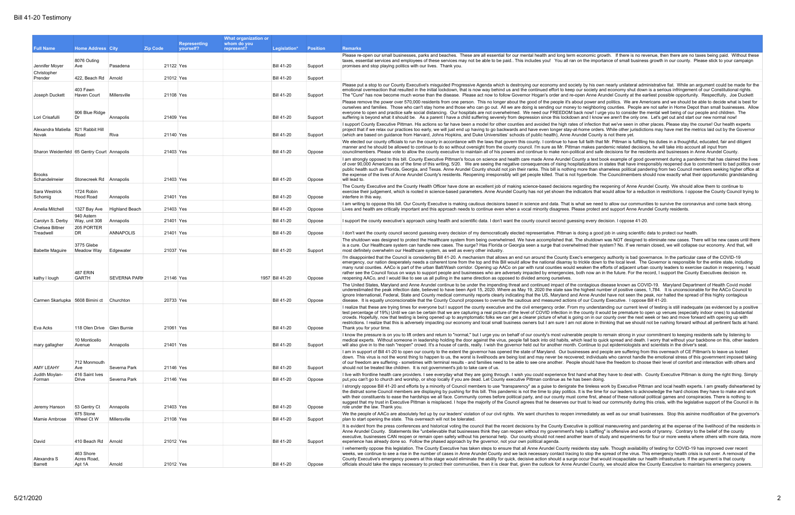by his own nearly unilateral administrative fiat. While an argument could be made for the society and economy shut down is a serious infringement of our Constitutional rights.  $n$  Anne Arundel County at the earliest possible opportunity. Respectfully, Joe Duckett

ty a text book example of good government during a pandemic that has claimed the lives lizations in states that have irresponsibly reopened due to commitment to bad politics over re than shameless political pandering from two Council members seeking higher office at perbole. The Councilmembers should now exactly what their opportunistic grandstanding

ng a good job in using scientific data to protect our health. shutdown was NOT designed to eliminate new cases. There will be new cases until there ed their system? No. If we remain closed, we will collapse our economy. And that, will

emergency authority is bad governance. In the particular case of the COVID-19 kle down to the local level. The Governor is responsible for the entire state, including ken the efforts of adjacent urban county leaders to exercise caution in reopening. I would now an in the future. For the record, I support the County Executives decision re.

tireless work by Executive Pittman and local health experts. I am greatly disheartened by the time for our leaders to acknowledge the hard choices they have to make and work ne first, ahead of these national political games and conspiracies. There is nothing to st to lead our community during this crisis, with the legislative support of the Council in its

ediately as well as our small businesses. Stop this asinine modification of the governor's

is political maneuvering and pandering at the expense of the livelihood of the residents in is baffling" is offensive and words of tyranny. Contrary to the belief of the county team of study and experiments for four or more weeks where others with more data, more

|                                             |                             |                       |                 |                                  | What organization or      |                   |                 |                                                                                                                                                                                                                                                                                                                                                                                                                                                                                                                                                                                                                                                                                                                                                                                                                                                                                                                                                                                                                                |
|---------------------------------------------|-----------------------------|-----------------------|-----------------|----------------------------------|---------------------------|-------------------|-----------------|--------------------------------------------------------------------------------------------------------------------------------------------------------------------------------------------------------------------------------------------------------------------------------------------------------------------------------------------------------------------------------------------------------------------------------------------------------------------------------------------------------------------------------------------------------------------------------------------------------------------------------------------------------------------------------------------------------------------------------------------------------------------------------------------------------------------------------------------------------------------------------------------------------------------------------------------------------------------------------------------------------------------------------|
| <b>Full Name</b>                            | <b>Home Address City</b>    |                       | <b>Zip Code</b> | <b>Representing</b><br>yourself? | whom do you<br>represent? | Legislation*      | <b>Position</b> | <b>Remarks</b>                                                                                                                                                                                                                                                                                                                                                                                                                                                                                                                                                                                                                                                                                                                                                                                                                                                                                                                                                                                                                 |
|                                             |                             |                       |                 |                                  |                           |                   |                 | Please re-open our small businesses, parks and beaches. These are all essential for our mental health and long term economic growth. If there is no revenue, then there are no taxes being paid. Without th                                                                                                                                                                                                                                                                                                                                                                                                                                                                                                                                                                                                                                                                                                                                                                                                                    |
| Jennifer Moyer                              | 8076 Outing<br>Ave          | Pasadena              |                 | 21122 Yes                        |                           | <b>Bill 41-20</b> | Support         | taxes, essential services and employees of these services may not be able to be paid This includes you! You all ran on the importance of small business growth in our county. Please stick to your campaig<br>promises and stop playing politics with our lives. Thank you.                                                                                                                                                                                                                                                                                                                                                                                                                                                                                                                                                                                                                                                                                                                                                    |
| Christopher<br>Prender                      | 422, Beach Rd Arnold        |                       |                 | 21012 Yes                        |                           | <b>Bill 41-20</b> | Support         |                                                                                                                                                                                                                                                                                                                                                                                                                                                                                                                                                                                                                                                                                                                                                                                                                                                                                                                                                                                                                                |
| Joseph Duckett                              | 403 Fawn<br>Haven Court     | Millersville          |                 | 21108 Yes                        |                           | <b>Bill 41-20</b> | Support         | Please put a stop to our County Executive's misquided Progressive Agenda which is destroying our economy and society by his own nearly unilateral administrative fiat. While an argument could be made for<br>emotional overreaction that resulted in the initial lockdown, that is now way behind us and the continued effort to keep our society and economy shut down is a serious infringement of our Constitutional rights.<br>The "Cure" has now become much worse than the disease. Please act now to follow Governor Hogan's order and re-open Anne Arundel County at the earliest possible opportunity. Respectfully, Joe Ducke                                                                                                                                                                                                                                                                                                                                                                                       |
| Lori Crisafulli                             | 906 Blue Ridge<br>Dr        | Annapolis             |                 | 21409 Yes                        |                           | <b>Bill 41-20</b> | Support         | Please remove the power over 570,000 residents from one person. This no longer about the good of the people it's about power and politics. We are Americans and we should be able to decide what is best<br>ourselves and families. Those who can't stay home and those who can go out. All we are doing is sending our money to neighboring counties. People are not safer in Home Depot than small businesses. A<br>everyone to open and practice safe social distancing. Our hospitals are not overwhelmed. We need our FREEDOM back now! I urge you to consider the mental well being of our people and children. The<br>suffering is beyond what it should be. As a parent I have a child suffering severely from depression since this lockdown and I know we aren't the only one. Let's get out and start our new normal now!                                                                                                                                                                                           |
| Alexandra Matiella<br>Novak                 | 521 Rabbit Hill<br>Road     | Riva                  |                 | 21140 Yes                        |                           | <b>Bill 41-20</b> | Support         | I support County Executive Pittman. His actions so far have been a model for other counties and avoided the high rates of infection that we've seen in other places. Please stay the course! Our health experts<br>project that if we relax our practices too early, we will just end up having to go backwards and have even longer stay-at-home orders. While other jurisdictions may have met the metrics laid out by the Govern<br>(which are based on guidance from Harvard, Johns Hopkins, and Duke Universities' schools of public health), Anne Arundel County is not there yet.                                                                                                                                                                                                                                                                                                                                                                                                                                       |
| Sharon Weidenfeld 65 Gentry Court Annapolis |                             |                       |                 | 21403 Yes                        |                           | <b>Bill 41-20</b> | Oppose          | We elected our county officials to run the county in accordance with the laws that govern this county. I continue to have full faith that Mr. Pittman is fulfilling his duties in a thoughtful, educated, fair and diligent<br>manner and he should be allowed to continue to do so without oversight from the county council. I'm sure as Mr. Pittman makes pandemic related decisions, he will take into account all input from<br>councilmembers. Please vote to allow the county executive to maintain all of his powers and continue to make non-political and safe decisions for the residents and businesses in Anne Arundel County.                                                                                                                                                                                                                                                                                                                                                                                    |
| <b>Brooks</b><br>Schandelmeier              | Stonecreek Rd Annapolis     |                       |                 | 21403 Yes                        |                           | <b>Bill 41-20</b> | Oppose          | I am strongly opposed to this bill. County Executive Pittman's focus on science and health care made Anne Arundel County a text book example of good government during a pandemic that has claimed the li<br>of over 90,000 Americans as of the time of this writing, 5/20. We are seeing the negative consequences of rising hospitalizations in states that have irresponsibly reopened due to commitment to bad politics<br>public health such as Florida, Georgia, and Texas. Anne Arundel County should not join their ranks. This bill is nothing more than shameless political pandering from two Council members seeking higher offic<br>the expense of the lives of Anne Arundel County's residents. Reopening irresponsibly will get people killed. That is not hyperbole. The Councilmembers should now exactly what their opportunistic grandstand<br>will lead to.                                                                                                                                                |
| Sara Westrick<br>Schomig                    | 1724 Robin<br>Hood Road     | Annapolis             |                 | 21401 Yes                        |                           | <b>Bill 41-20</b> | Oppose          | The County Executive and the County Health Officer have done an excellent job of making science-based decisions regarding the reopening of Anne Arundel County. We should allow them to continue to<br>exercise their judgement, which is rooted in science-based parameters. Anne Arundel County has not yet shown the indicators that would allow for a reduction in restrictions. I oppose the County Council tryin<br>interfere in this way.                                                                                                                                                                                                                                                                                                                                                                                                                                                                                                                                                                               |
| Amelia Mitchell                             | 1327 Bay Ave                | <b>Highland Beach</b> |                 | 21403 Yes                        |                           | <b>Bill 41-20</b> | Oppose          | I am writing to oppose this bill. Our County Executive is making cautious decisions based in science and data. That is what we need to allow our communities to survive the coronavirus and come back strong<br>Lives and health are critically important and this approach needs to continue even when a vocal minority disagrees. Please protect and support Anne Arundel County residents.                                                                                                                                                                                                                                                                                                                                                                                                                                                                                                                                                                                                                                  |
| Carolyn S. Derby                            | 940 Astern<br>Way, unit 308 | Annapolis             |                 | 21401 Yes                        |                           | <b>Bill 41-20</b> | Oppose          | I support the county executive's approach using health and scientific data. I don't want the county council second guessing every decision. I oppose 41-20.                                                                                                                                                                                                                                                                                                                                                                                                                                                                                                                                                                                                                                                                                                                                                                                                                                                                    |
| Chelsea Bittner<br>Treadwell                | 205 PORTER<br>DR.           | <b>ANNAPOLIS</b>      |                 | 21401 Yes                        |                           | <b>Bill 41-20</b> | Oppose          | I don't want the county council second guessing every decision of my democratically elected representative. Pittman is doing a good job in using scientific data to protect our health                                                                                                                                                                                                                                                                                                                                                                                                                                                                                                                                                                                                                                                                                                                                                                                                                                         |
| <b>Babette Maguire</b>                      | 3775 Glebe<br>Meadow Way    | Edgewater             |                 | 21037 Yes                        |                           | <b>Bill 41-20</b> | Support         | The shutdown was designed to protect the Healthcare system from being overwhelmed. We have accomplished that. The shutdown was NOT designed to eliminate new cases. There will be new cases until t<br>is a cure. Our Healthcare system can handle new cases. The surge? Has Florida or Georgia seen a surge that overwhelmed their system? No. If we remain closed, we will collapse our economy. And that, wil<br>most definitely overwhelm our Healthcare system, as well as every other industry.                                                                                                                                                                                                                                                                                                                                                                                                                                                                                                                          |
| kathy I lough                               | 487 ERIN<br><b>GARTH</b>    | <b>SEVERNA PARK</b>   |                 | 21146 Yes                        |                           | 1957 Bill 41-20   | Oppose          | I'm disappointed that the Council is considering Bill 41-20. A mechanism that allows an end run around the County Exec's emergency authority is bad governance. In the particular case of the COVID-19<br>emergency, our nation desperately needs a coherent tone from the top and this Bill would allow the national disarray to trickle down to the local level. The Governor is responsible for the entire state, including<br>many rural counties. AACo is part of the urban Balt/Wash corridor. Opening up AACo on par with rural counties would weaken the efforts of adjacent urban county leaders to exercise caution in reopening. I w<br>rather see the Council focus on ways to support people and businesses who are adversely impacted by emergencies, both now an in the future. For the record, I support the County Executives decision re.<br>reopening AACo, and I would like to see us all pulling in the same direction as opposed to divided among ourselves.                                             |
| Carmen Skarlupka 5608 Bimini ct             |                             | Churchton             |                 | 20733 Yes                        |                           | <b>Bill 41-20</b> | Oppose          | The United States, Maryland and Anne Arundel continue to be under the impending threat and continued impact of the contagious disease known as COVID-19. Maryland Department of Health Covid model<br>underestimated the peak infection date, believed to have been April 15, 2020. Where as May 19, 2020 the state saw the highest number of positive cases, 1,784. It is unconscionable for the AACo Council to<br>ignore International, Federal, State and County medical community reports clearly indicating that the US, Maryland and Anne Arundel have not seen the peak, nor halted the spread of this highly contagious<br>disease. It is equally unconscionable that the County Council proposes to overrule the cautious and measured actions of our County Executive. I oppose Bill 41-20.                                                                                                                                                                                                                         |
| Eva Acks                                    | 118 Olen Drive Glen Burnie  |                       |                 | 21061 Yes                        |                           | Bill 41-20        | Oppose          | I realize that these are trying times for everyone but I support the county executive and the civil emergency order. From my understanding our current level of testing is still inadequate (as evidenced by a posi<br>test percentage of 19%) Until we can be certain that we are capturing a real picture of the level of COVID infection in the county it would be premature to open up venues (especially indoor ones) to substantial<br>crowds. Hopefully, now that testing is being opened up to asymptomatic folks we can get a clearer picture of what is going on in our county over the next week or two and move forward with opening up with<br>restrictions. I realize that this is adversely impacting our economy and local small business owners but I am sure I am not alone in thinking that we should not be rushing forward without all pertinent facts at ha<br>Thank you for your time.                                                                                                                  |
|                                             | 10 Monticello               |                       |                 |                                  |                           |                   |                 | I know the pressure is on you to lift orders and return to "normal," but I urge you on behalf of our county's most vulnerable people to remain strong in your commitment to keeping residents safe by listening to<br>medical experts. Without someone in leadership holding the door against the virus, people fall back into old habits, which lead to quick spread and death. I worry that without your backbone on this, other lead                                                                                                                                                                                                                                                                                                                                                                                                                                                                                                                                                                                        |
| mary gallagher                              | Avenue<br>712 Monmouth      | Annapolis             |                 | 21401 Yes                        |                           | <b>Bill 41-20</b> | Support         | will also give in to the rash "reopen" crowd. It's a house of cards, really. I wish the governor held out for another month. Continue to put epidemiologists and scientists in the driver's seat.<br>I am in support of Bill 41-20 to open our county to the extent the governor has opened the state of Maryland. Our businesses and people are suffering from this overreach of CE Pittman's to leave us locked<br>down. This virus is not the worst thing to happen to us, the worst is livelihoods are being lost and may never be recovered; individuals who cannot handle the emotional stress of this government imposed taki<br>of our freedom are suffering - sometimes with terminal results - and families need to be able to see one another. People should have the freedom to choose their level of comfort and interaction with others are                                                                                                                                                                      |
| <b>AMY LEAHY</b><br>Judith Moylan-          | Ave<br>416 Saint Ives       | Severna Park          |                 | 21146 Yes                        |                           | <b>Bill 41-20</b> | Support         | should not be treated like children. It is not government's job to take care of us.<br>I live with frontline health care providers. I see everyday what they are going through. I wish you could experience first hand what they have to deal with. County Executive Pittman is doing the right thing. Sim                                                                                                                                                                                                                                                                                                                                                                                                                                                                                                                                                                                                                                                                                                                     |
| Forman                                      | Drive                       | Severna Park          |                 | 21146 Yes                        |                           | <b>Bill 41-20</b> | Oppose          | put, you can't go to church and worship, or shop locally if you are dead. Let County executive Pittman continue as he has been doing.<br>I strongly oppose Bill 41-20 and efforts by a minority of Council members to use "transparency" as a guise to denigrate the tireless work by Executive Pittman and local health experts. I am greatly disheartene<br>the distrust some Council members are displaying by pushing for this bill. This pandemic is not the time to play politics. It is the time for our leaders to acknowledge the hard choices they have to make and wo<br>with their constituents to ease the hardships we all face. Community comes before political party, and our county must come first, ahead of these national political games and conspiracies. There is nothing to<br>suggest that my trust in Executive Pittman is misplaced. I hope the majority of the Council agrees that he deserves our trust to lead our community during this crisis, with the legislative support of the Council in |
| Jeremy Hanson                               | 53 Gentry Ct                | Annapolis             |                 | 21403 Yes                        |                           | <b>Bill 41-20</b> | Oppose          | role under the law. Thank you.                                                                                                                                                                                                                                                                                                                                                                                                                                                                                                                                                                                                                                                                                                                                                                                                                                                                                                                                                                                                 |
| Mamie Ambrose                               | 675 Stone<br>Wheel Ct W     | Millersville          |                 | 21108 Yes                        |                           | <b>Bill 41-20</b> | Support         | We the people of AACo are absolutely fed up by our leaders' violation of our civil rights. We want churches to reopen immediately as well as our small businesses. Stop this asinine modification of the govern<br>plan to start opening the state. This overreach will not be tolerated.                                                                                                                                                                                                                                                                                                                                                                                                                                                                                                                                                                                                                                                                                                                                      |
| David                                       | 410 Beach Rd Arnold         |                       |                 | 21012 Yes                        |                           | <b>Bill 41-20</b> | Support         | It is evident from the press conferences and historical voting the council that the recent decisions by the County Executive is political maneuvering and pandering at the expense of the livelihood of the resider<br>Anne Arundel County. Statements like "unbelievable that businesses think they can reopen without my government's help is baffling" is offensive and words of tyranny. Contrary to the belief of the county<br>executive, businesses CAN reopen or remain open safely without his personal help. Our county should not need another team of study and experiments for four or more weeks where others with more data, i<br>experience has already done so. Follow the phased approach by the governor, not your own political agenda.                                                                                                                                                                                                                                                                    |
| Alexandra S                                 | 463 Shore<br>Acres Road,    |                       |                 |                                  |                           |                   |                 | I vehemently oppose this legislation. The County Executive has taken steps to ensure that all Anne Arundel County residents stay safe. Though availability of testing for COVID-19 has improved over recent<br>weeks, we continue to see a rise in the number of cases in Anne Arundel County and we lack necessary contact tracing to stop the spread of the virus. This emergency health crisis is not over. A removal of the winder of the<br>County Executive's emergency powers at this stage would eliminate the ability for quick, decisive action should a surge occur that would incapacitate our health infrastructure. If the argument is that county                                                                                                                                                                                                                                                                                                                                                               |
| Barrett                                     | Apt 1A                      | Arnold                |                 | 21012 Yes                        |                           | <b>Bill 41-20</b> | Oppose          | officials should take the steps necessary to protect their communities, then it is clear that, given the outlook for Anne Arundel County, we should allow the County Executive to maintain his emergency powers                                                                                                                                                                                                                                                                                                                                                                                                                                                                                                                                                                                                                                                                                                                                                                                                                |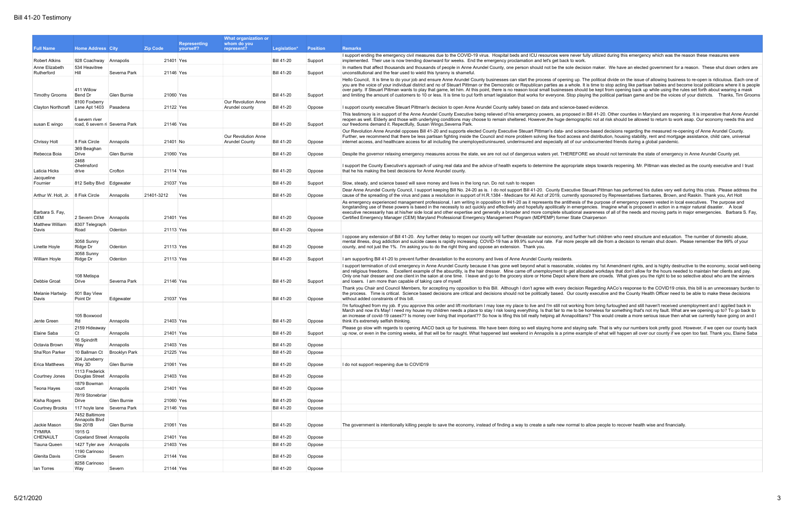fully utilized during this emergency which was the reason these measures were

ision maker. We have an elected government for a reason. These shut down orders are

The political divide on the issue of allowing business to re-open is ridiculous. Each one of It is time to stop acting like partisan babies and become local politicians where it is people. uld be kept from opening back up while using the rules set forth about wearing a mask aying the political partisan game and be the voices of your districts. Thanks, Tim Grooms

in Bill 41-20. Other counties in Maryland are reopening. It is imperative that Anne Arundel aphic not at risk should be allowed to return to work asap. Our economy needs this and

nce-based decisions regarding the measured re-opening of Anne Arundel County. and distribution, housing stability, rent and mortgage assistance, child care, universal undocumented friends during a global pandemic.

RE we should not terminate the state of emergency in Anne Arundel County yet.

steps towards reopening. Mr. Pittman was elected as the county executive and I trust

Steuart Pittman has performed his duties very well during this crisis. Please address the ponsored by Representatives Sarbanes, Brown, and Raskin. Thank you, Art Holt of the purpose of emergency powers vested in local executives. The purpose and gencies. Imagine what is proposed in action in a major natural disaster. A local awareness of all of the needs and moving parts in major emergencies. Barbara S. Fay, complete situational awareness of all of the needs and moving parts in major emergencies. Barbara S. Fay,

er hurt children who need structure and education. The number of domestic abuse, ple will die from a decision to remain shut down. Please remember the 99% of your

lates my 1st Amendment rights, and is highly destructive to the economy, social well-being ocated workdays that don't allow for the hours needed to maintain her clients and pay. nere are crowds. What gives you the right to be so selective about who are the winners

Regarding AACo's response to the COVID19 crisis, this bill is an unnecessary burden to nty executive and the County Health Officer need to be able to make these decisions

If rom bring furloughed and still haven't received unemployment and I applied back in I homeless for something that's not my fault. What are we opening up to? To go back to ans? This would create a more serious issue then what we currently have going on and I

ng safe. That is why our numbers look pretty good. However, if we open our county back mple of what will happen all over our county if we open too fast. Thank you, Elaine Saba

o allow people to recover health wise and financially.

|                                                        |                                                        |                      |                 | <b>Representing</b> | What organization or<br>whom do you          |                   |                    |                                                                                                                                                                                                                                                                                                                                                                                                                                                                                                                                                                                                                |
|--------------------------------------------------------|--------------------------------------------------------|----------------------|-----------------|---------------------|----------------------------------------------|-------------------|--------------------|----------------------------------------------------------------------------------------------------------------------------------------------------------------------------------------------------------------------------------------------------------------------------------------------------------------------------------------------------------------------------------------------------------------------------------------------------------------------------------------------------------------------------------------------------------------------------------------------------------------|
| <b>Full Name</b>                                       | <b>Home Address City</b>                               |                      | <b>Zip Code</b> | vourself?           | represent?                                   | Legislation*      | <b>Position</b>    | <b>Remarks</b>                                                                                                                                                                                                                                                                                                                                                                                                                                                                                                                                                                                                 |
| <b>Robert Atkins</b>                                   | 928 Coachway Annapolis                                 |                      | 21401 Yes       |                     |                                              | <b>Bill 41-20</b> | Support            | I support ending the emergency civil measures due to the COVID-19 virus. Hospital beds and ICU resources were never fully utilized d<br>implemented. Their use is now trending downward for weeks. End the emergency proclamation and let's get back to work.                                                                                                                                                                                                                                                                                                                                                  |
| Anne Elizabeth                                         | 534 Heavitree                                          |                      |                 |                     |                                              |                   |                    | In matters that affect thousands and thousands of people in Anne Arundel County, one person should not be the sole decision maker.                                                                                                                                                                                                                                                                                                                                                                                                                                                                             |
| Rutherford                                             | Hill                                                   | Severna Park         | 21146 Yes       |                     |                                              | <b>Bill 41-20</b> | Support            | unconstitutional and the fear used to wield this tyranny is shameful.                                                                                                                                                                                                                                                                                                                                                                                                                                                                                                                                          |
| <b>Timothy Grooms</b>                                  | 411 Willow<br>Bend Dr                                  | Glen Burnie          | 21060 Yes       |                     |                                              | <b>Bill 41-20</b> | Support            | Hello Council, It is time to do your job and ensure Anne Arundel County businesses can start the process of opening up. The political d<br>you are the voice of your individual district and no of Steuart Pittman or the Democratic or Republican parties as a whole. It is time to ste<br>over party. If Steuart Pittman wants to play that game, let him. At this point, there is no reason local small businesses should be kept fro<br>and limiting the amount of customers to 10 or less. It is time to put forth smart legislation that works for everyone. Stop playing the politi                     |
| Clayton Northcraft                                     | 8100 Foxberry<br>Lane Apt 1403                         | Pasadena             | 21122 Yes       |                     | Our Revolution Anne<br>Arundel county        | <b>Bill 41-20</b> | Oppose             | I support county executive Steuart Pittman's decision to open Anne Arundel County safely based on data and science-based evidence.                                                                                                                                                                                                                                                                                                                                                                                                                                                                             |
| susan E wingo                                          | 6 severn river<br>road, 6 severn ri Severna Park       |                      | 21146 Yes       |                     |                                              | <b>Bill 41-20</b> | Support            | This testimony is in support of the Anne Arundel County Executive being relieved of his emergency powers, as proposed in Bill 41-20.<br>reopen as well. Elderly and those with underlying conditions may choose to remain sheltered. However, the huge demographic not at ris<br>our freedoms demand it. Repectfully, Susan Wingo, Severna Park.                                                                                                                                                                                                                                                               |
| Chrissy Holt                                           | 8 Fisk Circle                                          | Annapolis            | 21401 No        |                     | Our Revolution Anne<br><b>Arundel County</b> | Bill 41-20        | Oppose             | Our Revolution Anne Arundel opposes Bill 41-20 and supports elected County Executive Steuart Pittman's data- and science-based de<br>Further, we recommend that there be less partisan fighting inside the Council and more problem solving like food access and distribution<br>internet access, and healthcare access for all including the unemployed/uninsured, underinsured and especially all of our undocumente                                                                                                                                                                                         |
| Rebecca Boia                                           | 369 Beaghan<br>Drive                                   | Glen Burnie          | 21060 Yes       |                     |                                              | <b>Bill 41-20</b> | Oppose             | Despite the governor relaxing emergency measures across the state, we are not out of dangerous waters yet. THEREFORE we should                                                                                                                                                                                                                                                                                                                                                                                                                                                                                 |
| Laticia Hicks                                          | 2468<br>Chelmsford<br>drive                            | Crofton              | 21114 Yes       |                     |                                              | <b>Bill 41-20</b> | Oppose             | I support the County Executive's approach of using real data and the advice of health experts to determine the appropriate steps toward<br>that he his making the best decisions for Anne Arundel county.                                                                                                                                                                                                                                                                                                                                                                                                      |
| Jacqueline                                             |                                                        |                      |                 |                     |                                              |                   |                    |                                                                                                                                                                                                                                                                                                                                                                                                                                                                                                                                                                                                                |
| Fournier                                               | 812 Selby Blvd                                         | Edgewater            | 21037 Yes       |                     |                                              | <b>Bill 41-20</b> | Support            | Slow, steady, and science based will save money and lives in the long run. Do not rush to reopen<br>Dear Anne Arundel County Council, I support keeping Bill No. 24-20 as is. I do not support Bill 41-20. County Executive Steuart Pittma                                                                                                                                                                                                                                                                                                                                                                     |
| Arthur W. Holt, Jr.   8 Fisk Circle<br>Barbara S. Fay, |                                                        | Annapolis            | 21401-3212      | Yes                 |                                              | <b>Bill 41-20</b> | Oppose             | cause of the spreading of the virus and pass a resolution in support of H.R.1384 - Medicare for All Act of 2019, currently sponsored by I<br>As emergency experienced management professional, I am writing in opposition to #41-20 as it represents the antithesis of the purpose<br>longstanding use of these powers is based in the necessity to act quickly and effectively and hopefully apolitically in emergencies. Image<br>executive necessarily has at his/her side local and other expertise and generally a broader and more complete situational awareness of                                     |
| <b>CEM</b>                                             | 2 Severn Drive Annapolis                               |                      | 21401 Yes       |                     |                                              | <b>Bill 41-20</b> | Oppose             | Certified Emergency Manager (CEM) Maryland Professional Emergency Management Program (MDPEMP) former State Chairperson                                                                                                                                                                                                                                                                                                                                                                                                                                                                                         |
| Matthew William<br>Davis                               | 8307 Telegraph<br>Road                                 | Odenton              | 21113 Yes       |                     |                                              | <b>Bill 41-20</b> | Oppose             |                                                                                                                                                                                                                                                                                                                                                                                                                                                                                                                                                                                                                |
| Linette Hoyle                                          | 3058 Sunny<br>Ridge Dr                                 | Odenton              | 21113 Yes       |                     |                                              | <b>Bill 41-20</b> | Oppose             | I oppose any extension of Bill 41-20. Any further delay to reopen our county will further devastate our economy, and further hurt childre<br>mental illness, drug addiction and suicide cases is rapidly increasing. COVID-19 has a 99.9% survival rate. Far more people will die fro<br>county, and not just the 1%. I'm asking you to do the right thing and oppose an extension. Thank you.                                                                                                                                                                                                                 |
|                                                        | 3058 Sunny                                             | Odenton              | 21113 Yes       |                     |                                              | <b>Bill 41-20</b> |                    |                                                                                                                                                                                                                                                                                                                                                                                                                                                                                                                                                                                                                |
| William Hoyle<br>Debbie Groat                          | Ridge Dr<br>108 Metispa<br>Drive                       | Severna Park         | 21146 Yes       |                     |                                              | <b>Bill 41-20</b> | Support<br>Support | I am supporting Bill 41-20 to prevent further devastation to the economy and lives of Anne Arundel County residents.<br>I support termination of civil emergency in Anne Arundel County because it has gone well beyond what is reasonable, violates my 1st A<br>and religious freedoms. Excellent example of the absurdity, is the hair dresser. Mine came off unemployment to get allocated workda<br>Only one hair dresser and one client in the salon at one time. I leave and go to the grocery store or Home Depot where there are crowd<br>and losers. I am more than capable of taking care of myself. |
| Melanie Hartwig-<br>Davis                              | 501 Bay View<br>Point Dr                               | Edgewater            | 21037 Yes       |                     |                                              | <b>Bill 41-20</b> | Oppose             | Thank you Chair and Council Members, for accepting my opposition to this Bill. Although I don't agree with every decision Regarding A<br>the process. Time is critical. Science based decisions are critical and decisions should not be politically based. Our county executive<br>without added constraints of this bill                                                                                                                                                                                                                                                                                     |
| Jente Green                                            | 105 Boxwood<br>Rd                                      | Annapolis            | 21403 Yes       |                     |                                              | <b>Bill 41-20</b> | Oppose             | I'm furloughed from my job. If you approve this order and lift moritoriam I may lose my place to live and I'm still not working from bring fu<br>March and now it's May! I need my house my children needs a place to stay I risk losing everything. Is that fair to me to be homeless for<br>an increase of covid-19 cases?? Is money over living that important?? So how is lifing this bill really helping all Annapolitians? This wou<br>think it's extremely selfish thinking.                                                                                                                            |
|                                                        | 2159 Hideaway                                          |                      |                 |                     |                                              |                   |                    | Please go slow with regards to opening AACO back up for business. We have been doing so well staying home and staying safe. That                                                                                                                                                                                                                                                                                                                                                                                                                                                                               |
| Elaine Saba                                            | Ct<br>16 Spindrift                                     | Annapolis            | 21401 Yes       |                     |                                              | <b>Bill 41-20</b> | Support            | up now, or even in the coming weeks, all that will be for naught. What happened last weekend in Annapolis is a prime example of what                                                                                                                                                                                                                                                                                                                                                                                                                                                                           |
| Octavia Brown                                          | Way                                                    | Annapolis            | 21403 Yes       |                     |                                              | <b>Bill 41-20</b> | Oppose             |                                                                                                                                                                                                                                                                                                                                                                                                                                                                                                                                                                                                                |
| Sha'Ron Parker                                         | 10 Ballman Ct                                          | <b>Brooklyn Park</b> | 21225 Yes       |                     |                                              | <b>Bill 41-20</b> | Oppose             |                                                                                                                                                                                                                                                                                                                                                                                                                                                                                                                                                                                                                |
| Erica Matthews                                         | 204 Juneberry<br>Way 3D                                | Glen Burnie          | 21061 Yes       |                     |                                              | Bill 41-20        | Oppose             | I do not support reopening due to COVID19                                                                                                                                                                                                                                                                                                                                                                                                                                                                                                                                                                      |
| Courtney Jones                                         | 1113 Frederick<br>Douglas Street Annapolis             |                      | 21403 Yes       |                     |                                              | <b>Bill 41-20</b> | Oppose             |                                                                                                                                                                                                                                                                                                                                                                                                                                                                                                                                                                                                                |
| Teona Hayes                                            | 1879 Bowman<br>court                                   | Annapolis            | 21401 Yes       |                     |                                              | <b>Bill 41-20</b> | Oppose             |                                                                                                                                                                                                                                                                                                                                                                                                                                                                                                                                                                                                                |
| Kisha Rogers                                           | 7819 Stonebriar<br>Drive                               | Glen Burnie          | 21060 Yes       |                     |                                              | <b>Bill 41-20</b> | Oppose             |                                                                                                                                                                                                                                                                                                                                                                                                                                                                                                                                                                                                                |
| <b>Courtney Brooks</b>                                 | 117 hoyle lane Severna Park                            |                      | 21146 Yes       |                     |                                              | <b>Bill 41-20</b> | Oppose             |                                                                                                                                                                                                                                                                                                                                                                                                                                                                                                                                                                                                                |
| Jackie Mason<br><b>TYMIRA</b>                          | 7452 Baltimore<br>Annapolis Blvd<br>Ste 201B<br>1915 G | Glen Burnie          | 21061 Yes       |                     |                                              | <b>Bill 41-20</b> | Oppose             | The government is intentionally killing people to save the economy, instead of finding a way to create a safe new normal to allow people                                                                                                                                                                                                                                                                                                                                                                                                                                                                       |
| CHENAULT                                               | Copeland Street Annapolis                              |                      | 21401 Yes       |                     |                                              | <b>Bill 41-20</b> | Oppose             |                                                                                                                                                                                                                                                                                                                                                                                                                                                                                                                                                                                                                |
| <b>Tiauna Queen</b>                                    | 1427 Tyler ave Annapolis                               |                      | 21403 Yes       |                     |                                              | <b>Bill 41-20</b> | Oppose             |                                                                                                                                                                                                                                                                                                                                                                                                                                                                                                                                                                                                                |
| Glenita Davis                                          | 1190 Carinoso<br>Circle                                | Severn               | 21144 Yes       |                     |                                              | <b>Bill 41-20</b> | Oppose             |                                                                                                                                                                                                                                                                                                                                                                                                                                                                                                                                                                                                                |
|                                                        | 8258 Carinoso                                          |                      |                 |                     |                                              |                   |                    |                                                                                                                                                                                                                                                                                                                                                                                                                                                                                                                                                                                                                |
| lan Torres                                             | Way                                                    | Severn               | 21144 Yes       |                     |                                              | <b>Bill 41-20</b> | Oppose             |                                                                                                                                                                                                                                                                                                                                                                                                                                                                                                                                                                                                                |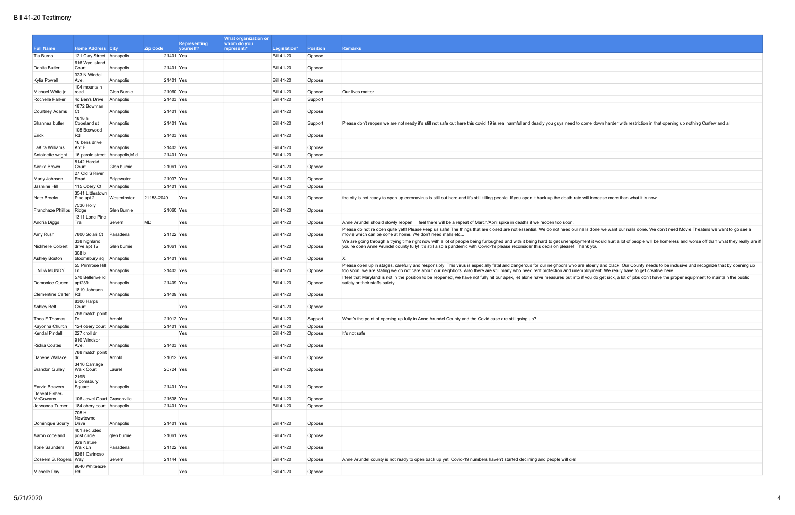|                          |                                            |             |                                                     | What organization or                      |                 |                                                                                                                                                                                                                                                                                                                                                                                            |
|--------------------------|--------------------------------------------|-------------|-----------------------------------------------------|-------------------------------------------|-----------------|--------------------------------------------------------------------------------------------------------------------------------------------------------------------------------------------------------------------------------------------------------------------------------------------------------------------------------------------------------------------------------------------|
| <b>Full Name</b>         | <b>Home Address City</b>                   |             | <b>Representing</b><br><b>Zip Code</b><br>vourself? | whom do you<br>represent?<br>Legislation* | <b>Position</b> | <b>Remarks</b>                                                                                                                                                                                                                                                                                                                                                                             |
| Tia Burno                | 121 Clay Street Annapolis                  |             | 21401 Yes                                           | <b>Bill 41-20</b>                         | Oppose          |                                                                                                                                                                                                                                                                                                                                                                                            |
| Danita Butler            | 616 Wye island<br>Court                    | Annapolis   | 21401 Yes                                           | <b>Bill 41-20</b>                         | Oppose          |                                                                                                                                                                                                                                                                                                                                                                                            |
| Kylia Powell             | 323 N.Windell<br>Ave.                      | Annapolis   | 21401 Yes                                           | <b>Bill 41-20</b>                         | Oppose          |                                                                                                                                                                                                                                                                                                                                                                                            |
| Michael White jr         | 104 mountain<br>road                       | Glen Burnie | 21060 Yes                                           | <b>Bill 41-20</b>                         | Oppose          | Our lives matter                                                                                                                                                                                                                                                                                                                                                                           |
| Rochelle Parker          | 4c Ben's Drive                             | Annapolis   | 21403 Yes                                           | <b>Bill 41-20</b>                         | Support         |                                                                                                                                                                                                                                                                                                                                                                                            |
|                          | 1872 Bowman                                |             |                                                     |                                           |                 |                                                                                                                                                                                                                                                                                                                                                                                            |
| Courtney Adams           | Ct                                         | Annapolis   | 21401 Yes                                           | <b>Bill 41-20</b>                         | Oppose          |                                                                                                                                                                                                                                                                                                                                                                                            |
| Shannea butler           | 1818h<br>Copeland st<br>105 Boxwood        | Annapolis   | 21401 Yes                                           | <b>Bill 41-20</b>                         | Support         | Please don't reopen we are not ready it's still not safe out here this covid 19 is real harmful and deadly you guys need to come down harder with restriction in that opening up nothing Curfew and all                                                                                                                                                                                    |
| Erick                    | Rd<br>16 bens drive                        | Annapolis   | 21403 Yes                                           | <b>Bill 41-20</b>                         | Oppose          |                                                                                                                                                                                                                                                                                                                                                                                            |
| LaKira Williams          | Apt E                                      | Annapolis   | 21403 Yes                                           | <b>Bill 41-20</b>                         | Oppose          |                                                                                                                                                                                                                                                                                                                                                                                            |
| Antoinette wright        | 16 parole street Annapolis, M.d.           |             | 21401 Yes                                           | <b>Bill 41-20</b>                         | Oppose          |                                                                                                                                                                                                                                                                                                                                                                                            |
| Airrika Brown            | 8142 Harold<br>Court                       | Glen burnie | 21061 Yes                                           | <b>Bill 41-20</b>                         | Oppose          |                                                                                                                                                                                                                                                                                                                                                                                            |
|                          | 27 Old S River                             |             |                                                     |                                           |                 |                                                                                                                                                                                                                                                                                                                                                                                            |
| Marty Johnson            | Road                                       | Edgewater   | 21037 Yes                                           | <b>Bill 41-20</b>                         | Oppose          |                                                                                                                                                                                                                                                                                                                                                                                            |
| Jasmine Hill             | 115 Obery Ct                               | Annapolis   | 21401 Yes                                           | <b>Bill 41-20</b>                         | Oppose          |                                                                                                                                                                                                                                                                                                                                                                                            |
| Nate Brooks              | 3541 Littlestown<br>Pike apt 2             | Westminster | 21158-2049<br>Yes                                   | <b>Bill 41-20</b>                         | Oppose          | the city is not ready to open up coronavirus is still out here and it's still killing people. If you open it back up the death rate will increase more than what it is now                                                                                                                                                                                                                 |
| Franchaze Phillips       | 7536 Holly<br>Ridge                        | Glen Burnie | 21060 Yes                                           | <b>Bill 41-20</b>                         | Oppose          |                                                                                                                                                                                                                                                                                                                                                                                            |
| Andria Diggs             | 1311 Lone Pine<br>Trail                    | Severn      | <b>MD</b><br>Yes                                    | <b>Bill 41-20</b>                         | Oppose          | Anne Arundel should slowly reopen. I feel there will be a repeat of March/April spike in deaths if we reopen too soon.                                                                                                                                                                                                                                                                     |
| Amy Rush                 | 7800 Solari Ct                             | Pasadena    | 21122 Yes                                           | <b>Bill 41-20</b>                         | Oppose          | Please do not re open quite yet!! Please keep us safe! The things that are closed are not essential. We do not need our nails done we want our nails done. We don't need Movie Theaters we want to go see a<br>movie which can be done at home. We don't need malls etc                                                                                                                    |
| Nickhelle Colbert        | 338 highland<br>drive apt T2               | Glen burnie | 21061 Yes                                           | <b>Bill 41-20</b>                         | Oppose          | We are going through a trying time right now with a lot of people being furloughed and with it being hard to get unemployment it would hurt a lot of people will be homeless and worse off than what they really are<br>you re open Anne Arundel county fully! It's still also a pandemic with Covid-19 please reconsider this decision please!! Thank you                                 |
| Ashley Boston            | 308 b<br>bloomsbury sq Annapolis           |             | 21401 Yes                                           | <b>Bill 41-20</b>                         | Oppose          | $\mathsf{X}$                                                                                                                                                                                                                                                                                                                                                                               |
| LINDA MUNDY              | 55 Primrose Hill<br>Ln                     | Annapolis   | 21403 Yes                                           | <b>Bill 41-20</b>                         | Oppose          | Please open up in stages, carefully and responsibly. This virus is especially fatal and dangerous for our neighbors who are elderly and black. Our County needs to be inclusive and recognize that by opening up<br>too soon, we are stating we do not care about our neighbors. Also there are still many who need rent protection and unemployment. We really have to get creative here. |
| Domonice Queen           | 570 Bellerive rd<br>apt239<br>1819 Johnson | Annapolis   | 21409 Yes                                           | <b>Bill 41-20</b>                         | Oppose          | I feel that Maryland is not in the position to be reopened, we have not fully hit our apex, let alone have measures put into if you do get sick, a lot of jobs don't have the proper equipment to maintain the public<br>safety or their staffs safety.                                                                                                                                    |
| <b>Clementine Carter</b> | Rd<br>8306 Harps                           | Annapolis   | 21409 Yes                                           | <b>Bill 41-20</b>                         | Oppose          |                                                                                                                                                                                                                                                                                                                                                                                            |
| Ashley Belt              | Court                                      |             | Yes                                                 | <b>Bill 41-20</b>                         | Oppose          |                                                                                                                                                                                                                                                                                                                                                                                            |
| Theo F Thomas            | 788 match point<br>Dr                      | Arnold      | 21012 Yes                                           | <b>Bill 41-20</b>                         | Support         | What's the point of opening up fully in Anne Arundel County and the Covid case are still going up?                                                                                                                                                                                                                                                                                         |
| Kayonna Church           | 124 obery court Annapolis                  |             | 21401 Yes                                           | <b>Bill 41-20</b>                         | Oppose          |                                                                                                                                                                                                                                                                                                                                                                                            |
| Kendal Pindell           | 227 croll dr                               |             | Yes                                                 | <b>Bill 41-20</b>                         | Oppose          | It's not safe                                                                                                                                                                                                                                                                                                                                                                              |
| <b>Rickia Coates</b>     | 910 Windsor<br>Ave.                        | Annapolis   | 21403 Yes                                           | <b>Bill 41-20</b>                         | Oppose          |                                                                                                                                                                                                                                                                                                                                                                                            |
| Danene Wallace           | 788 match point<br>dr                      | Arnold      | 21012 Yes                                           | <b>Bill 41-20</b>                         | Oppose          |                                                                                                                                                                                                                                                                                                                                                                                            |
| <b>Brandon Gulley</b>    | 3416 Carriage<br><b>Walk Court</b>         | Laurel      | 20724 Yes                                           | <b>Bill 41-20</b>                         | Oppose          |                                                                                                                                                                                                                                                                                                                                                                                            |
| <b>Earvin Beavers</b>    | 219B<br>Bloomsbury<br>Square               | Annapolis   | 21401 Yes                                           | <b>Bill 41-20</b>                         | Oppose          |                                                                                                                                                                                                                                                                                                                                                                                            |
| Deneal Fisher-           |                                            |             |                                                     |                                           |                 |                                                                                                                                                                                                                                                                                                                                                                                            |
| McGowans                 | 106 Jewel Court Grasonville                |             | 21638 Yes                                           | <b>Bill 41-20</b>                         | Oppose          |                                                                                                                                                                                                                                                                                                                                                                                            |
| Jerwanda Turner          | 184 obery court Annapolis                  |             | 21401 Yes                                           | <b>Bill 41-20</b>                         | Oppose          |                                                                                                                                                                                                                                                                                                                                                                                            |
| Dominique Scurry         | 705 H<br>Newtowne<br>Drive                 | Annapolis   | 21401 Yes                                           | <b>Bill 41-20</b>                         | Oppose          |                                                                                                                                                                                                                                                                                                                                                                                            |
| Aaron copeland           | 401 secluded<br>post circle                | glen burnie | 21061 Yes                                           | <b>Bill 41-20</b>                         | Oppose          |                                                                                                                                                                                                                                                                                                                                                                                            |
| Torie Saunders           | 329 Nature<br>Walk Ln                      | Pasadena    | 21122 Yes                                           | <b>Bill 41-20</b>                         | Oppose          |                                                                                                                                                                                                                                                                                                                                                                                            |
| Coseem S. Rogers Way     | 8261 Carinoso                              | Severn      | 21144 Yes                                           | <b>Bill 41-20</b>                         | Oppose          | Anne Arundel county is not ready to open back up yet. Covid-19 numbers haven't started declining and people will die!                                                                                                                                                                                                                                                                      |
|                          | 9640 Whiteacre                             |             |                                                     |                                           |                 |                                                                                                                                                                                                                                                                                                                                                                                            |
| Michelle Day             | Rd                                         |             | Yes                                                 | <b>Bill 41-20</b>                         | Oppose          |                                                                                                                                                                                                                                                                                                                                                                                            |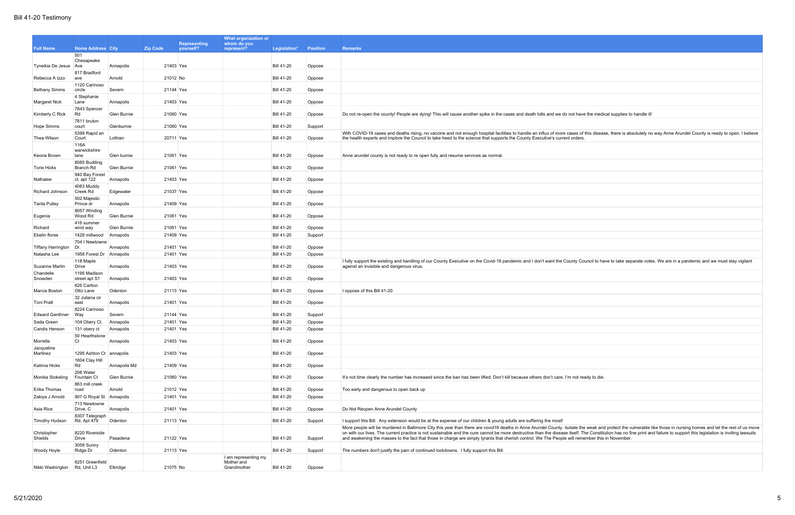|                                      |                                |              |                                                     | What organization or               |                                        |                   |                                                                                                                                                                                                                                                                                                                                                                                                                                                   |
|--------------------------------------|--------------------------------|--------------|-----------------------------------------------------|------------------------------------|----------------------------------------|-------------------|---------------------------------------------------------------------------------------------------------------------------------------------------------------------------------------------------------------------------------------------------------------------------------------------------------------------------------------------------------------------------------------------------------------------------------------------------|
| <b>Full Name</b>                     | <b>Home Address City</b>       |              | <b>Representing</b><br><b>Zip Code</b><br>yourself? | whom do you<br>represent?          | Legislation*                           | <b>Position</b>   | <b>Remarks</b>                                                                                                                                                                                                                                                                                                                                                                                                                                    |
|                                      | 501                            |              |                                                     |                                    |                                        |                   |                                                                                                                                                                                                                                                                                                                                                                                                                                                   |
| Tyneikia De Jesus Ave                | Chesapeake                     | Annapolis    | 21403 Yes                                           |                                    | <b>Bill 41-20</b>                      | Oppose            |                                                                                                                                                                                                                                                                                                                                                                                                                                                   |
| Rebecca A Izzo                       | 817 Bradford<br>ave            | Arnold       | 21012 No                                            |                                    | <b>Bill 41-20</b>                      | Oppose            |                                                                                                                                                                                                                                                                                                                                                                                                                                                   |
| <b>Bethany Simms</b>                 | 1120 Carinoso<br>circle        | Severn       | 21144 Yes                                           |                                    | <b>Bill 41-20</b>                      | Oppose            |                                                                                                                                                                                                                                                                                                                                                                                                                                                   |
| Margaret Nick                        | 4 Stephanie<br>Lane            | Annapolis    | 21403 Yes                                           |                                    | <b>Bill 41-20</b>                      | Oppose            |                                                                                                                                                                                                                                                                                                                                                                                                                                                   |
| Kimberly C Rick                      | 7843 Spencer<br>Rd             | Glen Burnie  | 21060 Yes                                           |                                    | <b>Bill 41-20</b>                      | Oppose            | Do not re-open the county! People are dying! This will cause another spike in the cases and death tolls and we do not have the medical supplies to handle it!                                                                                                                                                                                                                                                                                     |
|                                      | 7811 bruton                    |              |                                                     |                                    |                                        |                   |                                                                                                                                                                                                                                                                                                                                                                                                                                                   |
| Hope Simms                           | court<br>5399 Rapid an         | Glenburnie   | 21060 Yes                                           |                                    | <b>Bill 41-20</b>                      | Support           | With COVID-19 cases and deaths rising, no vaccine and not enough hospital facilities to handle an influx of more cases of this disease, there is absolutely no way Anne Arundel County is ready to open. I believe                                                                                                                                                                                                                                |
| Thea Wilson                          | Court<br>116A                  | Lothian      | 20711 Yes                                           |                                    | <b>Bill 41-20</b>                      | Oppose            | the health experts and implore the Council to take heed to the science that supports the County Executive's current orders.                                                                                                                                                                                                                                                                                                                       |
| Keona Brown                          | warwickshire<br>lane           | Glen burnie  | 21061 Yes                                           |                                    | <b>Bill 41-20</b>                      | Oppose            | Anne arundel county is not ready to re open fully and resume services as normal.                                                                                                                                                                                                                                                                                                                                                                  |
| Torie Hicks                          | 8085 Budding<br>Branch Rd      | Glen Burnie  | 21061 Yes                                           |                                    | <b>Bill 41-20</b>                      | Oppose            |                                                                                                                                                                                                                                                                                                                                                                                                                                                   |
| Nathalee                             | 940 Bay Forest<br>ct. apt 122  | Annapolis    | 21403 Yes                                           |                                    | <b>Bill 41-20</b>                      | Oppose            |                                                                                                                                                                                                                                                                                                                                                                                                                                                   |
| Richard Johnson                      | 4083 Muddy<br>Creek Rd         | Edgewater    | 21037 Yes                                           |                                    | <b>Bill 41-20</b>                      | Oppose            |                                                                                                                                                                                                                                                                                                                                                                                                                                                   |
|                                      | 502 Majestic                   |              |                                                     |                                    |                                        |                   |                                                                                                                                                                                                                                                                                                                                                                                                                                                   |
| <b>Tarita Pulley</b>                 | Prince dr<br>8057 Winding      | Annapolis    | 21409 Yes                                           |                                    | <b>Bill 41-20</b>                      | Oppose            |                                                                                                                                                                                                                                                                                                                                                                                                                                                   |
| Eugenia                              | Wood Rd                        | Glen Burnie  | 21061 Yes                                           |                                    | <b>Bill 41-20</b>                      | Oppose            |                                                                                                                                                                                                                                                                                                                                                                                                                                                   |
| Richard                              | 416 summer<br>wind way         | Glen Burnie  | 21061 Yes                                           |                                    | <b>Bill 41-20</b>                      | Oppose            |                                                                                                                                                                                                                                                                                                                                                                                                                                                   |
| Ebelin flores                        | 1428 millwood                  | Annapolis    | 21409 Yes                                           |                                    | <b>Bill 41-20</b>                      | Support           |                                                                                                                                                                                                                                                                                                                                                                                                                                                   |
| <b>Tiffany Harrington</b>            | 704   Newtowne<br>Dr.          | Annapolis    | 21401 Yes                                           |                                    | <b>Bill 41-20</b>                      | Oppose            |                                                                                                                                                                                                                                                                                                                                                                                                                                                   |
| Natasha Lee                          | 1958 Forest Dr Annapolis       |              | 21401 Yes                                           |                                    | <b>Bill 41-20</b>                      | Oppose            |                                                                                                                                                                                                                                                                                                                                                                                                                                                   |
| Suzanne Martin                       | 118 Maple<br>Drive             | Annapolis    | 21403 Yes                                           |                                    | <b>Bill 41-20</b>                      | Oppose            | If fully support the existing and handling of our County Executive on the Covid-19 pandemic and I don't want the County Council to have to take separate votes. We are in a pandemic and we must stay vigilant<br>against an invisible and dangerous virus.                                                                                                                                                                                       |
| Chandelle<br>Snowden                 | 1195 Madison<br>street apt S1  | Annapolis    | 21403 Yes                                           |                                    | <b>Bill 41-20</b>                      | Oppose            |                                                                                                                                                                                                                                                                                                                                                                                                                                                   |
| Marcia Boston                        | 626 Carlton<br>Otto Lane       | Odenton      | 21113 Yes                                           |                                    | <b>Bill 41-20</b>                      | Oppose            | I oppose of this Bill 41-20                                                                                                                                                                                                                                                                                                                                                                                                                       |
| Toni Pratt                           | 32 Juliana cir<br>east         | Annapolis    | 21401 Yes                                           |                                    | <b>Bill 41-20</b>                      | Oppose            |                                                                                                                                                                                                                                                                                                                                                                                                                                                   |
|                                      | 8224 Carinoso                  |              |                                                     |                                    |                                        |                   |                                                                                                                                                                                                                                                                                                                                                                                                                                                   |
| <b>Edward Genthner</b><br>Sada Green | Way<br>104 Obery Ct. Annapolis | Severn       | 21144 Yes<br>21401 Yes                              |                                    | <b>Bill 41-20</b><br><b>Bill 41-20</b> | Support<br>Oppose |                                                                                                                                                                                                                                                                                                                                                                                                                                                   |
| Candis Henson                        | 131 obery ct Annapolis         |              | 21401 Yes                                           |                                    | <b>Bill 41-20</b>                      | Oppose            |                                                                                                                                                                                                                                                                                                                                                                                                                                                   |
| Morrelle                             | 50 Hearthstone<br>Ct           | Annapolis    | 21403 Yes                                           |                                    | <b>Bill 41-20</b>                      | Oppose            |                                                                                                                                                                                                                                                                                                                                                                                                                                                   |
| Jacqueline<br>Martinez               | 1295 Ashton Ct annapolis       |              | 21403 Yes                                           |                                    | <b>Bill 41-20</b>                      | Oppose            |                                                                                                                                                                                                                                                                                                                                                                                                                                                   |
| Katrina Hicks                        | 1604 Clay Hill<br>Rd           | Annapolis Md | 21409 Yes                                           |                                    | <b>Bill 41-20</b>                      | Oppose            |                                                                                                                                                                                                                                                                                                                                                                                                                                                   |
| Monika Stokeling                     | 208 Water<br>Fountain Ct       | Glen Burnie  | 21060 Yes                                           |                                    | <b>Bill 41-20</b>                      | Oppose            | It's not time clearly the number has increased since the ban has been lifted. Don't kill because others don't care, I'm not ready to die.                                                                                                                                                                                                                                                                                                         |
| Erika Thomas                         | 863 mill creek<br>road         | Arnold       | 21012 Yes                                           |                                    | <b>Bill 41-20</b>                      | Oppose            | Too early and dangerous to open back up                                                                                                                                                                                                                                                                                                                                                                                                           |
| Zakiya J Arnold                      | 907 G Royal St Annapolis       |              | 21401 Yes                                           |                                    | <b>Bill 41-20</b>                      | Oppose            |                                                                                                                                                                                                                                                                                                                                                                                                                                                   |
| Asia Rice                            | 713 Newtowne<br>Drive, C       | Annapolis    | 21401 Yes                                           |                                    | <b>Bill 41-20</b>                      | Oppose            | Do Not Reopen Anne Arundel County                                                                                                                                                                                                                                                                                                                                                                                                                 |
| <b>Timothy Hudson</b>                | 8307 Telegraph<br>Rd, Apt 479  | Odenton      | 21113 Yes                                           |                                    | <b>Bill 41-20</b>                      | Support           | I support this Bill. Any extension would be at the expense of our children & young adults are suffering the most!                                                                                                                                                                                                                                                                                                                                 |
| Christopher                          | 8220 Riverside                 |              |                                                     |                                    |                                        |                   | More people will be murdered in Baltimore City this year than there are covid19 deaths in Anne Arundel County. Isolate the weak and protect the vulnerable like those in nursing homes and let the rest of us move<br>on with our lives. The current practice is not sustainable and the cure cannot be more destructive than the disease itself. The Constitution has no fine print and failure to support this legislation is inviting lawsuits |
| Shields                              | Drive                          | Pasadena     | 21122 Yes                                           |                                    | <b>Bill 41-20</b>                      | Support           | and awakening the masses to the fact that those in charge are simply tyrants that cherish control. We The People will remember this in November.                                                                                                                                                                                                                                                                                                  |
| Woody Hoyle                          | 3058 Sunny<br>Ridge Dr         | Odenton      | 21113 Yes                                           |                                    | <b>Bill 41-20</b>                      | Support           | The numbers don't justify the pain of continued lockdowns. I fully support this Bill.                                                                                                                                                                                                                                                                                                                                                             |
|                                      | 6251 Greenfield                |              |                                                     | I am representing my<br>Mother and |                                        |                   |                                                                                                                                                                                                                                                                                                                                                                                                                                                   |
| Nikki Washington Rd, Unit L3         |                                | Elkridge     | 21075 No                                            | Grandmother                        | <b>Bill 41-20</b>                      | Oppose            |                                                                                                                                                                                                                                                                                                                                                                                                                                                   |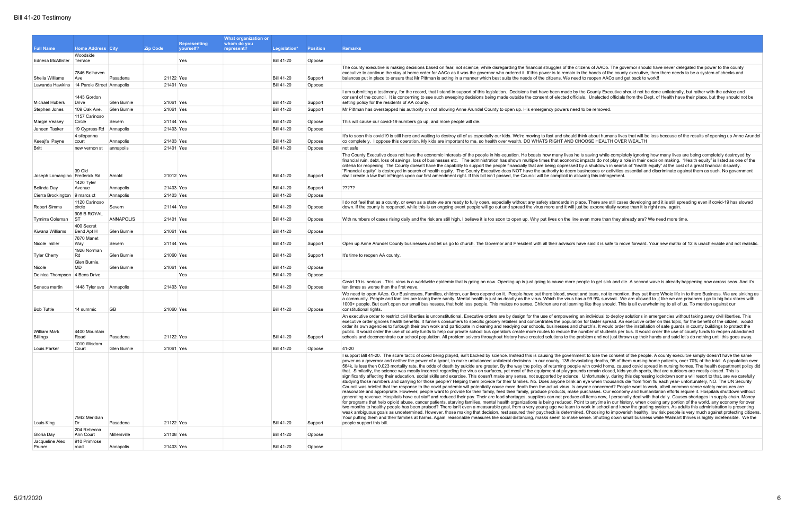|                                 |                              |                         |                 |                                  | What organization or      |                   |                   |                                                                                                                                                                                                                                                                                                                                                                                                                                                                                                                                                                                                                                                                                                                                                                                                                                                                                                                                                                                                                                                                                                                                                                                                                                                                                                                                                                                                                                                                                                                                                                                                                                                                                                                                                                                                                                                                                                                                                                                                                                                                                                                                                                                                                                                                                                                                                                                                                                                                                                                                                                                                                                                                                                                                                                                                                                                                                      |
|---------------------------------|------------------------------|-------------------------|-----------------|----------------------------------|---------------------------|-------------------|-------------------|--------------------------------------------------------------------------------------------------------------------------------------------------------------------------------------------------------------------------------------------------------------------------------------------------------------------------------------------------------------------------------------------------------------------------------------------------------------------------------------------------------------------------------------------------------------------------------------------------------------------------------------------------------------------------------------------------------------------------------------------------------------------------------------------------------------------------------------------------------------------------------------------------------------------------------------------------------------------------------------------------------------------------------------------------------------------------------------------------------------------------------------------------------------------------------------------------------------------------------------------------------------------------------------------------------------------------------------------------------------------------------------------------------------------------------------------------------------------------------------------------------------------------------------------------------------------------------------------------------------------------------------------------------------------------------------------------------------------------------------------------------------------------------------------------------------------------------------------------------------------------------------------------------------------------------------------------------------------------------------------------------------------------------------------------------------------------------------------------------------------------------------------------------------------------------------------------------------------------------------------------------------------------------------------------------------------------------------------------------------------------------------------------------------------------------------------------------------------------------------------------------------------------------------------------------------------------------------------------------------------------------------------------------------------------------------------------------------------------------------------------------------------------------------------------------------------------------------------------------------------------------------|
| <b>Full Name</b>                | <b>Home Address City</b>     |                         | <b>Zip Code</b> | <b>Representing</b><br>yourself? | whom do you<br>represent? | Legislation*      | <b>Position</b>   | <b>Remarks</b>                                                                                                                                                                                                                                                                                                                                                                                                                                                                                                                                                                                                                                                                                                                                                                                                                                                                                                                                                                                                                                                                                                                                                                                                                                                                                                                                                                                                                                                                                                                                                                                                                                                                                                                                                                                                                                                                                                                                                                                                                                                                                                                                                                                                                                                                                                                                                                                                                                                                                                                                                                                                                                                                                                                                                                                                                                                                       |
| Ednesa McAllister               | Woodside<br>Terrace          |                         |                 | Yes                              |                           | <b>Bill 41-20</b> | Oppose            |                                                                                                                                                                                                                                                                                                                                                                                                                                                                                                                                                                                                                                                                                                                                                                                                                                                                                                                                                                                                                                                                                                                                                                                                                                                                                                                                                                                                                                                                                                                                                                                                                                                                                                                                                                                                                                                                                                                                                                                                                                                                                                                                                                                                                                                                                                                                                                                                                                                                                                                                                                                                                                                                                                                                                                                                                                                                                      |
| Sheila Williams                 | 7846 Belhaven<br>Ave         | Pasadena                | 21122 Yes       |                                  |                           | <b>Bill 41-20</b> | Support           | The county executive is making decisions based on fear, not science, while disregarding the financial struggles of the citizens of AACo. The governor should have never delegated the power to the county<br>executive to continue the stay at home order for AACo as it was the governor who ordered it. If this power is to remain in the hands of the county executive, then there needs to be a system of checks and<br>balances put in place to ensure that Mr Pittman is acting in a manner which best suits the needs of the citizens. We need to reopen AACo and get back to work!!                                                                                                                                                                                                                                                                                                                                                                                                                                                                                                                                                                                                                                                                                                                                                                                                                                                                                                                                                                                                                                                                                                                                                                                                                                                                                                                                                                                                                                                                                                                                                                                                                                                                                                                                                                                                                                                                                                                                                                                                                                                                                                                                                                                                                                                                                          |
| Lawanda Hawkins                 | 14 Parole Street Annapolis   |                         | 21401 Yes       |                                  |                           | <b>Bill 41-20</b> | Oppose            |                                                                                                                                                                                                                                                                                                                                                                                                                                                                                                                                                                                                                                                                                                                                                                                                                                                                                                                                                                                                                                                                                                                                                                                                                                                                                                                                                                                                                                                                                                                                                                                                                                                                                                                                                                                                                                                                                                                                                                                                                                                                                                                                                                                                                                                                                                                                                                                                                                                                                                                                                                                                                                                                                                                                                                                                                                                                                      |
| Michael Hubers                  | 1443 Gordon<br>Drive         | Glen Burnie             | 21061 Yes       |                                  |                           | <b>Bill 41-20</b> | Support           | I am submitting a testimony, for the record, that I stand in support of this legislation. Decisions that have been made by the County Executive should not be done unilaterally, but rather with the advice and<br>consent of the council. It is concerning to see such sweeping decisions being made outside the consent of elected officials. Unelected officials from the Dept. of Health have their place, but they should not be<br>setting policy for the residents of AA county.                                                                                                                                                                                                                                                                                                                                                                                                                                                                                                                                                                                                                                                                                                                                                                                                                                                                                                                                                                                                                                                                                                                                                                                                                                                                                                                                                                                                                                                                                                                                                                                                                                                                                                                                                                                                                                                                                                                                                                                                                                                                                                                                                                                                                                                                                                                                                                                              |
| Stephen Jones                   | 109 Oak Ave.                 | Glen Burnie             | 21061 Yes       |                                  |                           | <b>Bill 41-20</b> | Support           | Mr Pittman has overstepped his authority on not allowing Anne Arundel County to open up. His emergency powers need to be removed.                                                                                                                                                                                                                                                                                                                                                                                                                                                                                                                                                                                                                                                                                                                                                                                                                                                                                                                                                                                                                                                                                                                                                                                                                                                                                                                                                                                                                                                                                                                                                                                                                                                                                                                                                                                                                                                                                                                                                                                                                                                                                                                                                                                                                                                                                                                                                                                                                                                                                                                                                                                                                                                                                                                                                    |
| Margie Veasey                   | 1157 Carinoso<br>Circle      | Severn                  | 21144 Yes       |                                  |                           | <b>Bill 41-20</b> | Oppose            | This will cause our covid-19 numbers go up, and more people will die.                                                                                                                                                                                                                                                                                                                                                                                                                                                                                                                                                                                                                                                                                                                                                                                                                                                                                                                                                                                                                                                                                                                                                                                                                                                                                                                                                                                                                                                                                                                                                                                                                                                                                                                                                                                                                                                                                                                                                                                                                                                                                                                                                                                                                                                                                                                                                                                                                                                                                                                                                                                                                                                                                                                                                                                                                |
| Janeen Tasker                   | 19 Cypress Rd Annapolis      |                         | 21403 Yes       |                                  |                           | <b>Bill 41-20</b> | Oppose            |                                                                                                                                                                                                                                                                                                                                                                                                                                                                                                                                                                                                                                                                                                                                                                                                                                                                                                                                                                                                                                                                                                                                                                                                                                                                                                                                                                                                                                                                                                                                                                                                                                                                                                                                                                                                                                                                                                                                                                                                                                                                                                                                                                                                                                                                                                                                                                                                                                                                                                                                                                                                                                                                                                                                                                                                                                                                                      |
|                                 | 4 silopanna                  |                         |                 |                                  |                           |                   |                   | It's to soon this covid19 is still here and waiting to destroy all of us especially our kids. We're moving to fast and should think about humans lives that will be loss because of the results of opening up Anne Arundel                                                                                                                                                                                                                                                                                                                                                                                                                                                                                                                                                                                                                                                                                                                                                                                                                                                                                                                                                                                                                                                                                                                                                                                                                                                                                                                                                                                                                                                                                                                                                                                                                                                                                                                                                                                                                                                                                                                                                                                                                                                                                                                                                                                                                                                                                                                                                                                                                                                                                                                                                                                                                                                           |
| Keeajfa Payne                   | court                        | Annapolis               | 21403 Yes       |                                  |                           | <b>Bill 41-20</b> | Oppose            | co completely. I oppose this operation. My kids are important to me, so health over wealth. DO WHATS RIGHT AND CHOOSE HEALTH OVER WEALTH                                                                                                                                                                                                                                                                                                                                                                                                                                                                                                                                                                                                                                                                                                                                                                                                                                                                                                                                                                                                                                                                                                                                                                                                                                                                                                                                                                                                                                                                                                                                                                                                                                                                                                                                                                                                                                                                                                                                                                                                                                                                                                                                                                                                                                                                                                                                                                                                                                                                                                                                                                                                                                                                                                                                             |
| <b>Britt</b>                    | new vernon st                | annapolis               | 21401 Yes       |                                  |                           | <b>Bill 41-20</b> | Oppose            | not safe                                                                                                                                                                                                                                                                                                                                                                                                                                                                                                                                                                                                                                                                                                                                                                                                                                                                                                                                                                                                                                                                                                                                                                                                                                                                                                                                                                                                                                                                                                                                                                                                                                                                                                                                                                                                                                                                                                                                                                                                                                                                                                                                                                                                                                                                                                                                                                                                                                                                                                                                                                                                                                                                                                                                                                                                                                                                             |
| Joseph Lomangino   Frederick Rd | 39 Old                       | Arnold                  | 21012 Yes       |                                  |                           | <b>Bill 41-20</b> | Support           | The County Executive does not have the economic interests of the people in his equation. He boasts how many lives he is saving while completely ignoring how many lives are being completely destroyed by<br>financial ruin, debt, loss of savings, loss of businesses etc. The administration has shown multiple times that economic impacts do not play a role in their decision making. "Health equity" is listed as one of the<br>criteria for reopening. The County doesn't have the capability to support the people financially that are being oppressed by a shutdown in search of "health equity" at the cost of a great financial disparity.<br>"Financial equity" is destroyed in search of health equity. The County Executive does NOT have the authority to deem businesses or activities essential and discriminate against them as such. No government<br>shall create a law that infringes upon our first amendment right. If this bill isn't passed, the Council will be complicit in allowing this infringement.                                                                                                                                                                                                                                                                                                                                                                                                                                                                                                                                                                                                                                                                                                                                                                                                                                                                                                                                                                                                                                                                                                                                                                                                                                                                                                                                                                                                                                                                                                                                                                                                                                                                                                                                                                                                                                                  |
| Belinda Day                     | 1420 Tyler<br>Avenue         | Annapolis               | 21403 Yes       |                                  |                           | <b>Bill 41-20</b> | Support           | ?????                                                                                                                                                                                                                                                                                                                                                                                                                                                                                                                                                                                                                                                                                                                                                                                                                                                                                                                                                                                                                                                                                                                                                                                                                                                                                                                                                                                                                                                                                                                                                                                                                                                                                                                                                                                                                                                                                                                                                                                                                                                                                                                                                                                                                                                                                                                                                                                                                                                                                                                                                                                                                                                                                                                                                                                                                                                                                |
| Cierra Brockington 9 marcs ct   |                              | Annapolis               | 21403 Yes       |                                  |                           | <b>Bill 41-20</b> | Oppose            |                                                                                                                                                                                                                                                                                                                                                                                                                                                                                                                                                                                                                                                                                                                                                                                                                                                                                                                                                                                                                                                                                                                                                                                                                                                                                                                                                                                                                                                                                                                                                                                                                                                                                                                                                                                                                                                                                                                                                                                                                                                                                                                                                                                                                                                                                                                                                                                                                                                                                                                                                                                                                                                                                                                                                                                                                                                                                      |
| Robert Simms                    | 1120 Carinoso<br>circle      | Severn                  | 21144 Yes       |                                  |                           | <b>Bill 41-20</b> | Oppose            | I do not feel that as a county, or even as a state we are ready to fully open, especially without any safety standards in place. There are still cases developing and it is still spreading even if covid-19 has slowed<br>down. If the county is reopened, while this is an ongoing event people will go out and spread the virus more and it will just be exponentially worse than it is right now, again.                                                                                                                                                                                                                                                                                                                                                                                                                                                                                                                                                                                                                                                                                                                                                                                                                                                                                                                                                                                                                                                                                                                                                                                                                                                                                                                                                                                                                                                                                                                                                                                                                                                                                                                                                                                                                                                                                                                                                                                                                                                                                                                                                                                                                                                                                                                                                                                                                                                                         |
| Tymirra Coleman                 | 908 B ROYAL<br><b>ST</b>     | <b>ANNAPOLIS</b>        | 21401 Yes       |                                  |                           | <b>Bill 41-20</b> | Oppose            | With numbers of cases rising daily and the risk are still high, I believe it is too soon to open up. Why put lives on the line even more than they already are? We need more time.                                                                                                                                                                                                                                                                                                                                                                                                                                                                                                                                                                                                                                                                                                                                                                                                                                                                                                                                                                                                                                                                                                                                                                                                                                                                                                                                                                                                                                                                                                                                                                                                                                                                                                                                                                                                                                                                                                                                                                                                                                                                                                                                                                                                                                                                                                                                                                                                                                                                                                                                                                                                                                                                                                   |
|                                 | 400 Secret                   |                         |                 |                                  |                           |                   |                   |                                                                                                                                                                                                                                                                                                                                                                                                                                                                                                                                                                                                                                                                                                                                                                                                                                                                                                                                                                                                                                                                                                                                                                                                                                                                                                                                                                                                                                                                                                                                                                                                                                                                                                                                                                                                                                                                                                                                                                                                                                                                                                                                                                                                                                                                                                                                                                                                                                                                                                                                                                                                                                                                                                                                                                                                                                                                                      |
| Kiwana Williams                 | Bend Apt H<br>7870 Manet     | Glen Burnie             | 21061 Yes       |                                  |                           | <b>Bill 41-20</b> | Oppose            |                                                                                                                                                                                                                                                                                                                                                                                                                                                                                                                                                                                                                                                                                                                                                                                                                                                                                                                                                                                                                                                                                                                                                                                                                                                                                                                                                                                                                                                                                                                                                                                                                                                                                                                                                                                                                                                                                                                                                                                                                                                                                                                                                                                                                                                                                                                                                                                                                                                                                                                                                                                                                                                                                                                                                                                                                                                                                      |
| Nicole miller                   | Way<br>1926 Norman           | Severn                  | 21144 Yes       |                                  |                           | <b>Bill 41-20</b> | Support           | Open up Anne Arundel County businesses and let us go to church. The Governor and President with all their advisors have said it is safe to move forward. Your new matrix of 12 is unachievable and not realistic.                                                                                                                                                                                                                                                                                                                                                                                                                                                                                                                                                                                                                                                                                                                                                                                                                                                                                                                                                                                                                                                                                                                                                                                                                                                                                                                                                                                                                                                                                                                                                                                                                                                                                                                                                                                                                                                                                                                                                                                                                                                                                                                                                                                                                                                                                                                                                                                                                                                                                                                                                                                                                                                                    |
| <b>Tyler Cherry</b>             | Rd<br>Glen Burnie            | Glen Burnie             | 21060 Yes       |                                  |                           | <b>Bill 41-20</b> | Support           | It's time to reopen AA county.                                                                                                                                                                                                                                                                                                                                                                                                                                                                                                                                                                                                                                                                                                                                                                                                                                                                                                                                                                                                                                                                                                                                                                                                                                                                                                                                                                                                                                                                                                                                                                                                                                                                                                                                                                                                                                                                                                                                                                                                                                                                                                                                                                                                                                                                                                                                                                                                                                                                                                                                                                                                                                                                                                                                                                                                                                                       |
| Nicole                          | MD                           | Glen Burnie             | 21061 Yes       |                                  |                           | <b>Bill 41-20</b> | Oppose            |                                                                                                                                                                                                                                                                                                                                                                                                                                                                                                                                                                                                                                                                                                                                                                                                                                                                                                                                                                                                                                                                                                                                                                                                                                                                                                                                                                                                                                                                                                                                                                                                                                                                                                                                                                                                                                                                                                                                                                                                                                                                                                                                                                                                                                                                                                                                                                                                                                                                                                                                                                                                                                                                                                                                                                                                                                                                                      |
| Delnica Thompson 4 Bens Drive   |                              |                         |                 | Yes                              |                           | <b>Bill 41-20</b> | Oppose            |                                                                                                                                                                                                                                                                                                                                                                                                                                                                                                                                                                                                                                                                                                                                                                                                                                                                                                                                                                                                                                                                                                                                                                                                                                                                                                                                                                                                                                                                                                                                                                                                                                                                                                                                                                                                                                                                                                                                                                                                                                                                                                                                                                                                                                                                                                                                                                                                                                                                                                                                                                                                                                                                                                                                                                                                                                                                                      |
| Seneca martin                   | 1448 Tyler ave Annapolis     |                         | 21403 Yes       |                                  |                           | <b>Bill 41-20</b> | Oppose            | Covid 19 is serious. This virus is a worldwide epidemic that is going on now. Opening up is just going to cause more people to get sick and die. A second wave is already happening now across seas. And it's<br>ten times as worse then the first wave.                                                                                                                                                                                                                                                                                                                                                                                                                                                                                                                                                                                                                                                                                                                                                                                                                                                                                                                                                                                                                                                                                                                                                                                                                                                                                                                                                                                                                                                                                                                                                                                                                                                                                                                                                                                                                                                                                                                                                                                                                                                                                                                                                                                                                                                                                                                                                                                                                                                                                                                                                                                                                             |
| <b>Bob Tuttle</b>               | 14 summic                    | <b>GB</b>               | 21060 Yes       |                                  |                           | <b>Bill 41-20</b> | Oppose            | We need to open AAco. Our Businesses, Families, children, our lives depend on it. People have put there blood, sweat and tears, not to mention, they put there Whole life in to there Business. We are sinking as<br>a community. People and families are losing there sanity. Mental health is just as deadly as the virus. Which the virus has a 99.9% survival. We are allowed to ,( like we are prisoners ) go to big box stores with<br>1000+ people. But can't open our small businesses, that hold less people. This makes no sense. Children are not learning like they should. This is all overwhelming to all of us. To mention against our<br>constitutional rights.                                                                                                                                                                                                                                                                                                                                                                                                                                                                                                                                                                                                                                                                                                                                                                                                                                                                                                                                                                                                                                                                                                                                                                                                                                                                                                                                                                                                                                                                                                                                                                                                                                                                                                                                                                                                                                                                                                                                                                                                                                                                                                                                                                                                      |
| William Mark<br>Billings        | 4400 Mountain<br>Road        | Pasadena                | 21122 Yes       |                                  |                           | <b>Bill 41-20</b> | Support           | An executive order to restrict civil liberties is unconstitutional. Executive orders are by design for the use of empowering an individual to deploy solutions in emergencies without taking away civil liberties. This<br>executive order ignores health benefits. It funnels consumers to specific grocery retailers and concentrates the population for faster spread. An executive order on this topic, for the benefit of the citizen, would<br>order its own agencies to furlough their own work and participate in cleaning and readying our schools, businesses and church's. It would order the installation of safe guards in county buildings to protect the<br>public. It would order the use of county funds to help our private school bus operators create more routes to reduce the number of students per bus. It would order the use of county funds to reopen abandoned<br>schools and deconcentrate our school population. All problem solvers throughout history have created solutions to the problem and not just thrown up their hands and said let's do nothing until this goes away.                                                                                                                                                                                                                                                                                                                                                                                                                                                                                                                                                                                                                                                                                                                                                                                                                                                                                                                                                                                                                                                                                                                                                                                                                                                                                                                                                                                                                                                                                                                                                                                                                                                                                                                                                                       |
|                                 | 1010 Wisdom                  |                         | 21061 Yes       |                                  |                           | <b>Bill 41-20</b> |                   |                                                                                                                                                                                                                                                                                                                                                                                                                                                                                                                                                                                                                                                                                                                                                                                                                                                                                                                                                                                                                                                                                                                                                                                                                                                                                                                                                                                                                                                                                                                                                                                                                                                                                                                                                                                                                                                                                                                                                                                                                                                                                                                                                                                                                                                                                                                                                                                                                                                                                                                                                                                                                                                                                                                                                                                                                                                                                      |
| Louis Parker<br>Louis King      | Court<br>7942 Meridian<br>Dr | Glen Burnie<br>Pasadena | 21122 Yes       |                                  |                           | <b>Bill 41-20</b> | Oppose<br>Support | 41-20<br>I support Bill 41-20. The scare tactic of covid being played, isn't backed by science. Instead this is causing the government to lose the consent of the people. A county execuitve simply doesn't have the same<br>power as a governor and neither the power of a tyrant, to make unbalanced unilateral decisions. In our county, 135 devastating deaths, 95 of them nursing home patients, over 70% of the total. A population over<br>564k, is less then 0.023 mortality rate, the odds of death by suicide are greater. By the way the policy of returning people with covid home, caused covid spread in nursing homes. The health department policy did<br>that. Similarity, the science was mostly incorrect regarding the virus on surfaces, yet most of the equipment at playgrounds remain closed, kids youth sports, that are outdoors are mostly closed. This is<br>significantly affecting their education, social skills and exercise. This doesn't make any sense, not supported by science. Unfortunately, during this depressing lockdown some will resort to that, are we carefully<br>studying those numbers and carrying for those people? Helping them provide for their families. No. Does anyone blink an eye when thousands die from from flu each year- unfortunately, NO. The UN Security<br>Council was briefed that the response to the covid pandemic will potentially cause more death then the actual virus. Is anyone concerned? People want to work, albeit common sense safety measures are<br>reasonable and appropriate. However, people want to provide for their family, feed their family, produce products, make purchases. Our economy and humanitarian efforts require it. Hospitals shutdown without<br>generating revenue. Hospitals have cut staff and reduced their pay. Their are food shortages, suppliers can not produce all items now, I personally deal with that daily. Causes shortages in supply chain. Money<br>for programs that help opioid abuse, cancer patients, starving families, mental health organizations is being reduced. Point to anytime in our history, when closing any portion of the world, any economy for over<br>two months to healthy people has been praised? There isn't even a measurable goal, from a very young age we learn to work in school and know the grading system. As adults this administration is presenting<br>weak ambiquous goals as undetermined. However, those making that decision, rest assured their paycheck is determined. Choosing to impoverish healthy, low risk people is very much against protecting citizens<br>Your putting them and their families at harms. Again, reasonable measures like social distancing, masks seem to make sense. Shutting down small business while Walmart thrives is highly indefensible. We the<br>people support this bill. |
| Gloria Day                      | 204 Rebecca<br>Ann Court     | Millersville            | 21108 Yes       |                                  |                           | <b>Bill 41-20</b> | Oppose            |                                                                                                                                                                                                                                                                                                                                                                                                                                                                                                                                                                                                                                                                                                                                                                                                                                                                                                                                                                                                                                                                                                                                                                                                                                                                                                                                                                                                                                                                                                                                                                                                                                                                                                                                                                                                                                                                                                                                                                                                                                                                                                                                                                                                                                                                                                                                                                                                                                                                                                                                                                                                                                                                                                                                                                                                                                                                                      |
| Jacqueline Alex<br>Pruner       | 910 Primrose<br>road         | Annapolis               | 21403 Yes       |                                  |                           | <b>Bill 41-20</b> | Oppose            |                                                                                                                                                                                                                                                                                                                                                                                                                                                                                                                                                                                                                                                                                                                                                                                                                                                                                                                                                                                                                                                                                                                                                                                                                                                                                                                                                                                                                                                                                                                                                                                                                                                                                                                                                                                                                                                                                                                                                                                                                                                                                                                                                                                                                                                                                                                                                                                                                                                                                                                                                                                                                                                                                                                                                                                                                                                                                      |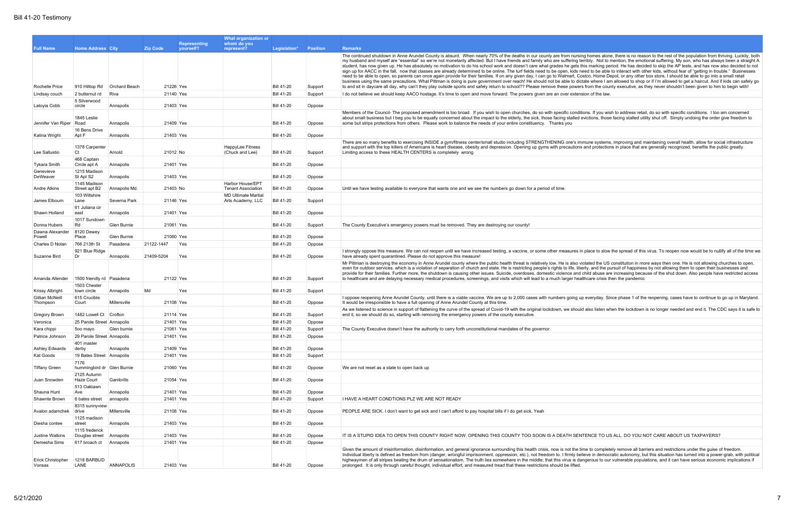|                             |                                    |                         |                 |                                  | What organization or                            |                                        |                  |                                                                                                                                                                                                                                                                                                                                                                                                                                                                                                                                                                                                                                                                                                                                                                                                                                                                                                                                                                                                                                                                                                                                                                                                                                                                                                                                 |
|-----------------------------|------------------------------------|-------------------------|-----------------|----------------------------------|-------------------------------------------------|----------------------------------------|------------------|---------------------------------------------------------------------------------------------------------------------------------------------------------------------------------------------------------------------------------------------------------------------------------------------------------------------------------------------------------------------------------------------------------------------------------------------------------------------------------------------------------------------------------------------------------------------------------------------------------------------------------------------------------------------------------------------------------------------------------------------------------------------------------------------------------------------------------------------------------------------------------------------------------------------------------------------------------------------------------------------------------------------------------------------------------------------------------------------------------------------------------------------------------------------------------------------------------------------------------------------------------------------------------------------------------------------------------|
| <b>Full Name</b>            | <b>Home Address City</b>           |                         | <b>Zip Code</b> | <b>Representing</b><br>vourself? | whom do you<br>represent?                       | Legislation*                           | <b>Position</b>  | <b>Remarks</b>                                                                                                                                                                                                                                                                                                                                                                                                                                                                                                                                                                                                                                                                                                                                                                                                                                                                                                                                                                                                                                                                                                                                                                                                                                                                                                                  |
|                             |                                    |                         |                 |                                  |                                                 |                                        |                  | The continued shutdown in Anne Arundel County is absurd. When nearly 70% of the deaths in our county are from nursing homes alone, there is no reason to the rest of the population from thriving. Luckily, both<br>my husband and myself are "essential" so we're not monetarily affected. But I have friends and family who are suffering terribly. Not to mention, the emotional suffering. My son, who has always been a straight A<br>student, has now given up. He has absolutely no motivation to do his school work and doesn't care what grades he gets this marking period. He has decided to skip the AP tests, and has now also decided to not<br>sign up for AACC in the fall, now that classes are already determined to be online. The turf fields need to be open, kids need to be able to interact with other kids, without fear of "getting in trouble." Businesses<br>need to be able to open, so parents can once again provide for their families. If on any given day, I can go to Walmart, Costco, Home Depot, or any other box store, I should be able to go into a small retail<br>business using the same precautions. What Pittman is doing is pure government over reach! He should not be able to dictate where I am allowed to shop or if I'm allowed to get a haircut. And if kids can safely go |
| Rochelle Price              | 910 Hilltop Rd   Orchard Beach     |                         |                 | 21226 Yes                        |                                                 | <b>Bill 41-20</b>                      | Support          | to and sit in daycare all day, why can't they play outside sports and safely return to school?? Please remove these powers from the county executive, as they never shouldn't been given to him to begin with!                                                                                                                                                                                                                                                                                                                                                                                                                                                                                                                                                                                                                                                                                                                                                                                                                                                                                                                                                                                                                                                                                                                  |
| Lindsay couch               | 2 butternut rd                     | Riva                    |                 | 21140 Yes                        |                                                 | <b>Bill 41-20</b>                      | Support          | I do not believe we should keep AACO hostage. It's time to open and move forward. The powers given are an over extension of the law.                                                                                                                                                                                                                                                                                                                                                                                                                                                                                                                                                                                                                                                                                                                                                                                                                                                                                                                                                                                                                                                                                                                                                                                            |
| Latoyia Cobb                | 5 Silverwood<br>circle             | Annspolis               |                 | 21403 Yes                        |                                                 | <b>Bill 41-20</b>                      | Oppose           |                                                                                                                                                                                                                                                                                                                                                                                                                                                                                                                                                                                                                                                                                                                                                                                                                                                                                                                                                                                                                                                                                                                                                                                                                                                                                                                                 |
| Jennifer Van Riper          | 1845 Leslie<br>Road                | Annapolis               |                 | 21409 Yes                        |                                                 | <b>Bill 41-20</b>                      | Oppose           | Members of the Council- The proposed amendment is too broad. If you wish to open churches, do so with specific conditions. If you wish to address retail, do so with specific conditions. I too am concerned<br>about small business but I beg you to be equally concerned about the impact to the elderly, the sick, those facing stalled evictions, those facing stalled utility shut off. Simply undoing the order give freedom to<br>some but strips protections from others. Please work to balance the needs of your entire constituency. Thanks you                                                                                                                                                                                                                                                                                                                                                                                                                                                                                                                                                                                                                                                                                                                                                                      |
| Katina Wright               | 16 Bens Drive<br>Apt F             | Annapolis               |                 | 21403 Yes                        |                                                 | <b>Bill 41-20</b>                      | Oppose           |                                                                                                                                                                                                                                                                                                                                                                                                                                                                                                                                                                                                                                                                                                                                                                                                                                                                                                                                                                                                                                                                                                                                                                                                                                                                                                                                 |
| Lee Sallustio               | 1378 Carpenter<br>Ct               | Arnold                  |                 | 21012 No                         | HappyLee Fitness<br>(Chuck and Lee)             | <b>Bill 41-20</b>                      | Support          | There are so many benefits to exercising INSIDE a gym/fitness center/small studio including STRENGTHENING one's immune systems, improving and maintaining overall health, allow for social infrastructure<br>and support with the top killers of Americans is heart disease, obesity and depression. Opening up gyms with precautions and protections in place that are generally recognized, benefits the public greatly.<br>Limiting access to these HEALTH CENTERS is completely wrong                                                                                                                                                                                                                                                                                                                                                                                                                                                                                                                                                                                                                                                                                                                                                                                                                                       |
| <b>Tykara Smith</b>         | 468 Captain<br>Circle apt A        | Annapolis               |                 | 21401 Yes                        |                                                 | <b>Bill 41-20</b>                      | Oppose           |                                                                                                                                                                                                                                                                                                                                                                                                                                                                                                                                                                                                                                                                                                                                                                                                                                                                                                                                                                                                                                                                                                                                                                                                                                                                                                                                 |
| Genevieve<br>DeWeaver       | 1215 Madison<br>St Apt S2          | Annapolis               |                 | 21403 Yes                        |                                                 | <b>Bill 41-20</b>                      | Oppose           |                                                                                                                                                                                                                                                                                                                                                                                                                                                                                                                                                                                                                                                                                                                                                                                                                                                                                                                                                                                                                                                                                                                                                                                                                                                                                                                                 |
| Andre Atkins                | 1145 Madison<br>Street apt B2      | Annapolis Md.           | 21403 No        |                                  | Harbor House/EPT<br><b>Tenant Association</b>   | <b>Bill 41-20</b>                      | Oppose           | Until we have testing available to everyone that wants one and we see the numbers go down for a period of time.                                                                                                                                                                                                                                                                                                                                                                                                                                                                                                                                                                                                                                                                                                                                                                                                                                                                                                                                                                                                                                                                                                                                                                                                                 |
| James Elbourn               | 103 Wiltshire<br>Lane              | Severna Park            |                 | 21146 Yes                        | <b>MD Ultimate Martial</b><br>Arts Academy, LLC | <b>Bill 41-20</b>                      | Support          |                                                                                                                                                                                                                                                                                                                                                                                                                                                                                                                                                                                                                                                                                                                                                                                                                                                                                                                                                                                                                                                                                                                                                                                                                                                                                                                                 |
| Shawn Holland               | 61 Juliana cir<br>east             | Annapolis               |                 | 21401 Yes                        |                                                 | <b>Bill 41-20</b>                      | Oppose           |                                                                                                                                                                                                                                                                                                                                                                                                                                                                                                                                                                                                                                                                                                                                                                                                                                                                                                                                                                                                                                                                                                                                                                                                                                                                                                                                 |
| Donna Hubers                | 1017 Sundown<br>Rd                 | Glen Burnie             |                 | 21061 Yes                        |                                                 | <b>Bill 41-20</b>                      | Support          | The County Executive's emergency powers must be removed. They are destroying our county!                                                                                                                                                                                                                                                                                                                                                                                                                                                                                                                                                                                                                                                                                                                                                                                                                                                                                                                                                                                                                                                                                                                                                                                                                                        |
| Dawna Alexander             | 8120 Dewey                         |                         |                 | 21060 Yes                        |                                                 |                                        |                  |                                                                                                                                                                                                                                                                                                                                                                                                                                                                                                                                                                                                                                                                                                                                                                                                                                                                                                                                                                                                                                                                                                                                                                                                                                                                                                                                 |
| Powell<br>Charles D Nolan   | Place<br>766 213th St              | Glen Burnie<br>Pasadena | 21122-1447      | Yes                              |                                                 | <b>Bill 41-20</b><br><b>Bill 41-20</b> | Oppose<br>Oppose |                                                                                                                                                                                                                                                                                                                                                                                                                                                                                                                                                                                                                                                                                                                                                                                                                                                                                                                                                                                                                                                                                                                                                                                                                                                                                                                                 |
|                             | 921 Blue Ridge                     |                         |                 |                                  |                                                 |                                        |                  | I strongly oppose this measure. We can not reopen until we have increased testing, a vaccine, or some other measures in place to slow the spread of this virus. To reopen now would be to nullify all of the time we                                                                                                                                                                                                                                                                                                                                                                                                                                                                                                                                                                                                                                                                                                                                                                                                                                                                                                                                                                                                                                                                                                            |
| Suzanne Bird                | Dr                                 | Annapolis               | 21409-5204      | Yes                              |                                                 | <b>Bill 41-20</b>                      | Oppose           | have already spent quarantined. Please do not approve this measure!                                                                                                                                                                                                                                                                                                                                                                                                                                                                                                                                                                                                                                                                                                                                                                                                                                                                                                                                                                                                                                                                                                                                                                                                                                                             |
| Amanda Allender             | 1500 friendly rd Pasadena          |                         |                 | 21122 Yes                        |                                                 | <b>Bill 41-20</b>                      | Support          | Mr Pittman is destroying the economy in Anne Arundel county where the public health threat is relatively low. He is also violated the US constitution in more ways then one. He is not allowing churches to open,<br>even for outdoor services, which is a violation of separation of church and state. He is restricting people's rights to life, liberty, and the pursuit of happiness by not allowing them to open their businesses and<br>provide for their families. Further more, the shutdown is causing other issues. Suicide, overdoses, domestic violence and child abuse are increasing because of the shut down. Also people have restricted access<br>to healthcare and are delaying necessary medical procedures, screenings, and visits which will lead to a much larger healthcare crisis then the pandemic                                                                                                                                                                                                                                                                                                                                                                                                                                                                                                     |
| <b>Krissy Albright</b>      | 1503 Chester<br>town circle        | Annapolis               | Md              | Yes                              |                                                 | <b>Bill 41-20</b>                      | Support          |                                                                                                                                                                                                                                                                                                                                                                                                                                                                                                                                                                                                                                                                                                                                                                                                                                                                                                                                                                                                                                                                                                                                                                                                                                                                                                                                 |
| Gillian McNeill<br>Thompson | 615 Crucible<br>Court              | Millersville            |                 | 21108 Yes                        |                                                 | <b>Bill 41-20</b>                      | Oppose           | I oppose reopening Anne Arundel County, until there is a viable vaccine. We are up to 2,000 cases with numbers going up everyday. Since phase 1 of the reopening, cases have to continue to go up in Maryland.<br>It would be irresponsible to have a full opening of Anne Arundel County at this time.                                                                                                                                                                                                                                                                                                                                                                                                                                                                                                                                                                                                                                                                                                                                                                                                                                                                                                                                                                                                                         |
| Gregory Brown               | 1482 Lowell Ct Crofton             |                         |                 | 21114 Yes                        |                                                 | <b>Bill 41-20</b>                      | Support          | As we listened to science in support of flattening the curve of the spread of Covid-19 with the original lockdown, we should also listen when the lockdown is no longer needed and end it. The CDC says it is safe to<br>end it, so we should do so, starting with removing the emergency powers of the county executive.                                                                                                                                                                                                                                                                                                                                                                                                                                                                                                                                                                                                                                                                                                                                                                                                                                                                                                                                                                                                       |
| Veronica                    | 25 Parole Street Annapolis         |                         |                 | 21401 Yes                        |                                                 | <b>Bill 41-20</b>                      | Oppose           |                                                                                                                                                                                                                                                                                                                                                                                                                                                                                                                                                                                                                                                                                                                                                                                                                                                                                                                                                                                                                                                                                                                                                                                                                                                                                                                                 |
| Kara chippi                 | 500 mayo                           | Glen burnie             |                 | 21061 Yes                        |                                                 | <b>Bill 41-20</b>                      | Support          | The County Executive doesn't have the authority to carry forth unconstitutional mandates of the governor.                                                                                                                                                                                                                                                                                                                                                                                                                                                                                                                                                                                                                                                                                                                                                                                                                                                                                                                                                                                                                                                                                                                                                                                                                       |
| Patrice Johnson             | 29 Parole Street Annapolis         |                         |                 | 21401 Yes                        |                                                 | <b>Bill 41-20</b>                      | Oppose           |                                                                                                                                                                                                                                                                                                                                                                                                                                                                                                                                                                                                                                                                                                                                                                                                                                                                                                                                                                                                                                                                                                                                                                                                                                                                                                                                 |
| Ashley Edwards              | 401 master<br>derby                | Annapolis               |                 | 21409 Yes                        |                                                 | <b>Bill 41-20</b>                      | Oppose           |                                                                                                                                                                                                                                                                                                                                                                                                                                                                                                                                                                                                                                                                                                                                                                                                                                                                                                                                                                                                                                                                                                                                                                                                                                                                                                                                 |
| Kat Goods                   | 19 Bates Street Annapolis          |                         |                 | 21401 Yes                        |                                                 | <b>Bill 41-20</b>                      | Support          |                                                                                                                                                                                                                                                                                                                                                                                                                                                                                                                                                                                                                                                                                                                                                                                                                                                                                                                                                                                                                                                                                                                                                                                                                                                                                                                                 |
| Tiffany Green               | 7176<br>hummingbird dr Glen Burnie |                         |                 | 21060 Yes                        |                                                 | <b>Bill 41-20</b>                      | Oppose           | We are not reset as a state to open back up                                                                                                                                                                                                                                                                                                                                                                                                                                                                                                                                                                                                                                                                                                                                                                                                                                                                                                                                                                                                                                                                                                                                                                                                                                                                                     |
| Juan Snowden                | 2125 Autumn<br>Haze Court          | Gambrills               |                 | 21054 Yes                        |                                                 | <b>Bill 41-20</b>                      | Oppose           |                                                                                                                                                                                                                                                                                                                                                                                                                                                                                                                                                                                                                                                                                                                                                                                                                                                                                                                                                                                                                                                                                                                                                                                                                                                                                                                                 |
| Shauna Hunt                 | 513 Oaklawn<br>Ave                 | Annapolis               |                 | 21401 Yes                        |                                                 | <b>Bill 41-20</b>                      | Oppose           |                                                                                                                                                                                                                                                                                                                                                                                                                                                                                                                                                                                                                                                                                                                                                                                                                                                                                                                                                                                                                                                                                                                                                                                                                                                                                                                                 |
| Shawnte Brown               | 6 bates street                     | annapolis               |                 | 21401 Yes                        |                                                 | <b>Bill 41-20</b>                      | Support          | I HAVE A HEART CONDTIONS PLZ WE ARE NOT READY                                                                                                                                                                                                                                                                                                                                                                                                                                                                                                                                                                                                                                                                                                                                                                                                                                                                                                                                                                                                                                                                                                                                                                                                                                                                                   |
| Avalon adamchek drive       | 8315 sunnyview                     | Millersville            |                 | 21108 Yes                        |                                                 | <b>Bill 41-20</b>                      | Oppose           | PEOPLE ARE SICK. I don't want to get sick and I can't afford to pay hospital bills if I do get sick. Yeah                                                                                                                                                                                                                                                                                                                                                                                                                                                                                                                                                                                                                                                                                                                                                                                                                                                                                                                                                                                                                                                                                                                                                                                                                       |
| Diesha contee               | 1125 madison<br>street             | Annapolis               |                 | 21403 Yes                        |                                                 | <b>Bill 41-20</b>                      | Oppose           |                                                                                                                                                                                                                                                                                                                                                                                                                                                                                                                                                                                                                                                                                                                                                                                                                                                                                                                                                                                                                                                                                                                                                                                                                                                                                                                                 |
| Justine Watkins             | 1115 frederick<br>Douglas street   | Annapolis               |                 | 21403 Yes                        |                                                 | <b>Bill 41-20</b>                      | Oppose           | IT IS A STUPID IDEA TO OPEN THIS COUNTY RIGHT NOW, OPENING THIS COUNTY TOO SOON IS A DEATH SENTENCE TO US ALL. DO YOU NOT CARE ABOUT US TAXPAYERS?                                                                                                                                                                                                                                                                                                                                                                                                                                                                                                                                                                                                                                                                                                                                                                                                                                                                                                                                                                                                                                                                                                                                                                              |
| Demesha Sims                | 617 broach ct                      | Annapolis               |                 | 21401 Yes                        |                                                 | <b>Bill 41-20</b>                      | Oppose           |                                                                                                                                                                                                                                                                                                                                                                                                                                                                                                                                                                                                                                                                                                                                                                                                                                                                                                                                                                                                                                                                                                                                                                                                                                                                                                                                 |
| Erick Christopher<br>Vonsas | 1218 BARBUD<br>LANE                | ANNAPOLIS               |                 | 21403 Yes                        |                                                 | <b>Bill 41-20</b>                      | Oppose           | Given the amount of misinformation, disinformation, and general ignorance surrounding this health crisis, now is not the time to completely remove all barriers and restrictions under the guise of freedom.<br>Individual liberty is defined as freedom from (danger, wrongful imprisonment, oppression, etc.), not freedom to. I firmly believe in democratic autonomy, but this situation has turned into a power-grab, with political<br>highwaymen of all stripes beating the drum of sensationalism. The truth lies somewhere in the middle; that this virus is dangerous to our vulnerable populations, and it can have serious economic implications if<br>prolonged. It is only through careful thought, individual effort, and measured tread that these restrictions should be lifted.                                                                                                                                                                                                                                                                                                                                                                                                                                                                                                                               |
|                             |                                    |                         |                 |                                  |                                                 |                                        |                  |                                                                                                                                                                                                                                                                                                                                                                                                                                                                                                                                                                                                                                                                                                                                                                                                                                                                                                                                                                                                                                                                                                                                                                                                                                                                                                                                 |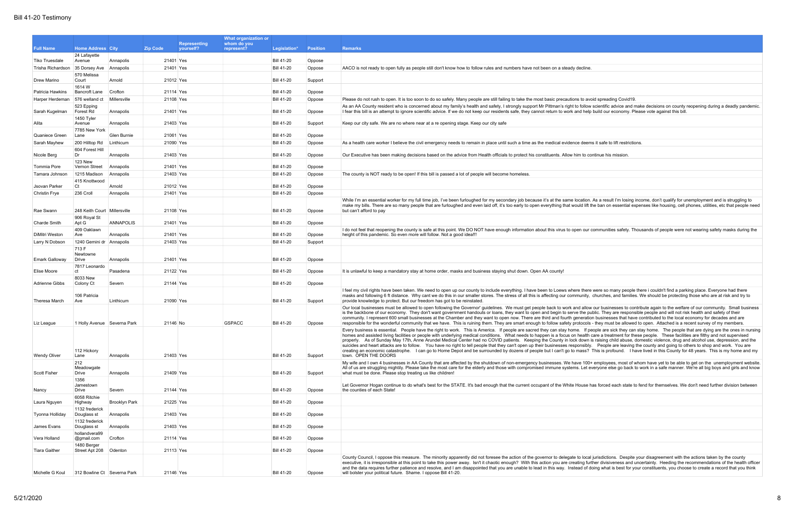|                                                             |                                       |                      | What organization or                                |                           |                                        |                  |                                                                                                                                                                                                                                                                                                                                                                                                                                                  |
|-------------------------------------------------------------|---------------------------------------|----------------------|-----------------------------------------------------|---------------------------|----------------------------------------|------------------|--------------------------------------------------------------------------------------------------------------------------------------------------------------------------------------------------------------------------------------------------------------------------------------------------------------------------------------------------------------------------------------------------------------------------------------------------|
| <b>Full Name</b>                                            | <b>Home Address City</b>              |                      | <b>Representing</b><br><b>Zip Code</b><br>vourself? | whom do you<br>represent? | Legislation*                           | <b>Position</b>  | <b>Remarks</b>                                                                                                                                                                                                                                                                                                                                                                                                                                   |
|                                                             | 24 Lafayette                          |                      |                                                     |                           |                                        |                  |                                                                                                                                                                                                                                                                                                                                                                                                                                                  |
| Tiko Truesdale<br>Trisha Richardson 35 Dorsey Ave Annapolis | Avenue                                | Annapolis            | 21401 Yes<br>21401 Yes                              |                           | <b>Bill 41-20</b><br><b>Bill 41-20</b> | Oppose<br>Oppose | AACO is not ready to open fully as people still don't know how to follow rules and numbers have not been on a steady decline.                                                                                                                                                                                                                                                                                                                    |
|                                                             | 570 Melissa                           |                      |                                                     |                           |                                        |                  |                                                                                                                                                                                                                                                                                                                                                                                                                                                  |
| Drew Marino                                                 | Court<br>1614 W                       | Arnold               | 21012 Yes                                           |                           | <b>Bill 41-20</b>                      | Support          |                                                                                                                                                                                                                                                                                                                                                                                                                                                  |
| Patricia Hawkins                                            | <b>Bancroft Lane</b>                  | Crofton              | 21114 Yes                                           |                           | <b>Bill 41-20</b>                      | Oppose           |                                                                                                                                                                                                                                                                                                                                                                                                                                                  |
| Harper Herdeman                                             | 576 welland ct                        | Millersville         | 21108 Yes                                           |                           | <b>Bill 41-20</b>                      | Oppose           | Please do not rush to open. It is too soon to do so safely. Many people are still failing to take the most basic precautions to avoid spreading Covid19.                                                                                                                                                                                                                                                                                         |
| Sarah Kugelman                                              | 523 Epping<br>Forest Rd               | Annapolis            | 21401 Yes                                           |                           | <b>Bill 41-20</b>                      | Oppose           | As an AA County resident who is concerned about my family's health and safety, I strongly support Mr Pittman's right to follow scientific advice and make decisions on county reopening during a deadly pandemic<br>I fear this bill is an attempt to ignore scientific advice. If we do not keep our residents safe, they cannot return to work and help build our economy. Please vote against this bill.                                      |
|                                                             | 1450 Tyler                            |                      |                                                     |                           |                                        |                  |                                                                                                                                                                                                                                                                                                                                                                                                                                                  |
| Alita                                                       | Avenue<br>7785 New York               | Annapolis            | 21403 Yes                                           |                           | <b>Bill 41-20</b>                      | Support          | Keep our city safe. We are no where near at a re opening stage. Keep our city safe                                                                                                                                                                                                                                                                                                                                                               |
| Quaniece Green                                              | Lane                                  | Glen Burnie          | 21061 Yes                                           |                           | <b>Bill 41-20</b>                      | Oppose           |                                                                                                                                                                                                                                                                                                                                                                                                                                                  |
| Sarah Mayhew                                                | 200 Hilltop Rd                        | Linthicum            | 21090 Yes                                           |                           | <b>Bill 41-20</b>                      | Oppose           | As a health care worker I believe the civil emergency needs to remain in place until such a time as the medical evidence deems it safe to lift restrictions.                                                                                                                                                                                                                                                                                     |
| Nicole Berg                                                 | 604 Forest Hill<br>Dr                 | Annapolis            | 21403 Yes                                           |                           | <b>Bill 41-20</b>                      | Oppose           | Our Executive has been making decisions based on the advice from Health officials to protect his constituents. Allow him to continue his mission.                                                                                                                                                                                                                                                                                                |
| Tommia Pore                                                 | 123 New<br>Vernon Street              | Annapolis            | 21401 Yes                                           |                           | <b>Bill 41-20</b>                      | Oppose           |                                                                                                                                                                                                                                                                                                                                                                                                                                                  |
| Tamara Johnson                                              | 1215 Madison                          | Annapolis            | 21403 Yes                                           |                           | <b>Bill 41-20</b>                      | Oppose           | The county is NOT ready to be open! If this bill is passed a lot of people will become homeless.                                                                                                                                                                                                                                                                                                                                                 |
|                                                             | 415 Knottwood                         |                      |                                                     |                           |                                        |                  |                                                                                                                                                                                                                                                                                                                                                                                                                                                  |
| Jsovan Parker                                               | Ct<br>236 Croll                       | Arnold<br>Annapolis  | 21012 Yes<br>21401 Yes                              |                           | <b>Bill 41-20</b><br><b>Bill 41-20</b> | Oppose<br>Oppose |                                                                                                                                                                                                                                                                                                                                                                                                                                                  |
| <b>Christin Frye</b>                                        |                                       |                      |                                                     |                           |                                        |                  | While I'm an essential worker for my full time job, I've been furloughed for my secondary job because it's at the same location. As a result I'm losing income, don't qualify for unemployment and is struggling to                                                                                                                                                                                                                              |
| Rae Swann                                                   | 248 Keith Court Millersville          |                      | 21108 Yes                                           |                           | <b>Bill 41-20</b>                      | Oppose           | make my bills. There are so many people that are furloughed and even laid off, it's too early to open everything that would lift the ban on essential expenses like housing, cell phones, utilities, etc that people need<br>but can't afford to pay                                                                                                                                                                                             |
|                                                             | 906 Royal St                          |                      |                                                     |                           |                                        |                  |                                                                                                                                                                                                                                                                                                                                                                                                                                                  |
| <b>Charde Smith</b>                                         | Apt G                                 | <b>ANNAPOLIS</b>     | 21401 Yes                                           |                           | <b>Bill 41-20</b>                      | Oppose           |                                                                                                                                                                                                                                                                                                                                                                                                                                                  |
| DiMitri Weston                                              | 409 Oaklawn<br>Ave                    | Annapolis            | 21401 Yes                                           |                           | <b>Bill 41-20</b>                      | Oppose           | I do not feel that reopening the county is safe at this point. We DO NOT have enough information about this virus to open our communities safety. Thousands of people were not wearing safety masks during the<br>height of this pandemic. So even more will follow. Not a good idea!!!                                                                                                                                                          |
| Larry N Dobson                                              | 1240 Gemini dr Annapolis              |                      | 21403 Yes                                           |                           | <b>Bill 41-20</b>                      | Support          |                                                                                                                                                                                                                                                                                                                                                                                                                                                  |
|                                                             | 713 F<br>Newtowne                     |                      |                                                     |                           |                                        |                  |                                                                                                                                                                                                                                                                                                                                                                                                                                                  |
| <b>Emark Galloway</b>                                       | Drive                                 | Annapolis            | 21401 Yes                                           |                           | <b>Bill 41-20</b>                      | Oppose           |                                                                                                                                                                                                                                                                                                                                                                                                                                                  |
| Elise Moore                                                 | 7817 Leonardo<br>ct                   | Pasadena             | 21122 Yes                                           |                           | <b>Bill 41-20</b>                      | Oppose           | It is unlawful to keep a mandatory stay at home order, masks and business staying shut down. Open AA county!                                                                                                                                                                                                                                                                                                                                     |
| Adrienne Gibbs                                              | 8033 New<br>Colony Ct                 | Severn               | 21144 Yes                                           |                           | <b>Bill 41-20</b>                      | Oppose           |                                                                                                                                                                                                                                                                                                                                                                                                                                                  |
|                                                             |                                       |                      |                                                     |                           |                                        |                  | I feel my civil rights have been taken. We need to open up our county to include everything. I have been to Loews where there were so many people there i couldn't find a parking place. Everyone had there                                                                                                                                                                                                                                      |
| Theresa March                                               | 106 Patricia<br>Ave                   | Linthicum            | 21090 Yes                                           |                           | <b>Bill 41-20</b>                      | Support          | masks and following 6 ft distance. Why cant we do this in our smaller stores. The stress of all this is affecting our community, churches, and families. We should be protecting those who are at risk and try to<br>provide knowledge to protect. But our freedom has got to be reinstated                                                                                                                                                      |
|                                                             |                                       |                      |                                                     |                           |                                        |                  | Our local businesses must be allowed to open following the Governor' guidelines. We must get people back to work and allow our businesses to contribute again to the welfare of our community. Small business<br>is the backbone of our economy. They don't want government handouts or loans, they want to open and begin to serve the public. They are responsible people and will not risk health and safety of their                         |
|                                                             |                                       |                      |                                                     |                           |                                        |                  | community. I represent 600 small businesses at the Chamber and they want to open now. There are third and fourth generation businesses that have contributed to the local economy for decades and are                                                                                                                                                                                                                                            |
| Liz League                                                  | 1 Holly Avenue Severna Park           |                      | 21146 No                                            | <b>GSPACC</b>             | <b>Bill 41-20</b>                      | Oppose           | responsible for the wonderful community that we have. This is ruining them. They are smart enough to follow safety protocols - they must be allowed to open. Attached is a recent survey of my members.<br>Every business is essential. People have the right to work. This is America. If people are sacred they can stay home. If people are sick they can stay home. The people that are dying are the ones in nursing                        |
|                                                             |                                       |                      |                                                     |                           |                                        |                  | homes and assisted living facilities or people with underlying medical conditions. What needs to happen is a focus on health care a treatment for these people. These facilities are filthy and not supervised                                                                                                                                                                                                                                   |
|                                                             |                                       |                      |                                                     |                           |                                        |                  | properly. As of Sunday May 17th, Anne Arundel Medical Center had no COVID patients. Keeping the County in lock down is raising child abuse, domestic violence, drug and alcohol use, depression, and the<br>suicides and heart attacks are to follow. You have no right to tell people that they can't open up their businesses responsibly. People are leaving the county and going to others to shop and work. You are                         |
| <b>Wendy Oliver</b>                                         | 112 Hickory<br>Lane                   | Annapolis            | 21403 Yes                                           |                           | <b>Bill 41-20</b>                      | Support          | creating an economic catastrophe. I can go to Home Depot and be surrounded by dozens of people but I can't go to mass? This is profound. I have lived in this County for 48 years. This is my home and my<br>town. OPEN THE DOORS                                                                                                                                                                                                                |
|                                                             | 212                                   |                      |                                                     |                           |                                        |                  | My wife and I own 4 businesses in AA County that are affected by the shutdown of non-emergency businesses. We have 100+ employees, most of whom have yet to be able to get on the unemployment website.                                                                                                                                                                                                                                          |
| Scott Fisher                                                | Meadowgate<br>Drive                   | Annapolis            | 21409 Yes                                           |                           | <b>Bill 41-20</b>                      | Support          | All of us are struggling mightily. Please take the most care for the elderly and those with compromised immune systems. Let everyone else go back to work in a safe manner. We're all big boys and girls and know<br>what must be done. Please stop treating us like children!                                                                                                                                                                   |
|                                                             | 1356                                  |                      |                                                     |                           |                                        |                  |                                                                                                                                                                                                                                                                                                                                                                                                                                                  |
| Nancy                                                       | Jamestown<br>Drive                    | Severn               | 21144 Yes                                           |                           | <b>Bill 41-20</b>                      | Oppose           | Let Governor Hogan continue to do what's best for the STATE. It's bad enough that the current occupant of the White House has forced each state to fend for themselves. We don't need further division between<br>the counties of each State!                                                                                                                                                                                                    |
| Laura Nguyen                                                | 6058 Ritchie<br>Highway               | <b>Brooklyn Park</b> | 21225 Yes                                           |                           | <b>Bill 41-20</b>                      | Oppose           |                                                                                                                                                                                                                                                                                                                                                                                                                                                  |
|                                                             | 1132 frederick                        |                      |                                                     |                           |                                        |                  |                                                                                                                                                                                                                                                                                                                                                                                                                                                  |
| Tyonna Holliday                                             | Douglass st<br>1132 frederick         | Annapolis            | 21403 Yes                                           |                           | <b>Bill 41-20</b>                      | Oppose           |                                                                                                                                                                                                                                                                                                                                                                                                                                                  |
| James Evans                                                 | Douglass st                           | Annapolis            | 21403 Yes                                           |                           | <b>Bill 41-20</b>                      | Oppose           |                                                                                                                                                                                                                                                                                                                                                                                                                                                  |
| Vera Holland                                                | hollandvera99<br>@gmail.com           | Crofton              | 21114 Yes                                           |                           | <b>Bill 41-20</b>                      | Oppose           |                                                                                                                                                                                                                                                                                                                                                                                                                                                  |
| <b>Tiara Gaither</b>                                        | 1480 Berger<br>Street Apt 208 Odenton |                      | 21113 Yes                                           |                           | <b>Bill 41-20</b>                      | Oppose           |                                                                                                                                                                                                                                                                                                                                                                                                                                                  |
|                                                             |                                       |                      |                                                     |                           |                                        |                  | County Council, I oppose this measure. The minority apparently did not foresee the action of the governor to delegate to local jurisdictions. Despite your disagreement with the actions taken by the county                                                                                                                                                                                                                                     |
|                                                             |                                       |                      |                                                     |                           |                                        |                  | executive, it is irresponsible at this point to take this power away. Isn't it chaotic enough? With this action you are creating further divisiveness and uncertainty. Heeding the recommendations of the health officer<br>and the data requires further patience and resolve, and I am disappointed that you are unable to lead in this way. Instead of doing what is best for your constituents, you choose to create a record that you think |
| Michelle G Koul                                             | 312 Bowline Ct Severna Park           |                      | 21146 Yes                                           |                           | <b>Bill 41-20</b>                      | Oppose           | will bolster your political future. Shame. I oppose Bill 41-20.                                                                                                                                                                                                                                                                                                                                                                                  |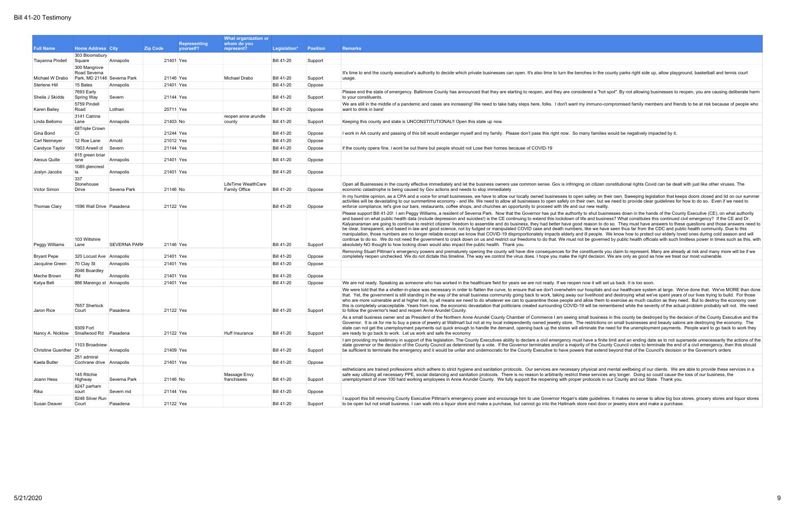ate guidelines. It makes no sense to allow big box stores, grocery stores and liquor stores bre next door or jewelry store and make a purchase.

|                                  |                                            |                       |                        |                     | What organization or                        |                                        |                   |                                                                                                                                                                                                                                                                                                                                                                                                                                                                                                                                                                                                                                                                                                                                                                                                                                                                                                                                                                                                                                                                                                                                                                                                                                                                                                                                                                                            |
|----------------------------------|--------------------------------------------|-----------------------|------------------------|---------------------|---------------------------------------------|----------------------------------------|-------------------|--------------------------------------------------------------------------------------------------------------------------------------------------------------------------------------------------------------------------------------------------------------------------------------------------------------------------------------------------------------------------------------------------------------------------------------------------------------------------------------------------------------------------------------------------------------------------------------------------------------------------------------------------------------------------------------------------------------------------------------------------------------------------------------------------------------------------------------------------------------------------------------------------------------------------------------------------------------------------------------------------------------------------------------------------------------------------------------------------------------------------------------------------------------------------------------------------------------------------------------------------------------------------------------------------------------------------------------------------------------------------------------------|
|                                  |                                            |                       |                        | <b>Representing</b> | whom do you                                 |                                        |                   |                                                                                                                                                                                                                                                                                                                                                                                                                                                                                                                                                                                                                                                                                                                                                                                                                                                                                                                                                                                                                                                                                                                                                                                                                                                                                                                                                                                            |
| <b>Full Name</b>                 | <b>Home Address City</b><br>303 Bloomsbury |                       | <b>Zip Code</b>        | vourself?           | represent?                                  | Legislation*                           | <b>Position</b>   | <b>Remarks</b>                                                                                                                                                                                                                                                                                                                                                                                                                                                                                                                                                                                                                                                                                                                                                                                                                                                                                                                                                                                                                                                                                                                                                                                                                                                                                                                                                                             |
| Tiayanna Pindell                 | Square                                     | Annapolis             | 21401 Yes              |                     |                                             | <b>Bill 41-20</b>                      | Support           |                                                                                                                                                                                                                                                                                                                                                                                                                                                                                                                                                                                                                                                                                                                                                                                                                                                                                                                                                                                                                                                                                                                                                                                                                                                                                                                                                                                            |
|                                  | 300 Mangrove<br>Road Severna               |                       |                        |                     |                                             |                                        |                   | It's time to end the county executive's authority to decide which private businesses can open. It's also time to turn the benches in the county parks right side up, allow playground, basketball and tennis court                                                                                                                                                                                                                                                                                                                                                                                                                                                                                                                                                                                                                                                                                                                                                                                                                                                                                                                                                                                                                                                                                                                                                                         |
| Michael W Drabo<br>Sterlene Hill | Park, MD 21146 Severna Park<br>15 Bates    |                       | 21146 Yes<br>21401 Yes |                     | Michael Drabo                               | <b>Bill 41-20</b><br><b>Bill 41-20</b> | Support           | usage.                                                                                                                                                                                                                                                                                                                                                                                                                                                                                                                                                                                                                                                                                                                                                                                                                                                                                                                                                                                                                                                                                                                                                                                                                                                                                                                                                                                     |
|                                  | 7693 Early                                 | Annapolis             |                        |                     |                                             |                                        | Oppose            | Please end the state of emergency. Baltimore County has announced that they are starting to reopen, and they are considered a "hot spot". By not allowing businesses to reopen, you are causing deliberate harm                                                                                                                                                                                                                                                                                                                                                                                                                                                                                                                                                                                                                                                                                                                                                                                                                                                                                                                                                                                                                                                                                                                                                                            |
| Sheila J Skidds                  | Spring Way                                 | Severn                | 21144 Yes              |                     |                                             | <b>Bill 41-20</b>                      | Support           | to your constituents.                                                                                                                                                                                                                                                                                                                                                                                                                                                                                                                                                                                                                                                                                                                                                                                                                                                                                                                                                                                                                                                                                                                                                                                                                                                                                                                                                                      |
| Karen Bailey                     | 5759 Pindel<br>Road                        | Lothian               |                        | 20711 Yes           |                                             | <b>Bill 41-20</b>                      | Oppose            | We are still in the middle of a pandemic and cases are increasing! We need to take baby steps here, folks. I don't want my immuno-compromised family members and friends to be at risk because of people who<br>want to drink in bars!                                                                                                                                                                                                                                                                                                                                                                                                                                                                                                                                                                                                                                                                                                                                                                                                                                                                                                                                                                                                                                                                                                                                                     |
| Linda Bellomo                    | 3141 Catrina<br>Lane                       | Annapolis             | 21403 No               |                     | reopen anne arundle<br>county               | <b>Bill 41-20</b>                      | Support           | Keeping this county and state is UNCONSTITUTIONAL!! Open this state up now.                                                                                                                                                                                                                                                                                                                                                                                                                                                                                                                                                                                                                                                                                                                                                                                                                                                                                                                                                                                                                                                                                                                                                                                                                                                                                                                |
| Gina Bond                        | 68Triple Crown<br>Ct                       |                       | 21244 Yes              |                     |                                             | <b>Bill 41-20</b>                      | Oppose            | I work in AA county and passing of this bill would endanger myself and my family. Please don't pass this right now. So many families would be negatively impacted by it.                                                                                                                                                                                                                                                                                                                                                                                                                                                                                                                                                                                                                                                                                                                                                                                                                                                                                                                                                                                                                                                                                                                                                                                                                   |
| Carl Neimeyer                    | 12 Roe Lane                                | Arnold                | 21012 Yes              |                     |                                             | <b>Bill 41-20</b>                      | Oppose            |                                                                                                                                                                                                                                                                                                                                                                                                                                                                                                                                                                                                                                                                                                                                                                                                                                                                                                                                                                                                                                                                                                                                                                                                                                                                                                                                                                                            |
| Candyce Taylor                   | 1903 Arwell ct                             | Severn                | 21144 Yes              |                     |                                             | <b>Bill 41-20</b>                      | Oppose            | if the county opens fine, i wont be out there but people should not Lose their homes because of COVID-19                                                                                                                                                                                                                                                                                                                                                                                                                                                                                                                                                                                                                                                                                                                                                                                                                                                                                                                                                                                                                                                                                                                                                                                                                                                                                   |
|                                  | 615 green briar                            |                       |                        |                     |                                             |                                        |                   |                                                                                                                                                                                                                                                                                                                                                                                                                                                                                                                                                                                                                                                                                                                                                                                                                                                                                                                                                                                                                                                                                                                                                                                                                                                                                                                                                                                            |
| Alexus Quille                    | lane                                       | Annapolis             | 21401 Yes              |                     |                                             | <b>Bill 41-20</b>                      | Oppose            |                                                                                                                                                                                                                                                                                                                                                                                                                                                                                                                                                                                                                                                                                                                                                                                                                                                                                                                                                                                                                                                                                                                                                                                                                                                                                                                                                                                            |
| Joslyn Jacobs                    | 1085 glencrest<br>la                       | Annapolis             | 21401 Yes              |                     |                                             | <b>Bill 41-20</b>                      | Oppose            |                                                                                                                                                                                                                                                                                                                                                                                                                                                                                                                                                                                                                                                                                                                                                                                                                                                                                                                                                                                                                                                                                                                                                                                                                                                                                                                                                                                            |
| Victor Simon                     | 337<br>Stonehouse<br>Drive                 | Sevena Park           | 21146 No               |                     | LifeTime WealthCare<br><b>Family Office</b> | <b>Bill 41-20</b>                      | Oppose            | Open all Businesses in the county effective immediately and let the business owners use common sense. Gov is infringing on citizen constitutional rights Covid can be dealt with just like other viruses. The<br>economic catastrophe is being caused by Gov actions and needs to stop immediately                                                                                                                                                                                                                                                                                                                                                                                                                                                                                                                                                                                                                                                                                                                                                                                                                                                                                                                                                                                                                                                                                         |
| Thomas Clary                     | 1596 Wall Drive Pasadena                   |                       | 21122 Yes              |                     |                                             | <b>Bill 41-20</b>                      | Oppose            | In my humble opinion, as a CPA and a voice for small businesses, we have to allow our locally owned businesses to open safely on their own. Sweeping legislation that keeps doors closed and lid on our summer<br>activities will be devastating to our summertime economy - and life. We need to allow all businesses to open safely on their own, but we need to provide clear guidelines for how to do so. Even if we need to<br>enforce compliance, let's give our bars, restaurants, coffee shops, and churches an opportunity to proceed with life and our new reality.                                                                                                                                                                                                                                                                                                                                                                                                                                                                                                                                                                                                                                                                                                                                                                                                              |
| Peggy Williams                   | 103 Wiltshire<br>Lane                      | <b>SEVERNA PARK</b>   | 21146 Yes              |                     |                                             | <b>Bill 41-20</b>                      | Support           | Please support Bill 41-20! I am Peggy Williams, a resident of Severna Park. Now that the Governor has put the authority to shut businesses down in the hands of the County Executive (CE), on what authority<br>and based on what public health data (include depression and suicides!) is the CE continuing to extend this lockdown of life and business? What constitutes this continued civil emergency? If the CE and Dr.<br>Kalyanaraman are going to continue to restrict citizens' freedom to assemble and do business, they had better have good reason to do so. They must have answers to these questions and those answers need to<br>be clear, transparent, and based in law and good science, not by fudged or manipulated COVID case and death numbers, like we have seen thus far from the CDC and public health community. Due to this<br>manipulation, those numbers are no longer reliable except we know that COVID-19 disproportionately impacts elderly and ill people. We know how to protect our elderly loved ones during cold season and will<br>continue to do so. We do not need the government to crack down on us and restrict our freedoms to do that. We must not be governed by public health officials with such limitless power in times such as this, with<br>absolutely NO thought to how locking down would also impact the public health. Thank you. |
| <b>Bryant Pepe</b>               | 320 Locust Ave Annapolis                   |                       | 21401 Yes              |                     |                                             | <b>Bill 41-20</b>                      | Oppose            | Removing Stuart Pittman's emergency powers and prematurely opening the county will have dire consequences for the constituents you claim to represent. Many are already at risk and many more will be if we<br>completely reopen unchecked. We do not dictate this timeline. The way we control the virus does. I hope you make the right decision. We are only as good as how we treat our most vulnerable.                                                                                                                                                                                                                                                                                                                                                                                                                                                                                                                                                                                                                                                                                                                                                                                                                                                                                                                                                                               |
| Jacquline Green                  | 70 Clay St                                 | Annapolis             |                        | 21401 Yes           |                                             | <b>Bill 41-20</b>                      | Oppose            |                                                                                                                                                                                                                                                                                                                                                                                                                                                                                                                                                                                                                                                                                                                                                                                                                                                                                                                                                                                                                                                                                                                                                                                                                                                                                                                                                                                            |
| Meche Brown                      | 2046 Boardley<br>Rd                        | Annapolis             | 21401 Yes              |                     |                                             | <b>Bill 41-20</b>                      | Oppose            |                                                                                                                                                                                                                                                                                                                                                                                                                                                                                                                                                                                                                                                                                                                                                                                                                                                                                                                                                                                                                                                                                                                                                                                                                                                                                                                                                                                            |
| Katya Belt                       | 886 Marengo st Annapolis                   |                       | 21401 Yes              |                     |                                             | <b>Bill 41-20</b>                      | Oppose            | We are not ready. Speaking as someone who has worked in the healthcare field for years we are not ready. If we reopen now it will set us back. It is too soon.                                                                                                                                                                                                                                                                                                                                                                                                                                                                                                                                                                                                                                                                                                                                                                                                                                                                                                                                                                                                                                                                                                                                                                                                                             |
| Jaron Rice                       | 7657 Sherlock<br>Court                     | Pasadena              | 21122 Yes              |                     |                                             | <b>Bill 41-20</b>                      | Support           | We were told that the a shelter-in-place was necessary in order to flatten the curve, to ensure that we don't overwhelm our hospitals and our healthcare system at large. We've done that. We've MORE than done<br>that. Yet, the government is still standing in the way of the small business community going back to work, taking away our livelihood and destroying what we've spent years of our lives trying to build. For those<br>who are more vulnerable and at higher risk, by all means we need to do whatever we can to quarantine those people and allow them to exercise as much caution as they need. But to destroy the economy over<br>this is completely unacceptable. Years from now, the economic devastation that politicians created surrounding COVID-19 will be remembered while the severity of the actual problem probably will not. We need<br>to follow the governor's lead and reopen Anne Arundel County.                                                                                                                                                                                                                                                                                                                                                                                                                                                    |
| Nancy A. Nicklow                 | 9309 Fort<br>Smallwood Rd Pasadena         |                       | 21122 Yes              |                     | Huff Insurance                              | <b>Bill 41-20</b>                      | Support           | As a small business owner and as President of the Northern Anne Arundel County Chamber of Commerce I am seeing small business in this county be destroyed by the decision of the County Executive and the<br>Governor. It is ok for me to buy a piece of jewelry at Wallmart but not at my local independently owned jewelry store. The restrictions on small businesses and beauty salons are destroying the economy. The<br>state can not get the unemployment payments out quick enough to handle the demand, opening back up the stores will eliminate the need for the unemployment payments. People want to go back to work they<br>are ready to go back to work. Let us work and safe the economy                                                                                                                                                                                                                                                                                                                                                                                                                                                                                                                                                                                                                                                                                   |
| Christine Guenther   Dr          | 1103 Broadview                             | Annapolis             | 21409 Yes              |                     |                                             | <b>Bill 41-20</b>                      | Support           | I am providing my testimony in support of this legislation. The County Executives ability to declare a civil emergency must have a finite limit and an ending date as to not supersede unnecessarily the actions of the<br>state governor or the decision of the County Council as determined by a vote. If the Governor terminates and/or a majority of the County Council votes to terminate the end of a civil emergency, then this should<br>be sufficient to terminate the emergency and it would be unfair and undemocratic for the County Executive to have powers that extend beyond that of the Council's decision or the Governor's orders                                                                                                                                                                                                                                                                                                                                                                                                                                                                                                                                                                                                                                                                                                                                       |
| Kaela Butler                     | 251 admiral<br>Cochrane drive Annapolis    |                       | 21401 Yes              |                     |                                             | <b>Bill 41-20</b>                      | Oppose            |                                                                                                                                                                                                                                                                                                                                                                                                                                                                                                                                                                                                                                                                                                                                                                                                                                                                                                                                                                                                                                                                                                                                                                                                                                                                                                                                                                                            |
| Joann Hess                       | 145 Ritchie<br>Highway                     | Severna Park          | 21146 No               |                     | Massage Envy<br>franchisees                 | <b>Bill 41-20</b>                      | Support           | estheticians are trained professions which adhere to strict hygiene and sanitation protocols. Our services are necessary physical and mental wellbeing of our clients. We are able to provide these services in a<br>safe way utilizing all necessary PPE, social distancing and sanitation protocols. There is no reason to arbitrarily restrict these services any longer. Doing so could cause the loss of our business, the<br>unemployment of over 100 hard working employees in Anne Arundel County. We fully support the reopening with proper protocols in our County and our State. Thank you.                                                                                                                                                                                                                                                                                                                                                                                                                                                                                                                                                                                                                                                                                                                                                                                    |
|                                  | 8247 parham                                |                       |                        |                     |                                             |                                        |                   |                                                                                                                                                                                                                                                                                                                                                                                                                                                                                                                                                                                                                                                                                                                                                                                                                                                                                                                                                                                                                                                                                                                                                                                                                                                                                                                                                                                            |
| Rika<br><b>Susan Deaver</b>      | court<br>8248 Silver Run<br>Court          | Severn md<br>Pasadena | 21144 Yes<br>21122 Yes |                     |                                             | <b>Bill 41-20</b><br><b>Bill 41-20</b> | Oppose<br>Support | I support this bill removing County Executive Pittman's emergency power and encourage him to use Governor Hogan's state guidelines. It makes no sense to allow big box stores, grocery stores and liquor stores<br>to be open but not small business. I can walk into a liquor store and make a purchase, but cannot go into the Hallmark store next door or jewelry store and make a purchase.                                                                                                                                                                                                                                                                                                                                                                                                                                                                                                                                                                                                                                                                                                                                                                                                                                                                                                                                                                                            |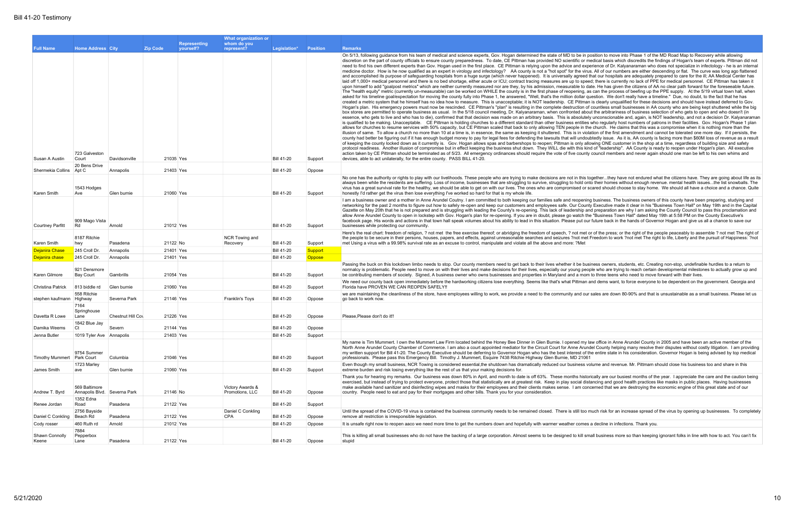|                              |                                               |                   |                 |              | What organization or                |                   |                 |                                                                                                                                                                                                                                                                                                                                                                                                                                                                                                                                                                                                                                                                                                                                                                                                                                                                                                                                                                                                                                                                                                                                                                                                                                                                                                                                                                                                                                                                                                                                                                                                                                                                                                                                                                                                                                                                                                                                                                                                                                                                                                                                                                                                                                                                                                                                                                                                                                                                                                                                                                                                                                                                                                                                                                                                                                                                                                                                                                                                                                                                                                                                                                                                                                                                                                                                                                                                                                                                                                                                                                                                                                                                                                                                                                                                                                                                                                                                                                                                                                                                                                                                                                                                                                                       |
|------------------------------|-----------------------------------------------|-------------------|-----------------|--------------|-------------------------------------|-------------------|-----------------|-------------------------------------------------------------------------------------------------------------------------------------------------------------------------------------------------------------------------------------------------------------------------------------------------------------------------------------------------------------------------------------------------------------------------------------------------------------------------------------------------------------------------------------------------------------------------------------------------------------------------------------------------------------------------------------------------------------------------------------------------------------------------------------------------------------------------------------------------------------------------------------------------------------------------------------------------------------------------------------------------------------------------------------------------------------------------------------------------------------------------------------------------------------------------------------------------------------------------------------------------------------------------------------------------------------------------------------------------------------------------------------------------------------------------------------------------------------------------------------------------------------------------------------------------------------------------------------------------------------------------------------------------------------------------------------------------------------------------------------------------------------------------------------------------------------------------------------------------------------------------------------------------------------------------------------------------------------------------------------------------------------------------------------------------------------------------------------------------------------------------------------------------------------------------------------------------------------------------------------------------------------------------------------------------------------------------------------------------------------------------------------------------------------------------------------------------------------------------------------------------------------------------------------------------------------------------------------------------------------------------------------------------------------------------------------------------------------------------------------------------------------------------------------------------------------------------------------------------------------------------------------------------------------------------------------------------------------------------------------------------------------------------------------------------------------------------------------------------------------------------------------------------------------------------------------------------------------------------------------------------------------------------------------------------------------------------------------------------------------------------------------------------------------------------------------------------------------------------------------------------------------------------------------------------------------------------------------------------------------------------------------------------------------------------------------------------------------------------------------------------------------------------------------------------------------------------------------------------------------------------------------------------------------------------------------------------------------------------------------------------------------------------------------------------------------------------------------------------------------------------------------------------------------------------------------------------------------------------------------------------------|
|                              |                                               |                   |                 | Representing | whom do you                         |                   |                 |                                                                                                                                                                                                                                                                                                                                                                                                                                                                                                                                                                                                                                                                                                                                                                                                                                                                                                                                                                                                                                                                                                                                                                                                                                                                                                                                                                                                                                                                                                                                                                                                                                                                                                                                                                                                                                                                                                                                                                                                                                                                                                                                                                                                                                                                                                                                                                                                                                                                                                                                                                                                                                                                                                                                                                                                                                                                                                                                                                                                                                                                                                                                                                                                                                                                                                                                                                                                                                                                                                                                                                                                                                                                                                                                                                                                                                                                                                                                                                                                                                                                                                                                                                                                                                                       |
| <b>Full Name</b>             | <b>Home Address City</b>                      |                   | <b>Zip Code</b> | yourself?    | represent?                          | Legislation*      | <b>Position</b> | <b>Remarks</b><br>On 5/13, following guidance from his team of medical and science experts, Gov. Hogan determined the state of MD to be in position to move into Phase 1 of the MD Road Map to Recovery while allowing                                                                                                                                                                                                                                                                                                                                                                                                                                                                                                                                                                                                                                                                                                                                                                                                                                                                                                                                                                                                                                                                                                                                                                                                                                                                                                                                                                                                                                                                                                                                                                                                                                                                                                                                                                                                                                                                                                                                                                                                                                                                                                                                                                                                                                                                                                                                                                                                                                                                                                                                                                                                                                                                                                                                                                                                                                                                                                                                                                                                                                                                                                                                                                                                                                                                                                                                                                                                                                                                                                                                                                                                                                                                                                                                                                                                                                                                                                                                                                                                                                |
| Susan A Austin               | 723 Galveston<br>Court                        | Davidsonville     |                 | 21035 Yes    |                                     | <b>Bill 41-20</b> | Support         | discretion on the part of county officials to ensure county preparedness. To date, CE Pittman has provided NO scientific or medical basis which discredits the findings of Hogan's team of experts. Pittman did no<br>need to find his own different experts than Gov. Hogan used in the first place. CE Pittman is relying upon the advice and experience of Dr. Kalyanaraman who does not specialize in infectology - he is an interna<br>medicine doctor. How is he now qualified as an expert in virology and infectology? AA county is not a "hot spot" for the virus. All of our numbers are either descending or flat. The curve was long ago flattened<br>and accomplished its purpose of safequarding hospitals from a huge surge (which never happened). It is universally agreed that our hospitals are adequately prepared to care for the ill; AA Medical Center has<br>laid off 1,000+ medical personnel and there is no bed shortage, either acute or ICU; contract tracing measures are up to speed; there is currently no lack of PPE for medical personnel. CE Pittman has taken it<br>upon himself to add "goalpost metrics" which are neither currently measured nor are they, by his admission, measurable to date. He has given the citizens of AA no clear path forward for the foreseeable future.<br>The "health equity" metric (currently un-measurable) can be worked on WHILE the county is in the first phase of reopening, as can the process of beefing up the PPE supply. At the 5/19 virtual town hall, when<br>asked for his timeline goal/expectation for moving the county fully into Phase 1, he answered, "Well, that's the million dollar question. We don't really have a timeline." Due, no doubt, to the fact that he has<br>created a metric system that he himself has no idea how to measure. This is unacceptable; it is NOT leadership. CE Pittman is clearly unqualified for these decisions and should have instead deferred to Gov.<br>Hogan's plan. His emergency powers must now be rescinded. CE Pittman's "plan" is resulting in the complete destruction of countless small businesses in AA county who are being kept shuttered while the big<br>box stores are permitted to operate business as usual. In the 5/18 council meeting, Dr. Kalyanaraman, when confronted about the arbitrariness of business selection of who gets to open and who doesn't (in<br>essence, who gets to live and who has to die), confirmed that that decision was made on an arbitrary basis. This is absolutely unconscionable and, again, is NOT leadership, and not a decision Dr. Kalyanarama<br>is qualified to be making. Unacceptable. CE Pittman is holding churches to a different standard than other business entities who regularly host numbers of patrons in their facilities. Gov. Hogan's Phase 1 plan<br>allows for churches to resume services with 50% capacity, but CE Pittman scaled that back to only allowing TEN people in the church. He claims that this was a compromise when it is nothing more than the<br>illusion of same. To allow a church no more than 10 at a time is, in essence, the same as keeping it shuttered. This is in violation of the first amendment and cannot be tolerated one more day. If it persists, the<br>county had better be figuring out if it has enough budget money to pay for legal fees for defending the lawsuits that will undoubtedly issue. As it is, AA county is facing more than \$60M loss of revenue as a resu<br>of keeping the county locked down as it currently is. Gov. Hogan allows spas and barbershops to reopen; Pittman is only allowing ONE customer in the shop at a time, regardless of building size and safety<br>protocol readiness. Another illusion of compromise but in effect keeping the business shut down. They WILL die with this kind of "leadership". AA County is ready to reopen under Hogan's plan. All executive<br>action taken by CE Pittman should be terminated as of 5/23. All emergency ordinances should require the vote of five county council members and never again should one man be left to his own whims and<br>devices, able to act unilaterally, for the entire county. PASS BILL 41-20. |
| Shermekia Collins            | 20 Bens Drive<br>Apt C                        | Annapolis         |                 | 21403 Yes    |                                     | <b>Bill 41-20</b> | Oppose          |                                                                                                                                                                                                                                                                                                                                                                                                                                                                                                                                                                                                                                                                                                                                                                                                                                                                                                                                                                                                                                                                                                                                                                                                                                                                                                                                                                                                                                                                                                                                                                                                                                                                                                                                                                                                                                                                                                                                                                                                                                                                                                                                                                                                                                                                                                                                                                                                                                                                                                                                                                                                                                                                                                                                                                                                                                                                                                                                                                                                                                                                                                                                                                                                                                                                                                                                                                                                                                                                                                                                                                                                                                                                                                                                                                                                                                                                                                                                                                                                                                                                                                                                                                                                                                                       |
| Karen Smith                  | 1543 Hodges<br>Ave                            | Glen burnie       | 21060 Yes       |              |                                     | <b>Bill 41-20</b> | Support         | No one has the authority or rights to play with our livelihoods. These people who are trying to make decisions are not in this togetherthey have not endured what the citizens have. They are going about life as<br>always been while the residents are suffering. Loss of income, businesses that are struggling to survive, struggling to hold onto their homes without enough revenue. mental health issuesthe list snowballs. The<br>virus has a great survival rate for the healthy, we should be able to get on with our lives. The ones who are compromised or scared should choose to stay home. We should all have a choice and a chance. Quit<br>honestly I'd rather get the virus then lose everything I've worked so hard for that is my whole life.                                                                                                                                                                                                                                                                                                                                                                                                                                                                                                                                                                                                                                                                                                                                                                                                                                                                                                                                                                                                                                                                                                                                                                                                                                                                                                                                                                                                                                                                                                                                                                                                                                                                                                                                                                                                                                                                                                                                                                                                                                                                                                                                                                                                                                                                                                                                                                                                                                                                                                                                                                                                                                                                                                                                                                                                                                                                                                                                                                                                                                                                                                                                                                                                                                                                                                                                                                                                                                                                                     |
| Courtney Parfitt             | 909 Mago Vista<br>Rd                          | Arnold            |                 | 21012 Yes    |                                     | <b>Bill 41-20</b> | Support         | I am a business owner and a mother in Anne Arundel Coutny. I am committed to both keeping our families safe and reopening business. The business owners of this county have been preparing, studying and<br>networking for the past 2 months to figure out how to safely re-open and keep our customers and employees safe. Our County Executive made it clear in his "Business Town Hall" on May 19th and in the Capita<br>Gazette on May 20th that he is not prepared and is struggling with leading the County's re-opening. This lack of leadership and preparation are why I am asking the County Council to pass this proclamation and<br>allow Anne Arundel County to open in lockstep with Gov. Hogan's plan for re-opening. If you are in doubt, please go watch the "Business Town Hall" dated May 19th at 5:58 PM on the County Executive's<br>facebook page. His words and actions in that town hall speak volumes about his ability to lead in this situation. Please put our future back in the hands of Governor Hogan and give us all a chance to save our<br>businesses while protecting our community.                                                                                                                                                                                                                                                                                                                                                                                                                                                                                                                                                                                                                                                                                                                                                                                                                                                                                                                                                                                                                                                                                                                                                                                                                                                                                                                                                                                                                                                                                                                                                                                                                                                                                                                                                                                                                                                                                                                                                                                                                                                                                                                                                                                                                                                                                                                                                                                                                                                                                                                                                                                                                                                                                                                                                                                                                                                                                                                                                                                                                                                                                                                              |
|                              | 8187 Ritchie                                  |                   |                 |              | NCR Towing and                      |                   |                 | Here's the real chart: freedom of religion, ? not met the free exercise thereof; or abridging the freedom of speech, ? not met or of the press; or the right of the people peaceably to assemble ? not met The right of<br>the people to be secure in their persons, houses, papers, and effects, against unreasonable searches and seizures ?not met Freedom to work ?not met The right to life, Liberty and the pursuit of Happiness: ?nc                                                                                                                                                                                                                                                                                                                                                                                                                                                                                                                                                                                                                                                                                                                                                                                                                                                                                                                                                                                                                                                                                                                                                                                                                                                                                                                                                                                                                                                                                                                                                                                                                                                                                                                                                                                                                                                                                                                                                                                                                                                                                                                                                                                                                                                                                                                                                                                                                                                                                                                                                                                                                                                                                                                                                                                                                                                                                                                                                                                                                                                                                                                                                                                                                                                                                                                                                                                                                                                                                                                                                                                                                                                                                                                                                                                                           |
| Karen Smith                  | hwy                                           | Pasadena          | 21122 No        |              | Recovery                            | <b>Bill 41-20</b> | Support         | met Using a virus with a 99.98% survival rate as an excuse to control, manipulate and violate all the above and more: ?Met                                                                                                                                                                                                                                                                                                                                                                                                                                                                                                                                                                                                                                                                                                                                                                                                                                                                                                                                                                                                                                                                                                                                                                                                                                                                                                                                                                                                                                                                                                                                                                                                                                                                                                                                                                                                                                                                                                                                                                                                                                                                                                                                                                                                                                                                                                                                                                                                                                                                                                                                                                                                                                                                                                                                                                                                                                                                                                                                                                                                                                                                                                                                                                                                                                                                                                                                                                                                                                                                                                                                                                                                                                                                                                                                                                                                                                                                                                                                                                                                                                                                                                                            |
| Dejanira Chase               | 245 Croll Dr.                                 | Annapolis         | 21401 Yes       |              |                                     | <b>Bill 41-20</b> | Support         |                                                                                                                                                                                                                                                                                                                                                                                                                                                                                                                                                                                                                                                                                                                                                                                                                                                                                                                                                                                                                                                                                                                                                                                                                                                                                                                                                                                                                                                                                                                                                                                                                                                                                                                                                                                                                                                                                                                                                                                                                                                                                                                                                                                                                                                                                                                                                                                                                                                                                                                                                                                                                                                                                                                                                                                                                                                                                                                                                                                                                                                                                                                                                                                                                                                                                                                                                                                                                                                                                                                                                                                                                                                                                                                                                                                                                                                                                                                                                                                                                                                                                                                                                                                                                                                       |
| <b>Dejanira chase</b>        | 245 Croll Dr.                                 | Annapolis         |                 | 21401 Yes    |                                     | <b>Bill 41-20</b> | <b>Oppose</b>   |                                                                                                                                                                                                                                                                                                                                                                                                                                                                                                                                                                                                                                                                                                                                                                                                                                                                                                                                                                                                                                                                                                                                                                                                                                                                                                                                                                                                                                                                                                                                                                                                                                                                                                                                                                                                                                                                                                                                                                                                                                                                                                                                                                                                                                                                                                                                                                                                                                                                                                                                                                                                                                                                                                                                                                                                                                                                                                                                                                                                                                                                                                                                                                                                                                                                                                                                                                                                                                                                                                                                                                                                                                                                                                                                                                                                                                                                                                                                                                                                                                                                                                                                                                                                                                                       |
| Karen Gilmore                | 921 Densmore<br><b>Bay Court</b>              | Gambrills         | 21054 Yes       |              |                                     | <b>Bill 41-20</b> | Support         | Passing the buck on this lockdown limbo needs to stop. Our county members need to get back to their lives whether it be business owners, students, etc. Creating non-stop, undefinable hurdles to a return to<br>normalcy is problematic. People need to move on with their lives and make decisions for their lives, especially our young people who are trying to reach certain developmental milestones to actually grow up and<br>be contributing members of society. Signed, A business owner who owns businesses and properties in Maryland and a mom to three teens who need to move forward with their lives.                                                                                                                                                                                                                                                                                                                                                                                                                                                                                                                                                                                                                                                                                                                                                                                                                                                                                                                                                                                                                                                                                                                                                                                                                                                                                                                                                                                                                                                                                                                                                                                                                                                                                                                                                                                                                                                                                                                                                                                                                                                                                                                                                                                                                                                                                                                                                                                                                                                                                                                                                                                                                                                                                                                                                                                                                                                                                                                                                                                                                                                                                                                                                                                                                                                                                                                                                                                                                                                                                                                                                                                                                                 |
| Christina Patrick            | 813 biddle rd                                 | Glen burnie       |                 | 21060 Yes    |                                     | <b>Bill 41-20</b> | Support         | We need our county back open immediately before the hardworking citizens lose everything. Seems like that's what Pittman and dems want, to force everyone to be dependent on the government. Georgia and<br>Florida have PROVEN WE CAN REOPEN SAFELY!!                                                                                                                                                                                                                                                                                                                                                                                                                                                                                                                                                                                                                                                                                                                                                                                                                                                                                                                                                                                                                                                                                                                                                                                                                                                                                                                                                                                                                                                                                                                                                                                                                                                                                                                                                                                                                                                                                                                                                                                                                                                                                                                                                                                                                                                                                                                                                                                                                                                                                                                                                                                                                                                                                                                                                                                                                                                                                                                                                                                                                                                                                                                                                                                                                                                                                                                                                                                                                                                                                                                                                                                                                                                                                                                                                                                                                                                                                                                                                                                                |
| stephen kaufmann Highway     | 558 Ritchie                                   | Severna Park      |                 | 21146 Yes    | <b>Franklin's Toys</b>              | <b>Bill 41-20</b> | Oppose          | we are maintaining the cleanliness of the store, have employees willing to work, we provide a need to the community and our sales are down 80-90% and that is unsustainable as a small business. Please let us<br>go back to work now.                                                                                                                                                                                                                                                                                                                                                                                                                                                                                                                                                                                                                                                                                                                                                                                                                                                                                                                                                                                                                                                                                                                                                                                                                                                                                                                                                                                                                                                                                                                                                                                                                                                                                                                                                                                                                                                                                                                                                                                                                                                                                                                                                                                                                                                                                                                                                                                                                                                                                                                                                                                                                                                                                                                                                                                                                                                                                                                                                                                                                                                                                                                                                                                                                                                                                                                                                                                                                                                                                                                                                                                                                                                                                                                                                                                                                                                                                                                                                                                                                |
| Davetta R Lowe               | 7164<br>Springhouse<br>Lane                   | Chestnut Hill Cov |                 | 21226 Yes    |                                     | <b>Bill 41-20</b> | Oppose          | Please, Please don't do it!!                                                                                                                                                                                                                                                                                                                                                                                                                                                                                                                                                                                                                                                                                                                                                                                                                                                                                                                                                                                                                                                                                                                                                                                                                                                                                                                                                                                                                                                                                                                                                                                                                                                                                                                                                                                                                                                                                                                                                                                                                                                                                                                                                                                                                                                                                                                                                                                                                                                                                                                                                                                                                                                                                                                                                                                                                                                                                                                                                                                                                                                                                                                                                                                                                                                                                                                                                                                                                                                                                                                                                                                                                                                                                                                                                                                                                                                                                                                                                                                                                                                                                                                                                                                                                          |
| Damika Weems                 | 1842 Blue Jay<br><b>Ct</b>                    | Severn            |                 | 21144 Yes    |                                     | <b>Bill 41-20</b> | Oppose          |                                                                                                                                                                                                                                                                                                                                                                                                                                                                                                                                                                                                                                                                                                                                                                                                                                                                                                                                                                                                                                                                                                                                                                                                                                                                                                                                                                                                                                                                                                                                                                                                                                                                                                                                                                                                                                                                                                                                                                                                                                                                                                                                                                                                                                                                                                                                                                                                                                                                                                                                                                                                                                                                                                                                                                                                                                                                                                                                                                                                                                                                                                                                                                                                                                                                                                                                                                                                                                                                                                                                                                                                                                                                                                                                                                                                                                                                                                                                                                                                                                                                                                                                                                                                                                                       |
| Jenna Butler                 | 1019 Tyler Ave Annapolis                      |                   |                 | 21403 Yes    |                                     | <b>Bill 41-20</b> | Support         |                                                                                                                                                                                                                                                                                                                                                                                                                                                                                                                                                                                                                                                                                                                                                                                                                                                                                                                                                                                                                                                                                                                                                                                                                                                                                                                                                                                                                                                                                                                                                                                                                                                                                                                                                                                                                                                                                                                                                                                                                                                                                                                                                                                                                                                                                                                                                                                                                                                                                                                                                                                                                                                                                                                                                                                                                                                                                                                                                                                                                                                                                                                                                                                                                                                                                                                                                                                                                                                                                                                                                                                                                                                                                                                                                                                                                                                                                                                                                                                                                                                                                                                                                                                                                                                       |
| Timothy Mummert   Park Court | 9754 Summer                                   | Columbia          |                 | 21046 Yes    |                                     | <b>Bill 41-20</b> | Support         | My name is Tim Mummert. I own the Mummert Law Firm located behind the Honey Bee Dinner in Glen Burnie. I opened my law office in Anne Arundel County in 2005 and have been an active member of the<br>North Anne Arundel County Chamber of Commerce. I am also a court appointed mediator for the Circuit Court for Anne Arundel County helping many resolve their disputes without costly litigation. I am providin<br>my written support for Bill 41-20. The County Executive should be deferring to Governor Hogan who has the best interest of the entire state in his consideration. Governor Hogan is being advised by top medical<br>professionals. Please pass this Emergency Bill. Timothy J. Mummert, Esquire 7438 Ritchie Highway Glen Burnie, MD 21061                                                                                                                                                                                                                                                                                                                                                                                                                                                                                                                                                                                                                                                                                                                                                                                                                                                                                                                                                                                                                                                                                                                                                                                                                                                                                                                                                                                                                                                                                                                                                                                                                                                                                                                                                                                                                                                                                                                                                                                                                                                                                                                                                                                                                                                                                                                                                                                                                                                                                                                                                                                                                                                                                                                                                                                                                                                                                                                                                                                                                                                                                                                                                                                                                                                                                                                                                                                                                                                                                    |
| James Smith                  | 1723 Marley<br>ave                            | Glen burnie       |                 | 21060 Yes    |                                     | <b>Bill 41-20</b> | Support         | Even though my small business, NCR Towing is considered essential, the shutdown has dramatically reduced our business volume and revenue. Mr. Pittmam should close his business too and share in this<br>extreme burden and risk losing everything like the rest of us that your making decisions for.                                                                                                                                                                                                                                                                                                                                                                                                                                                                                                                                                                                                                                                                                                                                                                                                                                                                                                                                                                                                                                                                                                                                                                                                                                                                                                                                                                                                                                                                                                                                                                                                                                                                                                                                                                                                                                                                                                                                                                                                                                                                                                                                                                                                                                                                                                                                                                                                                                                                                                                                                                                                                                                                                                                                                                                                                                                                                                                                                                                                                                                                                                                                                                                                                                                                                                                                                                                                                                                                                                                                                                                                                                                                                                                                                                                                                                                                                                                                                |
| Andrew T. Byrd               | 569 Baltimore<br>Annapolis Blvd. Severna Park |                   | 21146 No        |              | Victory Awards &<br>Promotions, LLC | <b>Bill 41-20</b> | Oppose          | Thank you for hearing my remarks. Our business was down 80% in April, and month to date is off 63%. These months historically are our busiest months of the year. I appreciate the care and the caution bein<br>exercised, but instead of trying to protect everyone, protect those that statistically are at greatest risk. Keep in play social distancing and good health practices like masks in public places. Having businesses<br>make available hand sanitizer and disinfecting wipes and masks for their employees and their clients makes sense. I am concerned that we are destroying the economic engine of this great state and of our<br>country. People need to eat and pay for their mortgages and other bills. Thank you for your consideration.                                                                                                                                                                                                                                                                                                                                                                                                                                                                                                                                                                                                                                                                                                                                                                                                                                                                                                                                                                                                                                                                                                                                                                                                                                                                                                                                                                                                                                                                                                                                                                                                                                                                                                                                                                                                                                                                                                                                                                                                                                                                                                                                                                                                                                                                                                                                                                                                                                                                                                                                                                                                                                                                                                                                                                                                                                                                                                                                                                                                                                                                                                                                                                                                                                                                                                                                                                                                                                                                                      |
| Renee Jordan                 | 1352 Edna<br>Road                             | Pasadena          |                 | 21122 Yes    |                                     | <b>Bill 41-20</b> | Support         |                                                                                                                                                                                                                                                                                                                                                                                                                                                                                                                                                                                                                                                                                                                                                                                                                                                                                                                                                                                                                                                                                                                                                                                                                                                                                                                                                                                                                                                                                                                                                                                                                                                                                                                                                                                                                                                                                                                                                                                                                                                                                                                                                                                                                                                                                                                                                                                                                                                                                                                                                                                                                                                                                                                                                                                                                                                                                                                                                                                                                                                                                                                                                                                                                                                                                                                                                                                                                                                                                                                                                                                                                                                                                                                                                                                                                                                                                                                                                                                                                                                                                                                                                                                                                                                       |
| Daniel C Conkling            | 2756 Bayside<br>Beach Rd                      | Pasadena          |                 | 21122 Yes    | Daniel C Conkling<br><b>CPA</b>     | <b>Bill 41-20</b> | Oppose          | Until the spread of the COVID-19 virus is contained the business community needs to be remained closed. There is still too much risk for an increase spread of the virus by opening up businesses. To complete<br>remove all restriction is irresponsible legislation.                                                                                                                                                                                                                                                                                                                                                                                                                                                                                                                                                                                                                                                                                                                                                                                                                                                                                                                                                                                                                                                                                                                                                                                                                                                                                                                                                                                                                                                                                                                                                                                                                                                                                                                                                                                                                                                                                                                                                                                                                                                                                                                                                                                                                                                                                                                                                                                                                                                                                                                                                                                                                                                                                                                                                                                                                                                                                                                                                                                                                                                                                                                                                                                                                                                                                                                                                                                                                                                                                                                                                                                                                                                                                                                                                                                                                                                                                                                                                                                |
| Cody rosser                  | 460 Ruth rd                                   | Arnold            |                 | 21012 Yes    |                                     | <b>Bill 41-20</b> | Oppose          | It is unsafe right now to reopen aaco we need more time to get the numbers down and hopefully with warmer weather comes a decline in infections. Thank you.                                                                                                                                                                                                                                                                                                                                                                                                                                                                                                                                                                                                                                                                                                                                                                                                                                                                                                                                                                                                                                                                                                                                                                                                                                                                                                                                                                                                                                                                                                                                                                                                                                                                                                                                                                                                                                                                                                                                                                                                                                                                                                                                                                                                                                                                                                                                                                                                                                                                                                                                                                                                                                                                                                                                                                                                                                                                                                                                                                                                                                                                                                                                                                                                                                                                                                                                                                                                                                                                                                                                                                                                                                                                                                                                                                                                                                                                                                                                                                                                                                                                                           |
| Shawn Connolly               | 7884<br>Pepperbox                             |                   |                 |              |                                     |                   |                 | This is killing all small businesses who do not have the backing of a large corporation. Almost seems to be designed to kill small business more so than keeping ignorant folks in line with how to act. You can't fix                                                                                                                                                                                                                                                                                                                                                                                                                                                                                                                                                                                                                                                                                                                                                                                                                                                                                                                                                                                                                                                                                                                                                                                                                                                                                                                                                                                                                                                                                                                                                                                                                                                                                                                                                                                                                                                                                                                                                                                                                                                                                                                                                                                                                                                                                                                                                                                                                                                                                                                                                                                                                                                                                                                                                                                                                                                                                                                                                                                                                                                                                                                                                                                                                                                                                                                                                                                                                                                                                                                                                                                                                                                                                                                                                                                                                                                                                                                                                                                                                                |
| Keene                        | Lane                                          | Pasadena          |                 | 21122 Yes    |                                     | <b>Bill 41-20</b> | Oppose          | stupid                                                                                                                                                                                                                                                                                                                                                                                                                                                                                                                                                                                                                                                                                                                                                                                                                                                                                                                                                                                                                                                                                                                                                                                                                                                                                                                                                                                                                                                                                                                                                                                                                                                                                                                                                                                                                                                                                                                                                                                                                                                                                                                                                                                                                                                                                                                                                                                                                                                                                                                                                                                                                                                                                                                                                                                                                                                                                                                                                                                                                                                                                                                                                                                                                                                                                                                                                                                                                                                                                                                                                                                                                                                                                                                                                                                                                                                                                                                                                                                                                                                                                                                                                                                                                                                |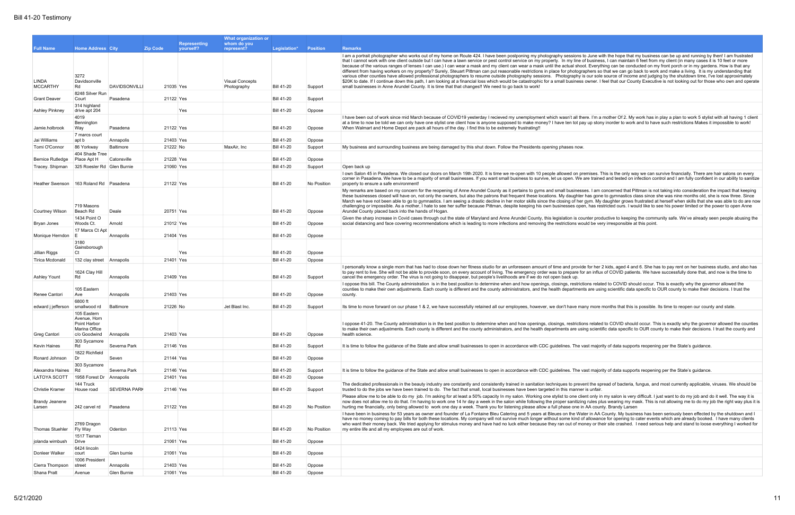|                                 |                                                              |                     |                              | What organization or                 |                   |                 |                                                                                                                                                                                                                                                                                                                                                                                                                                                                                                                                                                                                                                                                                                                                                                                                                                                                                                                                                                                                                                                                                                |
|---------------------------------|--------------------------------------------------------------|---------------------|------------------------------|--------------------------------------|-------------------|-----------------|------------------------------------------------------------------------------------------------------------------------------------------------------------------------------------------------------------------------------------------------------------------------------------------------------------------------------------------------------------------------------------------------------------------------------------------------------------------------------------------------------------------------------------------------------------------------------------------------------------------------------------------------------------------------------------------------------------------------------------------------------------------------------------------------------------------------------------------------------------------------------------------------------------------------------------------------------------------------------------------------------------------------------------------------------------------------------------------------|
|                                 |                                                              |                     | <b>Representing</b>          | whom do you                          |                   |                 |                                                                                                                                                                                                                                                                                                                                                                                                                                                                                                                                                                                                                                                                                                                                                                                                                                                                                                                                                                                                                                                                                                |
| <b>Full Name</b>                | <b>Home Address City</b><br>3272                             |                     | <b>Zip Code</b><br>yourself? | represent?<br><b>Visual Concepts</b> | Legislation*      | <b>Position</b> | <b>Remarks</b><br>I am a portrait photographer who works out of my home on Route 424. I have been postponing my photography sessions to June with the hope that my business can be up and running by then! I am frustrated<br>that I cannot work with one client outside but I can have a lawn service or pest control service on my property. In my line of business, I can maintain 6 feet from my client (in many cases it is 10 feet or more<br>because of the various ranges of lenses I can use.) I can wear a mask and my client can wear a mask until the actual shoot. Everything can be conducted on my front porch or in my gardens. How is that any<br>different from having workers on my property? Surely, Steuart Pittman can put reasonable restrictions in place for photographers so that we can go back to work and make a living. It is my understanding that<br>various other counties have allowed professional photographers to resume outside photography sessions. Photography is our sole source of income and judging by the shutdown time, I've lost approximately |
| <b>LINDA</b><br><b>MCCARTHY</b> | Davidsonville<br>Rd                                          | DAVIDSONVILLI       | 21035 Yes                    | Photography                          | <b>Bill 41-20</b> | Support         | \$20K to date. If I continue down this path, I am looking at a financial loss which would be catastrophic for a small business owner. I feel that our County Executive is not looking out for those who own and operate<br>small businesses in Anne Arundel County. It is time that that changes!! We need to go back to work!                                                                                                                                                                                                                                                                                                                                                                                                                                                                                                                                                                                                                                                                                                                                                                 |
| <b>Grant Deaver</b>             | 8248 Silver Run<br>Court                                     | Pasadena            | 21122 Yes                    |                                      | <b>Bill 41-20</b> | Support         |                                                                                                                                                                                                                                                                                                                                                                                                                                                                                                                                                                                                                                                                                                                                                                                                                                                                                                                                                                                                                                                                                                |
| <b>Ashley Pinkney</b>           | 314 highland<br>drive apt 204                                |                     | Yes                          |                                      | <b>Bill 41-20</b> | Oppose          |                                                                                                                                                                                                                                                                                                                                                                                                                                                                                                                                                                                                                                                                                                                                                                                                                                                                                                                                                                                                                                                                                                |
|                                 | 4019                                                         |                     |                              |                                      |                   |                 | I have been out of work since mid March because of COVID19 yesterday I recieved my unemployment which wasn't all there. I'm a mother Of 2. My work has in play a plan to work 5 stylist with all having 1 client                                                                                                                                                                                                                                                                                                                                                                                                                                                                                                                                                                                                                                                                                                                                                                                                                                                                               |
| Jamie.holbrook                  | Bennington<br>Way                                            | Pasadena            | 21122 Yes                    |                                      | <b>Bill 41-20</b> | Oppose          | at a time to now be told we can only have one stylist one client how is anyone supposed to make money? I have ten tot pay up stony inorder to work and to have such restrictions Makes it impossible to work!<br>When Walmart and Home Depot are pack all hours of the day. I find this to be extremely frustrating!!                                                                                                                                                                                                                                                                                                                                                                                                                                                                                                                                                                                                                                                                                                                                                                          |
| Jai Williams                    | 7 marcs court<br>apt b                                       | Annapolis           | 21403 Yes                    |                                      | <b>Bill 41-20</b> | Oppose          |                                                                                                                                                                                                                                                                                                                                                                                                                                                                                                                                                                                                                                                                                                                                                                                                                                                                                                                                                                                                                                                                                                |
| Tomi O'Connor                   | 86 Yorkway                                                   | Baltimore           | 21222 No                     | MaxAir, Inc                          | <b>Bill 41-20</b> | Support         | My business and surrounding business are being damaged by this shut down. Follow the Presidents opening phases now.                                                                                                                                                                                                                                                                                                                                                                                                                                                                                                                                                                                                                                                                                                                                                                                                                                                                                                                                                                            |
|                                 | 404 Shade Tree                                               |                     |                              |                                      |                   |                 |                                                                                                                                                                                                                                                                                                                                                                                                                                                                                                                                                                                                                                                                                                                                                                                                                                                                                                                                                                                                                                                                                                |
| <b>Bernice Rutledge</b>         | Place Apt H                                                  | Catonsville         | 21228 Yes                    |                                      | <b>Bill 41-20</b> | Oppose          |                                                                                                                                                                                                                                                                                                                                                                                                                                                                                                                                                                                                                                                                                                                                                                                                                                                                                                                                                                                                                                                                                                |
| Tracey. Shipman                 | 325 Roesler Rd Glen Burnie                                   |                     | 21060 Yes                    |                                      | <b>Bill 41-20</b> | Support         | Open back up                                                                                                                                                                                                                                                                                                                                                                                                                                                                                                                                                                                                                                                                                                                                                                                                                                                                                                                                                                                                                                                                                   |
| Heather Swenson                 | 163 Roland Rd Pasadena                                       |                     | 21122 Yes                    |                                      | <b>Bill 41-20</b> | No Position     | I own Salon 45 in Pasadena. We closed our doors on March 19th 2020. It is time we re-open with 10 people allowed on premises. This is the only way we can survive financially. There are hair salons on every<br>corner in Pasadena. We have to be a majority of small businesses. If you want small business to survive, let us open. We are trained and tested on infection control and I am fully confident in our ability to sanitize<br>properly to ensure a safe environment!                                                                                                                                                                                                                                                                                                                                                                                                                                                                                                                                                                                                            |
| Courtney Wilson                 | 719 Masons<br>Beach Rd                                       | Deale               | 20751 Yes                    |                                      | <b>Bill 41-20</b> | Oppose          | My remarks are based on my concern for the reopening of Anne Arundel County as it pertains to gyms and small businesses. I am concerned that Pittman is not taking into consideration the impact that keeping<br>these businesses closed will have on, not only the owners, but also the patrons that frequent these locations. My daughter has gone to gymnastics class since she was nine months old, she is now three. Since<br>March we have not been able to go to gymnastics. I am seeing a drastic decline in her motor skills since the closing of her gym. My daughter grows frustrated at herself when skills that she was able to do are now<br>challenging or impossible. As a mother, I hate to see her suffer because Pittman, despite keeping his own businesses open, has restricted ours. I would like to see his power limited or the power to open Anne<br>Arundel County placed back into the hands of Hogan.                                                                                                                                                              |
|                                 | 1434 Point O                                                 |                     |                              |                                      |                   |                 | Given the sharp increase in Covid cases through out the state of Maryland and Anne Arundel County, this legislation is counter productive to keeping the community safe. We've already seen people abusing the                                                                                                                                                                                                                                                                                                                                                                                                                                                                                                                                                                                                                                                                                                                                                                                                                                                                                 |
| Bryan Jones                     | Woods Ct.<br>17 Marcs Ct Apt                                 | Arnold              | 21012 Yes                    |                                      | <b>Bill 41-20</b> | Oppose          | social distancing and face covering recommendations which is leading to more infections and removing the restrictions would be very irresponsible at this point.                                                                                                                                                                                                                                                                                                                                                                                                                                                                                                                                                                                                                                                                                                                                                                                                                                                                                                                               |
| Monique Herndon                 |                                                              | Annapolis           | 21404 Yes                    |                                      | <b>Bill 41-20</b> | Oppose          |                                                                                                                                                                                                                                                                                                                                                                                                                                                                                                                                                                                                                                                                                                                                                                                                                                                                                                                                                                                                                                                                                                |
| Jillian Riggs                   | 3180<br>Gainsborough<br>Ct                                   |                     | Yes                          |                                      | <b>Bill 41-20</b> | Oppose          |                                                                                                                                                                                                                                                                                                                                                                                                                                                                                                                                                                                                                                                                                                                                                                                                                                                                                                                                                                                                                                                                                                |
| <b>Tirica Mcdonald</b>          | 132 clay street Annapolis                                    |                     | 21401 Yes                    |                                      | <b>Bill 41-20</b> | Oppose          |                                                                                                                                                                                                                                                                                                                                                                                                                                                                                                                                                                                                                                                                                                                                                                                                                                                                                                                                                                                                                                                                                                |
|                                 | 1624 Clay Hill                                               |                     |                              |                                      |                   |                 | I personally know a single mom that has had to close down her fitness studio for an unforeseen amount of time and provide for her 2 kids, aged 4 and 6. She has to pay rent on her business studio, and also has<br>to pay rent to live. She will not be able to provide soon, on every account of living. The emergency order was to prepare for an influx of COVID patients. We have successfully done that, and now is the time to                                                                                                                                                                                                                                                                                                                                                                                                                                                                                                                                                                                                                                                          |
| <b>Ashley Yount</b>             | Rd                                                           | Annapolis           | 21409 Yes                    |                                      | <b>Bill 41-20</b> | Support         | cancel the emergency order. The virus is not going to disappear, but people's livelihoods are if we do not open back up.                                                                                                                                                                                                                                                                                                                                                                                                                                                                                                                                                                                                                                                                                                                                                                                                                                                                                                                                                                       |
| Renee Cantori                   | 105 Eastern<br>Ave                                           | Annapolis           | 21403 Yes                    |                                      | <b>Bill 41-20</b> | Oppose          | I oppose this bill. The County administration is in the best position to determine when and how openings, closings, restrictions related to COVID should occur. This is exactly why the governor allowed the<br>counties to make their own adjustments. Each county is different and the county administrators, and the health departments are using scientific data specific to OUR county to make their decisions. I trust the<br>county.                                                                                                                                                                                                                                                                                                                                                                                                                                                                                                                                                                                                                                                    |
| edward j jefferson              | 6800 ft<br>smallwood rd                                      | Baltimore           | 21226 No                     | Jet Blast Inc.                       | <b>Bill 41-20</b> | Support         | Its time to move forward on our phase 1 & 2, we have successfully retained all our employees, however, we don't have many more months that this is possible. Its time to reopen our county and state.                                                                                                                                                                                                                                                                                                                                                                                                                                                                                                                                                                                                                                                                                                                                                                                                                                                                                          |
|                                 | 105 Eastern<br>Avenue, Horn<br>Point Harbor<br>Marina Office |                     |                              |                                      |                   |                 | I oppose 41-20. The County administration is in the best position to determine when and how openings, closings, restrictions related to COVID should occur. This is exactly why the governor allowed the counties<br>to make their own adjustments. Each county is different and the county administrators, and the health departments are using scientific data specific to OUR county to make their decisions. I trust the county and                                                                                                                                                                                                                                                                                                                                                                                                                                                                                                                                                                                                                                                        |
| Greg Cantori                    | c/o Goodwind                                                 | Annapolis           | 21403 Yes                    |                                      | <b>Bill 41-20</b> | Oppose          | health science.                                                                                                                                                                                                                                                                                                                                                                                                                                                                                                                                                                                                                                                                                                                                                                                                                                                                                                                                                                                                                                                                                |
| <b>Kevin Haines</b>             | 303 Sycamore<br>Rd                                           | Severna Park        | 21146 Yes                    |                                      | <b>Bill 41-20</b> | Support         | It is time to follow the guidance of the State and allow small businesses to open in accordance with CDC guidelines. The vast majority of data supports reopening per the State's guidance.                                                                                                                                                                                                                                                                                                                                                                                                                                                                                                                                                                                                                                                                                                                                                                                                                                                                                                    |
| Ronard Johnson                  | 1822 Richfield<br>Dr                                         | Seven               | 21144 Yes                    |                                      | <b>Bill 41-20</b> | Oppose          |                                                                                                                                                                                                                                                                                                                                                                                                                                                                                                                                                                                                                                                                                                                                                                                                                                                                                                                                                                                                                                                                                                |
|                                 | 303 Sycamore                                                 |                     |                              |                                      |                   |                 |                                                                                                                                                                                                                                                                                                                                                                                                                                                                                                                                                                                                                                                                                                                                                                                                                                                                                                                                                                                                                                                                                                |
| Alexandra Haines                | Rd                                                           | Severna Park        | 21146 Yes                    |                                      | <b>Bill 41-20</b> | Support         | It is time to follow the quidance of the State and allow small businesses to open in accordance with CDC quidelines. The vast majority of data supports reopening per the State's quidance.                                                                                                                                                                                                                                                                                                                                                                                                                                                                                                                                                                                                                                                                                                                                                                                                                                                                                                    |
| LATOYA SCOTT                    | 1958 Forest Dr Annapolis<br>144 Truck                        |                     | 21401 Yes                    |                                      | <b>Bill 41-20</b> | Oppose          | The dedicated professionals in the beauty industry are constantly and consistently trained in sanitation techniques to prevent the spread of bacteria, fungus, and most currently applicable, viruses. We should be                                                                                                                                                                                                                                                                                                                                                                                                                                                                                                                                                                                                                                                                                                                                                                                                                                                                            |
| <b>Christie Kramer</b>          | House road                                                   | <b>SEVERNA PARK</b> | 21146 Yes                    |                                      | <b>Bill 41-20</b> | Support         | trusted to do the jobs we have been trained to do. The fact that small, local businesses have been targeted in this manner is unfair.                                                                                                                                                                                                                                                                                                                                                                                                                                                                                                                                                                                                                                                                                                                                                                                                                                                                                                                                                          |
| <b>Brandy Jeanene</b>           |                                                              |                     |                              |                                      |                   |                 | Please allow me to be able to do my job. I'm asking for at least a 50% capacity In my salon. Working one stylist to one client only in my salon is very difficult. I just want to do my job and do it well. The way it is<br>now does not allow me to do that. I'm having to work one 14 hr day a week in the salon while following the proper sanitizing rules plus wearing my mask. This is not allowing me to do my job the right way plus it is                                                                                                                                                                                                                                                                                                                                                                                                                                                                                                                                                                                                                                            |
| Larsen                          | 242 carvel rd                                                | Pasadena            | 21122 Yes                    |                                      | <b>Bill 41-20</b> | No Position     | hurting me financially, only being allowed to work one day a week. Thank you for listening please allow a full phase one in AA county. Brandy Larsen<br>I have been in business for 53 years as owner and founder of La Fontaine Bleu Catering and 5 years at Bleues on the Water in AA County. My business has been seriously been effected by the shutdown and I                                                                                                                                                                                                                                                                                                                                                                                                                                                                                                                                                                                                                                                                                                                             |
| Thomas Stuehler                 | 2769 Dragon<br>Fly Way                                       | Odenton             | 21113 Yes                    |                                      | <b>Bill 41-20</b> | No Position     | have no money coming to pay bills for both these locations. My company will not survive much longer without some kind of allowance for opening to cater events which are already booked. I have many clients<br>who want their money back. We tried applying for stimulus money and have had no luck either because they ran out of money or their site crashed. I need serious help and stand to loose everything I worked for<br>my entire life and all my employees are out of work.                                                                                                                                                                                                                                                                                                                                                                                                                                                                                                                                                                                                        |
| jolanda wimbush                 | 1517 Tieman<br>Drive                                         |                     | 21061 Yes                    |                                      | <b>Bill 41-20</b> | Oppose          |                                                                                                                                                                                                                                                                                                                                                                                                                                                                                                                                                                                                                                                                                                                                                                                                                                                                                                                                                                                                                                                                                                |
| Donleer Walker                  | 6424 lincoln<br>court                                        | Glen burnie         | 21061 Yes                    |                                      | <b>Bill 41-20</b> | Oppose          |                                                                                                                                                                                                                                                                                                                                                                                                                                                                                                                                                                                                                                                                                                                                                                                                                                                                                                                                                                                                                                                                                                |
| Cierra Thompson                 | 1006 President<br>street                                     | Annapolis           | 21403 Yes                    |                                      | <b>Bill 41-20</b> | Oppose          |                                                                                                                                                                                                                                                                                                                                                                                                                                                                                                                                                                                                                                                                                                                                                                                                                                                                                                                                                                                                                                                                                                |
| Shana Pratt                     | Avenue                                                       | Glen Burnie         | 21061 Yes                    |                                      | <b>Bill 41-20</b> | Oppose          |                                                                                                                                                                                                                                                                                                                                                                                                                                                                                                                                                                                                                                                                                                                                                                                                                                                                                                                                                                                                                                                                                                |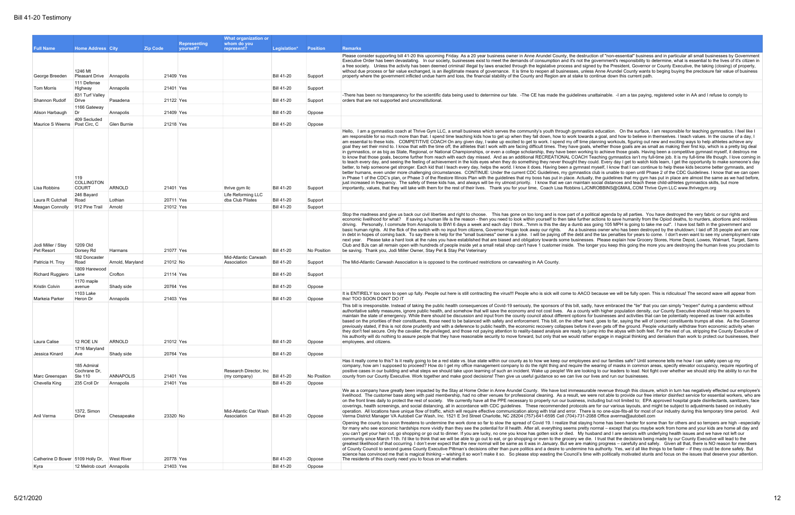| <b>Representing</b><br>whom do you<br><b>Zip Code</b><br><b>Full Name</b><br><b>Home Address City</b><br>vourself?<br>represent?<br>Legislation*<br><b>Position</b><br><b>Remarks</b><br>Please consider supporting bill 41-20 this upcoming Friday. As a 20 year business owner in Anne Arundel County, the destruction of "non-essential" business and in particular all small businesses by Government<br>Executive Order has been devastating. In our society, businesses exist to meet the demands of consumption and it's not the government's responsibility to determine, what is essential to the lives of it's citizen in<br>a free society. Unless the activity has been deemed criminal/ illegal by laws enacted through the legislative process and signed by the President, Governor or County Executive, the taking (closing) of property,<br>1246 Mt<br>without due process or fair value exchanged, is an illegitimate means of governance. It is time to reopen all businesses, unless Anne Arundel County wants to beging buying the preclosure fair value of business<br>21409 Yes<br><b>Bill 41-20</b><br>property where the government inflicted undue harm and loss, the financial stability of the County and Region are at stake to continue down this current path.<br>George Breeden<br>Pleasant Drive Annapolis<br>Support<br>111 Defense<br>21401 Yes<br><b>Bill 41-20</b><br>Support<br>Tom Morris<br>Highway<br>Annapolis<br>831 Turf Valley<br>-There has been no transparency for the scientific data being used to determine our fate. -The CE has made the guidelines unattainable. -I am a tax paying, registered voter in AA and I refuse to comply to<br>Pasadena<br>21122 Yes<br><b>Bill 41-20</b><br>Support<br>orders that are not supported and unconstitutional.<br>Shannon Rudolf<br>Drive<br>1166 Gateway<br>21409 Yes<br><b>Bill 41-20</b><br>Oppose<br>Alison Harbaugh<br>ות<br>Annapolis<br>409 Secluded<br>21218 Yes<br><b>Bill 41-20</b><br>Maurice S Weems Post Circ, C<br>Glen Burnie<br>Oppose<br>Hello, I am a gymnastics coach at Thrive Gym LLC, a small business which serves the community's youth through gymnastics education. On the surface, I am responsible for teaching gymnastics. I feel like I<br>am responsible for so much more than that. I spend time teaching kids how to get up when they fall down, how to work towards a goal, and how to believe in themselves. I teach values. In the course of a day, I<br>am essential to these kids. COMPETITIVE COACH On any given day, I wake up excited to get to work. I spend my off time planning workouts, figuring out new and exciting ways to help athletes achieve any<br>goal they set their mind to. I know that with the time off, the athletes that I work with are facing difficult times. They have goals, whether those goals are as small as making their first kip, which is a pretty big deal<br>in gymnastics, or as big as State, Regional, or National Championships, or even a college scholarship, they have been working to achieve those goals. Having been a competitive gymnast myself, it destroys me<br>to know that those goals, become further from reach with each day missed. And as an additional RECREATIONAL COACH Teaching gymnastics isn't my full-time job. It is my full-time life though. I love coming in<br>to teach every day, and seeing the feeling of achievement in the kids eyes when they do something they never thought they could. Every day I get to watch kids learn, I get the opportunity to make someone's day<br>better, to help someone get stronger. Each kid that I teach every day, helps the world. I know it does. Having been a gymnast myself, I know that I can continue to help these kids become better gymnasts, and<br>better humans, even under more challenging circumstances. CONTINUE: Under the current CDC Guidelines, my gymnastics club is unable to open until Phase 2 of the CDC Guidelines. I know that we can open<br>in Phase 1 of the CDC's plan, or Phase 3 of the Restore Illinois Plan with the quidelines that my boss has put in place. Actually, the quidelines that my qym has put in place are almost the same as we had before,<br>119<br><b>COLLINGTON</b><br>just increased in frequency. The safety of these kids has, and always will be my utmost priority. I know that we can maintain social distances and teach these child-athletes gymnastics skills, but more<br>ARNOLD<br>21401 Yes<br><b>Bill 41-20</b><br>importantly, values, that they will take with them for the rest of their lives. Thank you for your time, Coach Lisa Robbins LJCNROBBINS@GMAIL.COM Thrive Gym LLC www.thrivegym.org<br><b>COURT</b><br>thrive gym llc<br>Support<br>Lisa Robbins<br>Life Reforming LLC<br>246 Bayard<br><b>Bill 41-20</b><br>Lothian<br>20711 Yes<br>dba Club Pilates<br>Support<br>Laura R Cutchall<br>Road<br>21012 Yes<br><b>Bill 41-20</b><br>Meagan Connolly<br>912 Pine Trail<br>Arnold<br>Support<br>Stop the madness and give us back our civil liberties and right to choose. This has gone on too long and is now part of a political agenda by all parties. You have destroyed the very fabric or our rights and<br>economic livelihood for what? If saving a human life is the reason - then you need to look within yourself to then take further actions to save humanity from the Opiod deaths, to murders, abortions and reckless<br>driving. Personally, I commute from Annapolis to BWI 6 days a week and each day I think"hmm is this the day a dumb ass going 105 MPH is going to take me out". I have lost faith in the government and<br>basic human rights. At the flick of the switch with no input from citizens, Governor Hogan took away our rights. As a business owner who has been destroyed by the shutdown; I laid off 35 people and am now<br>in debt in hopes of coming back. To say there is help for the "small business" owner is a joke. I will be paying off the debt and the tax penalties for years to come. I don't even want to see my unemployment rate<br>next year. Please take a hard look at the rules you have established that are biased and obligatory towards some businesses. Please explain how Grocery Stores, Home Depot, Lowes, Walmart, Target, Sams<br>1209 Old<br>Club and BJs can all remain open with hundreds of people inside yet a small retail shop can't have 1 customer inside. The longer you keep this going the more you are destroying the human lives you proclaim to<br>Jodi Miller / Stay<br>21077 Yes<br><b>Bill 41-20</b><br>No Position<br>be saving. Thank you, Jodi Miller Owner, Stay Pet & Stay Pet Veterinary<br>Dorsey Rd<br>Harmans<br>Pet Resort<br>Mid-Atlantic Carwash<br>182 Doncaster<br><b>Bill 41-20</b><br>Arnold, Maryland<br>21012 No<br>Support<br>The Mid-Atlantic Carwash Association is is opposed to the continued restrictions on carwashing in AA County.<br>Patricia H. Troy<br>Road<br>Association<br>1809 Harewood<br>21114 Yes<br><b>Bill 41-20</b><br>Crofton<br>Support<br>Richard Ruggiero<br>Lane<br>1170 maple<br><b>Bill 41-20</b><br>20764 Yes<br>Oppose<br>Shady side<br>Kristin Colvin<br>avenue<br>1103 Lake<br>It is ENTIRELY too soon to open up fully. People out here is still contracting the virus!!! People who is sick will come to AACO because we will be fully open. This is ridiculous! The second wave will appear from<br>21403 Yes<br><b>Bill 41-20</b><br>this! TOO SOON DON'T DO IT<br>Markeia Parker<br>Heron Dr<br>Annapolis<br>Oppose<br>This bill is irresponsible. Instead of taking the public health consequences of Covid-19 seriously, the sponsors of this bill, sadly, have embraced the *lie* that you can simply "reopen" during a pandemic without<br>authoritative safety measures, ignore public health, and somehow that will save the economy and not cost lives. As a county with higher population density, our County Executive should retain his powers to<br>maintain the state of emergency. While there should be discussion and input from the county council about different options for businesses and activities that can be potentially reopened as lower risk activities<br>based on the priorities of their constituents, those need to be balanced with safety and enforcement. This bill, on the other hand, goes to far, saying the will of (some) constituents trumps all else. As the Governor<br>previously stated, if this is not done prudently and with a deference to public health, the economic recovery collapses before it even gets off the ground. People voluntarily withdraw from economic activity when<br>they don't feel secure. Only the cavalier, the privileged, and those not paying attention to reality-based analysis are ready to jump into the abyss with both feet. For the rest of us, stripping the County Executive of<br>his authority will do nothing to assure people that they have reasonable security to move forward, but only that we would rather engage in magical thinking and denialism than work to protect our businesses, their<br>ARNOLD<br>21012 Yes<br><b>Bill 41-20</b><br>12 ROE LN<br>Oppose<br>employees, and citizens.<br>Laura Calise<br>1716 Maryland<br>Shady side<br>20764 Yes<br><b>Bill 41-20</b><br>Oppose<br>Jessica Kinard<br>Ave<br>Has it really come to this? Is it really going to be a red state vs. blue state within our county as to how we keep our employees and our families safe? Until someone tells me how I can safely open up my<br>185 Admiral<br>company, how am I supposed to proceed? How do I get my office management company to do the right thing and require the wearing of masks in common areas, specify elevator occupancy, require reporting of<br>positive cases in our building and what steps we should take upon learning of such an incident. Wake up people! We are looking to our leaders to lead. Not fight over whether we should strip the ability to run the<br>Research Director, Inc.<br>Cochrane Dr.<br>ANNAPOLIS<br>21401 Yes<br><b>Bill 41-20</b><br>No Position<br>Ste 110<br>county from our County Executive. Work together and make good decisions! Then give us useful guidance so we can live our lives and run our businesses.<br>Marc Greenspan<br>(my company)<br>21401 Yes<br><b>Bill 41-20</b><br>Oppose<br>Chevella King<br>235 Croll Dr<br>Annapolis<br>We as a company have greatly been impacted by the Stay at Home Order in Anne Arundel County. We have lost immeasurable revenue through this closure, which in turn has negatively effected our employee's<br>on the front lines daily to protect the rest of society. We currently have all the PPE necessary to properly run our business, including but not limited to; EPA approved hospital grade disinfectants, sanitizers, face<br>coverings, health screenings, and social distancing, all in accordance with CDC quidelines. These recommended protocols are for our various layouts, and might be subject to adjustments based on industry<br>1372, Simon<br>Mid-Atlantic Car Wash<br>operation. All locations have unique flow of traffic, which will require effective communication along with trial and error. There is no one-size-fits-all for most of our industry during this temporary time period. Anil<br>23320 No<br><b>Bill 41-20</b><br>Verma District Manager VA Autobell Car Wash, Inc. 1521 E 3rd Street Charlotte, NC 28204 (757)-641-6595 Cell (704)-731-2088 Office averma@autobell.com<br>Anil Verma<br>Drive<br>Chesapeake<br>Association<br>Oppose<br>Opening the county too soon threatens to undermine the work done so far to slow the spread of Covid 19. I realize that staying home has been harder for some than for others and so tempers are high -especially<br>for many who see economic hardships more vividly than they see the potential for ill health. After all, everything seems pretty normal – except that you maybe work from home and your kids are home all day and<br>you can't get your hair cut, go shopping or go out to dinner. If you are lucky, no one you know has gotten sick or died. My husband and I are seniors with underlying health issues and we have not left our<br>community since March 11th. I'd like to think that we will be able to go out to eat, or go shopping or even to the grocery we die. I trust that the decisions being made by our County Executive will lead to the<br>greatest likelihood of that occurring. I don't ever expect that the new normal will be same as it was in January. But we are making progress - carefully and safely. Given all that, there is NO reason for members<br>of County Council to second guess County Executive Pittman's decisions other than pure politics and a desire to undermine his authority. Yes, we'd all like things to be faster - if they could be done safely. But<br>science has convinced me that is magical thinking – wishing it so won't make it so. So please stop wasting the Council's time with politically motivated stunts and focus on the issues that deserve your attention.<br>Catherine D Bower 5109 Holly Dr, West River<br>20778 Yes<br><b>Bill 41-20</b><br>The residents of this county need you to focus on what matters.<br>Oppose<br>21403 Yes<br><b>Bill 41-20</b><br>Oppose<br>12 Melrob court Annapolis<br>Kyra |  |  | What organization or |  |                                                                                                                                                                                                                      |
|--------------------------------------------------------------------------------------------------------------------------------------------------------------------------------------------------------------------------------------------------------------------------------------------------------------------------------------------------------------------------------------------------------------------------------------------------------------------------------------------------------------------------------------------------------------------------------------------------------------------------------------------------------------------------------------------------------------------------------------------------------------------------------------------------------------------------------------------------------------------------------------------------------------------------------------------------------------------------------------------------------------------------------------------------------------------------------------------------------------------------------------------------------------------------------------------------------------------------------------------------------------------------------------------------------------------------------------------------------------------------------------------------------------------------------------------------------------------------------------------------------------------------------------------------------------------------------------------------------------------------------------------------------------------------------------------------------------------------------------------------------------------------------------------------------------------------------------------------------------------------------------------------------------------------------------------------------------------------------------------------------------------------------------------------------------------------------------------------------------------------------------------------------------------------------------------------------------------------------------------------------------------------------------------------------------------------------------------------------------------------------------------------------------------------------------------------------------------------------------------------------------------------------------------------------------------------------------------------------------------------------------------------------------------------------------------------------------------------------------------------------------------------------------------------------------------------------------------------------------------------------------------------------------------------------------------------------------------------------------------------------------------------------------------------------------------------------------------------------------------------------------------------------------------------------------------------------------------------------------------------------------------------------------------------------------------------------------------------------------------------------------------------------------------------------------------------------------------------------------------------------------------------------------------------------------------------------------------------------------------------------------------------------------------------------------------------------------------------------------------------------------------------------------------------------------------------------------------------------------------------------------------------------------------------------------------------------------------------------------------------------------------------------------------------------------------------------------------------------------------------------------------------------------------------------------------------------------------------------------------------------------------------------------------------------------------------------------------------------------------------------------------------------------------------------------------------------------------------------------------------------------------------------------------------------------------------------------------------------------------------------------------------------------------------------------------------------------------------------------------------------------------------------------------------------------------------------------------------------------------------------------------------------------------------------------------------------------------------------------------------------------------------------------------------------------------------------------------------------------------------------------------------------------------------------------------------------------------------------------------------------------------------------------------------------------------------------------------------------------------------------------------------------------------------------------------------------------------------------------------------------------------------------------------------------------------------------------------------------------------------------------------------------------------------------------------------------------------------------------------------------------------------------------------------------------------------------------------------------------------------------------------------------------------------------------------------------------------------------------------------------------------------------------------------------------------------------------------------------------------------------------------------------------------------------------------------------------------------------------------------------------------------------------------------------------------------------------------------------------------------------------------------------------------------------------------------------------------------------------------------------------------------------------------------------------------------------------------------------------------------------------------------------------------------------------------------------------------------------------------------------------------------------------------------------------------------------------------------------------------------------------------------------------------------------------------------------------------------------------------------------------------------------------------------------------------------------------------------------------------------------------------------------------------------------------------------------------------------------------------------------------------------------------------------------------------------------------------------------------------------------------------------------------------------------------------------------------------------------------------------------------------------------------------------------------------------------------------------------------------------------------------------------------------------------------------------------------------------------------------------------------------------------------------------------------------------------------------------------------------------------------------------------------------------------------------------------------------------------------------------------------------------------------------------------------------------------------------------------------------------------------------------------------------------------------------------------------------------------------------------------------------------------------------------------------------------------------------------------------------------------------------------------------------------------------------------------------------------------------------------------------------------------------------------------------------------------------------------------------------------------------------------------------------------------------------------------------------------------------------------------------------------------------------------------------------------------------------------------------------------------------------------------------------------------------------------------------------------------------------------------------------------------------------------------------------------------------------------------------------------------------------------------------------------------------------------------------------------------------------------------------------------------------------------------------------------------------------------------------------------------------------------------------------------------------------------------------------------------------------------------------------------------------------------------------------------------------------------------------------------------------------------------------------------------------------------------------------------------------------------------------------------------------------------------------------------------------------------------------------------------------------------------------------------------------------------------------------------------------------------------------------------------------------------------------------------------------------------------------------------------------------------------------------------------------------------------------------------------------------------------------------------------------------------------------------------------------------------------------------------------------------------------------------------------------------------------------------------------------------------------------------------------------------------------------------------------------------------------------------------------------------------------------------------------------------------------------------------------------------------------------------------------------------------------------------------------------------------------------------------------------------------------------------------------------------------------------------------------------------------------------------------------------------------------------------------------------------------------------------------------------------------------------------------------------------------------------------------------------------------------------------------------------------------------------------------------------------------------------------------------------------------------------------------------------------------------------------------------------------------------------------------------------------------------------------------------------------------------------------------------------------------------------------------------------------------------------------------------------------------------------------------------------------------------------------------------------------------------------------------------------------------------------------------------------------------------------------------------------------------------------------------------------------------------------------------------------------------------------------------------------------------------------------------------------------------------------------------------------------------------------------------------------------------------------------------------------------------------------------------------------------------------------------------------------------------------------------------------------------------------------------------------------------------------------------------------------------------------------------------------------------------------------------------------------------------------------------------------------------------------------------------------------------------------------------------------------------------------------------------------------------------------------------------------------------------------------------------------------------------------------------------------------------------------------------------------------------------------------------------------------------------------------------------------------------------------------------------------------------------------------------------------------------------------------------------------------------------------------------------------------------------------------------------------------------------------------------------|--|--|----------------------|--|----------------------------------------------------------------------------------------------------------------------------------------------------------------------------------------------------------------------|
|                                                                                                                                                                                                                                                                                                                                                                                                                                                                                                                                                                                                                                                                                                                                                                                                                                                                                                                                                                                                                                                                                                                                                                                                                                                                                                                                                                                                                                                                                                                                                                                                                                                                                                                                                                                                                                                                                                                                                                                                                                                                                                                                                                                                                                                                                                                                                                                                                                                                                                                                                                                                                                                                                                                                                                                                                                                                                                                                                                                                                                                                                                                                                                                                                                                                                                                                                                                                                                                                                                                                                                                                                                                                                                                                                                                                                                                                                                                                                                                                                                                                                                                                                                                                                                                                                                                                                                                                                                                                                                                                                                                                                                                                                                                                                                                                                                                                                                                                                                                                                                                                                                                                                                                                                                                                                                                                                                                                                                                                                                                                                                                                                                                                                                                                                                                                                                                                                                                                                                                                                                                                                                                                                                                                                                                                                                                                                                                                                                                                                                                                                                                                                                                                                                                                                                                                                                                                                                                                                                                                                                                                                                                                                                                                                                                                                                                                                                                                                                                                                                                                                                                                                                                                                                                                                                                                                                                                                                                                                                                                                                                                                                                                                                                                                                                                                                                                                                                                                                                                                                                                                                                                                                                                                                                                                                                                                                                                                                                                                                                                                                                                                                                                                                                                                                                                                                                                                                                                                                                                                                                                                                                                                                                                                                                                                                                                                                                                                                                                                                                                                                                                                                                                                                                                                                                                                                                                                                                                                                                                                                                                                                                                                                                                                                                                                                                                                                                                                                                                                                                                                                                                                                                                                                                                                                                                                                                                                                                                                                                                                                                                                                                                                                                                                                                                                                                                                                                                                                                                                                                                                                                                                                                                                                                                                                                                                                                                                                                                                                                                                                                                                                                                                                                                                                                                                                                                                                                                                                                                                                                                                                                                                                                                                                                                                                                                                                                                                                                                                                                                          |  |  |                      |  |                                                                                                                                                                                                                      |
|                                                                                                                                                                                                                                                                                                                                                                                                                                                                                                                                                                                                                                                                                                                                                                                                                                                                                                                                                                                                                                                                                                                                                                                                                                                                                                                                                                                                                                                                                                                                                                                                                                                                                                                                                                                                                                                                                                                                                                                                                                                                                                                                                                                                                                                                                                                                                                                                                                                                                                                                                                                                                                                                                                                                                                                                                                                                                                                                                                                                                                                                                                                                                                                                                                                                                                                                                                                                                                                                                                                                                                                                                                                                                                                                                                                                                                                                                                                                                                                                                                                                                                                                                                                                                                                                                                                                                                                                                                                                                                                                                                                                                                                                                                                                                                                                                                                                                                                                                                                                                                                                                                                                                                                                                                                                                                                                                                                                                                                                                                                                                                                                                                                                                                                                                                                                                                                                                                                                                                                                                                                                                                                                                                                                                                                                                                                                                                                                                                                                                                                                                                                                                                                                                                                                                                                                                                                                                                                                                                                                                                                                                                                                                                                                                                                                                                                                                                                                                                                                                                                                                                                                                                                                                                                                                                                                                                                                                                                                                                                                                                                                                                                                                                                                                                                                                                                                                                                                                                                                                                                                                                                                                                                                                                                                                                                                                                                                                                                                                                                                                                                                                                                                                                                                                                                                                                                                                                                                                                                                                                                                                                                                                                                                                                                                                                                                                                                                                                                                                                                                                                                                                                                                                                                                                                                                                                                                                                                                                                                                                                                                                                                                                                                                                                                                                                                                                                                                                                                                                                                                                                                                                                                                                                                                                                                                                                                                                                                                                                                                                                                                                                                                                                                                                                                                                                                                                                                                                                                                                                                                                                                                                                                                                                                                                                                                                                                                                                                                                                                                                                                                                                                                                                                                                                                                                                                                                                                                                                                                                                                                                                                                                                                                                                                                                                                                                                                                                                                                                                                                          |  |  |                      |  |                                                                                                                                                                                                                      |
|                                                                                                                                                                                                                                                                                                                                                                                                                                                                                                                                                                                                                                                                                                                                                                                                                                                                                                                                                                                                                                                                                                                                                                                                                                                                                                                                                                                                                                                                                                                                                                                                                                                                                                                                                                                                                                                                                                                                                                                                                                                                                                                                                                                                                                                                                                                                                                                                                                                                                                                                                                                                                                                                                                                                                                                                                                                                                                                                                                                                                                                                                                                                                                                                                                                                                                                                                                                                                                                                                                                                                                                                                                                                                                                                                                                                                                                                                                                                                                                                                                                                                                                                                                                                                                                                                                                                                                                                                                                                                                                                                                                                                                                                                                                                                                                                                                                                                                                                                                                                                                                                                                                                                                                                                                                                                                                                                                                                                                                                                                                                                                                                                                                                                                                                                                                                                                                                                                                                                                                                                                                                                                                                                                                                                                                                                                                                                                                                                                                                                                                                                                                                                                                                                                                                                                                                                                                                                                                                                                                                                                                                                                                                                                                                                                                                                                                                                                                                                                                                                                                                                                                                                                                                                                                                                                                                                                                                                                                                                                                                                                                                                                                                                                                                                                                                                                                                                                                                                                                                                                                                                                                                                                                                                                                                                                                                                                                                                                                                                                                                                                                                                                                                                                                                                                                                                                                                                                                                                                                                                                                                                                                                                                                                                                                                                                                                                                                                                                                                                                                                                                                                                                                                                                                                                                                                                                                                                                                                                                                                                                                                                                                                                                                                                                                                                                                                                                                                                                                                                                                                                                                                                                                                                                                                                                                                                                                                                                                                                                                                                                                                                                                                                                                                                                                                                                                                                                                                                                                                                                                                                                                                                                                                                                                                                                                                                                                                                                                                                                                                                                                                                                                                                                                                                                                                                                                                                                                                                                                                                                                                                                                                                                                                                                                                                                                                                                                                                                                                                                                                          |  |  |                      |  |                                                                                                                                                                                                                      |
|                                                                                                                                                                                                                                                                                                                                                                                                                                                                                                                                                                                                                                                                                                                                                                                                                                                                                                                                                                                                                                                                                                                                                                                                                                                                                                                                                                                                                                                                                                                                                                                                                                                                                                                                                                                                                                                                                                                                                                                                                                                                                                                                                                                                                                                                                                                                                                                                                                                                                                                                                                                                                                                                                                                                                                                                                                                                                                                                                                                                                                                                                                                                                                                                                                                                                                                                                                                                                                                                                                                                                                                                                                                                                                                                                                                                                                                                                                                                                                                                                                                                                                                                                                                                                                                                                                                                                                                                                                                                                                                                                                                                                                                                                                                                                                                                                                                                                                                                                                                                                                                                                                                                                                                                                                                                                                                                                                                                                                                                                                                                                                                                                                                                                                                                                                                                                                                                                                                                                                                                                                                                                                                                                                                                                                                                                                                                                                                                                                                                                                                                                                                                                                                                                                                                                                                                                                                                                                                                                                                                                                                                                                                                                                                                                                                                                                                                                                                                                                                                                                                                                                                                                                                                                                                                                                                                                                                                                                                                                                                                                                                                                                                                                                                                                                                                                                                                                                                                                                                                                                                                                                                                                                                                                                                                                                                                                                                                                                                                                                                                                                                                                                                                                                                                                                                                                                                                                                                                                                                                                                                                                                                                                                                                                                                                                                                                                                                                                                                                                                                                                                                                                                                                                                                                                                                                                                                                                                                                                                                                                                                                                                                                                                                                                                                                                                                                                                                                                                                                                                                                                                                                                                                                                                                                                                                                                                                                                                                                                                                                                                                                                                                                                                                                                                                                                                                                                                                                                                                                                                                                                                                                                                                                                                                                                                                                                                                                                                                                                                                                                                                                                                                                                                                                                                                                                                                                                                                                                                                                                                                                                                                                                                                                                                                                                                                                                                                                                                                                                                                                          |  |  |                      |  |                                                                                                                                                                                                                      |
|                                                                                                                                                                                                                                                                                                                                                                                                                                                                                                                                                                                                                                                                                                                                                                                                                                                                                                                                                                                                                                                                                                                                                                                                                                                                                                                                                                                                                                                                                                                                                                                                                                                                                                                                                                                                                                                                                                                                                                                                                                                                                                                                                                                                                                                                                                                                                                                                                                                                                                                                                                                                                                                                                                                                                                                                                                                                                                                                                                                                                                                                                                                                                                                                                                                                                                                                                                                                                                                                                                                                                                                                                                                                                                                                                                                                                                                                                                                                                                                                                                                                                                                                                                                                                                                                                                                                                                                                                                                                                                                                                                                                                                                                                                                                                                                                                                                                                                                                                                                                                                                                                                                                                                                                                                                                                                                                                                                                                                                                                                                                                                                                                                                                                                                                                                                                                                                                                                                                                                                                                                                                                                                                                                                                                                                                                                                                                                                                                                                                                                                                                                                                                                                                                                                                                                                                                                                                                                                                                                                                                                                                                                                                                                                                                                                                                                                                                                                                                                                                                                                                                                                                                                                                                                                                                                                                                                                                                                                                                                                                                                                                                                                                                                                                                                                                                                                                                                                                                                                                                                                                                                                                                                                                                                                                                                                                                                                                                                                                                                                                                                                                                                                                                                                                                                                                                                                                                                                                                                                                                                                                                                                                                                                                                                                                                                                                                                                                                                                                                                                                                                                                                                                                                                                                                                                                                                                                                                                                                                                                                                                                                                                                                                                                                                                                                                                                                                                                                                                                                                                                                                                                                                                                                                                                                                                                                                                                                                                                                                                                                                                                                                                                                                                                                                                                                                                                                                                                                                                                                                                                                                                                                                                                                                                                                                                                                                                                                                                                                                                                                                                                                                                                                                                                                                                                                                                                                                                                                                                                                                                                                                                                                                                                                                                                                                                                                                                                                                                                                                                                          |  |  |                      |  |                                                                                                                                                                                                                      |
|                                                                                                                                                                                                                                                                                                                                                                                                                                                                                                                                                                                                                                                                                                                                                                                                                                                                                                                                                                                                                                                                                                                                                                                                                                                                                                                                                                                                                                                                                                                                                                                                                                                                                                                                                                                                                                                                                                                                                                                                                                                                                                                                                                                                                                                                                                                                                                                                                                                                                                                                                                                                                                                                                                                                                                                                                                                                                                                                                                                                                                                                                                                                                                                                                                                                                                                                                                                                                                                                                                                                                                                                                                                                                                                                                                                                                                                                                                                                                                                                                                                                                                                                                                                                                                                                                                                                                                                                                                                                                                                                                                                                                                                                                                                                                                                                                                                                                                                                                                                                                                                                                                                                                                                                                                                                                                                                                                                                                                                                                                                                                                                                                                                                                                                                                                                                                                                                                                                                                                                                                                                                                                                                                                                                                                                                                                                                                                                                                                                                                                                                                                                                                                                                                                                                                                                                                                                                                                                                                                                                                                                                                                                                                                                                                                                                                                                                                                                                                                                                                                                                                                                                                                                                                                                                                                                                                                                                                                                                                                                                                                                                                                                                                                                                                                                                                                                                                                                                                                                                                                                                                                                                                                                                                                                                                                                                                                                                                                                                                                                                                                                                                                                                                                                                                                                                                                                                                                                                                                                                                                                                                                                                                                                                                                                                                                                                                                                                                                                                                                                                                                                                                                                                                                                                                                                                                                                                                                                                                                                                                                                                                                                                                                                                                                                                                                                                                                                                                                                                                                                                                                                                                                                                                                                                                                                                                                                                                                                                                                                                                                                                                                                                                                                                                                                                                                                                                                                                                                                                                                                                                                                                                                                                                                                                                                                                                                                                                                                                                                                                                                                                                                                                                                                                                                                                                                                                                                                                                                                                                                                                                                                                                                                                                                                                                                                                                                                                                                                                                                                                          |  |  |                      |  |                                                                                                                                                                                                                      |
|                                                                                                                                                                                                                                                                                                                                                                                                                                                                                                                                                                                                                                                                                                                                                                                                                                                                                                                                                                                                                                                                                                                                                                                                                                                                                                                                                                                                                                                                                                                                                                                                                                                                                                                                                                                                                                                                                                                                                                                                                                                                                                                                                                                                                                                                                                                                                                                                                                                                                                                                                                                                                                                                                                                                                                                                                                                                                                                                                                                                                                                                                                                                                                                                                                                                                                                                                                                                                                                                                                                                                                                                                                                                                                                                                                                                                                                                                                                                                                                                                                                                                                                                                                                                                                                                                                                                                                                                                                                                                                                                                                                                                                                                                                                                                                                                                                                                                                                                                                                                                                                                                                                                                                                                                                                                                                                                                                                                                                                                                                                                                                                                                                                                                                                                                                                                                                                                                                                                                                                                                                                                                                                                                                                                                                                                                                                                                                                                                                                                                                                                                                                                                                                                                                                                                                                                                                                                                                                                                                                                                                                                                                                                                                                                                                                                                                                                                                                                                                                                                                                                                                                                                                                                                                                                                                                                                                                                                                                                                                                                                                                                                                                                                                                                                                                                                                                                                                                                                                                                                                                                                                                                                                                                                                                                                                                                                                                                                                                                                                                                                                                                                                                                                                                                                                                                                                                                                                                                                                                                                                                                                                                                                                                                                                                                                                                                                                                                                                                                                                                                                                                                                                                                                                                                                                                                                                                                                                                                                                                                                                                                                                                                                                                                                                                                                                                                                                                                                                                                                                                                                                                                                                                                                                                                                                                                                                                                                                                                                                                                                                                                                                                                                                                                                                                                                                                                                                                                                                                                                                                                                                                                                                                                                                                                                                                                                                                                                                                                                                                                                                                                                                                                                                                                                                                                                                                                                                                                                                                                                                                                                                                                                                                                                                                                                                                                                                                                                                                                                                                                          |  |  |                      |  |                                                                                                                                                                                                                      |
|                                                                                                                                                                                                                                                                                                                                                                                                                                                                                                                                                                                                                                                                                                                                                                                                                                                                                                                                                                                                                                                                                                                                                                                                                                                                                                                                                                                                                                                                                                                                                                                                                                                                                                                                                                                                                                                                                                                                                                                                                                                                                                                                                                                                                                                                                                                                                                                                                                                                                                                                                                                                                                                                                                                                                                                                                                                                                                                                                                                                                                                                                                                                                                                                                                                                                                                                                                                                                                                                                                                                                                                                                                                                                                                                                                                                                                                                                                                                                                                                                                                                                                                                                                                                                                                                                                                                                                                                                                                                                                                                                                                                                                                                                                                                                                                                                                                                                                                                                                                                                                                                                                                                                                                                                                                                                                                                                                                                                                                                                                                                                                                                                                                                                                                                                                                                                                                                                                                                                                                                                                                                                                                                                                                                                                                                                                                                                                                                                                                                                                                                                                                                                                                                                                                                                                                                                                                                                                                                                                                                                                                                                                                                                                                                                                                                                                                                                                                                                                                                                                                                                                                                                                                                                                                                                                                                                                                                                                                                                                                                                                                                                                                                                                                                                                                                                                                                                                                                                                                                                                                                                                                                                                                                                                                                                                                                                                                                                                                                                                                                                                                                                                                                                                                                                                                                                                                                                                                                                                                                                                                                                                                                                                                                                                                                                                                                                                                                                                                                                                                                                                                                                                                                                                                                                                                                                                                                                                                                                                                                                                                                                                                                                                                                                                                                                                                                                                                                                                                                                                                                                                                                                                                                                                                                                                                                                                                                                                                                                                                                                                                                                                                                                                                                                                                                                                                                                                                                                                                                                                                                                                                                                                                                                                                                                                                                                                                                                                                                                                                                                                                                                                                                                                                                                                                                                                                                                                                                                                                                                                                                                                                                                                                                                                                                                                                                                                                                                                                                                                                                          |  |  |                      |  |                                                                                                                                                                                                                      |
|                                                                                                                                                                                                                                                                                                                                                                                                                                                                                                                                                                                                                                                                                                                                                                                                                                                                                                                                                                                                                                                                                                                                                                                                                                                                                                                                                                                                                                                                                                                                                                                                                                                                                                                                                                                                                                                                                                                                                                                                                                                                                                                                                                                                                                                                                                                                                                                                                                                                                                                                                                                                                                                                                                                                                                                                                                                                                                                                                                                                                                                                                                                                                                                                                                                                                                                                                                                                                                                                                                                                                                                                                                                                                                                                                                                                                                                                                                                                                                                                                                                                                                                                                                                                                                                                                                                                                                                                                                                                                                                                                                                                                                                                                                                                                                                                                                                                                                                                                                                                                                                                                                                                                                                                                                                                                                                                                                                                                                                                                                                                                                                                                                                                                                                                                                                                                                                                                                                                                                                                                                                                                                                                                                                                                                                                                                                                                                                                                                                                                                                                                                                                                                                                                                                                                                                                                                                                                                                                                                                                                                                                                                                                                                                                                                                                                                                                                                                                                                                                                                                                                                                                                                                                                                                                                                                                                                                                                                                                                                                                                                                                                                                                                                                                                                                                                                                                                                                                                                                                                                                                                                                                                                                                                                                                                                                                                                                                                                                                                                                                                                                                                                                                                                                                                                                                                                                                                                                                                                                                                                                                                                                                                                                                                                                                                                                                                                                                                                                                                                                                                                                                                                                                                                                                                                                                                                                                                                                                                                                                                                                                                                                                                                                                                                                                                                                                                                                                                                                                                                                                                                                                                                                                                                                                                                                                                                                                                                                                                                                                                                                                                                                                                                                                                                                                                                                                                                                                                                                                                                                                                                                                                                                                                                                                                                                                                                                                                                                                                                                                                                                                                                                                                                                                                                                                                                                                                                                                                                                                                                                                                                                                                                                                                                                                                                                                                                                                                                                                                                                                          |  |  |                      |  |                                                                                                                                                                                                                      |
|                                                                                                                                                                                                                                                                                                                                                                                                                                                                                                                                                                                                                                                                                                                                                                                                                                                                                                                                                                                                                                                                                                                                                                                                                                                                                                                                                                                                                                                                                                                                                                                                                                                                                                                                                                                                                                                                                                                                                                                                                                                                                                                                                                                                                                                                                                                                                                                                                                                                                                                                                                                                                                                                                                                                                                                                                                                                                                                                                                                                                                                                                                                                                                                                                                                                                                                                                                                                                                                                                                                                                                                                                                                                                                                                                                                                                                                                                                                                                                                                                                                                                                                                                                                                                                                                                                                                                                                                                                                                                                                                                                                                                                                                                                                                                                                                                                                                                                                                                                                                                                                                                                                                                                                                                                                                                                                                                                                                                                                                                                                                                                                                                                                                                                                                                                                                                                                                                                                                                                                                                                                                                                                                                                                                                                                                                                                                                                                                                                                                                                                                                                                                                                                                                                                                                                                                                                                                                                                                                                                                                                                                                                                                                                                                                                                                                                                                                                                                                                                                                                                                                                                                                                                                                                                                                                                                                                                                                                                                                                                                                                                                                                                                                                                                                                                                                                                                                                                                                                                                                                                                                                                                                                                                                                                                                                                                                                                                                                                                                                                                                                                                                                                                                                                                                                                                                                                                                                                                                                                                                                                                                                                                                                                                                                                                                                                                                                                                                                                                                                                                                                                                                                                                                                                                                                                                                                                                                                                                                                                                                                                                                                                                                                                                                                                                                                                                                                                                                                                                                                                                                                                                                                                                                                                                                                                                                                                                                                                                                                                                                                                                                                                                                                                                                                                                                                                                                                                                                                                                                                                                                                                                                                                                                                                                                                                                                                                                                                                                                                                                                                                                                                                                                                                                                                                                                                                                                                                                                                                                                                                                                                                                                                                                                                                                                                                                                                                                                                                                                                                                          |  |  |                      |  |                                                                                                                                                                                                                      |
|                                                                                                                                                                                                                                                                                                                                                                                                                                                                                                                                                                                                                                                                                                                                                                                                                                                                                                                                                                                                                                                                                                                                                                                                                                                                                                                                                                                                                                                                                                                                                                                                                                                                                                                                                                                                                                                                                                                                                                                                                                                                                                                                                                                                                                                                                                                                                                                                                                                                                                                                                                                                                                                                                                                                                                                                                                                                                                                                                                                                                                                                                                                                                                                                                                                                                                                                                                                                                                                                                                                                                                                                                                                                                                                                                                                                                                                                                                                                                                                                                                                                                                                                                                                                                                                                                                                                                                                                                                                                                                                                                                                                                                                                                                                                                                                                                                                                                                                                                                                                                                                                                                                                                                                                                                                                                                                                                                                                                                                                                                                                                                                                                                                                                                                                                                                                                                                                                                                                                                                                                                                                                                                                                                                                                                                                                                                                                                                                                                                                                                                                                                                                                                                                                                                                                                                                                                                                                                                                                                                                                                                                                                                                                                                                                                                                                                                                                                                                                                                                                                                                                                                                                                                                                                                                                                                                                                                                                                                                                                                                                                                                                                                                                                                                                                                                                                                                                                                                                                                                                                                                                                                                                                                                                                                                                                                                                                                                                                                                                                                                                                                                                                                                                                                                                                                                                                                                                                                                                                                                                                                                                                                                                                                                                                                                                                                                                                                                                                                                                                                                                                                                                                                                                                                                                                                                                                                                                                                                                                                                                                                                                                                                                                                                                                                                                                                                                                                                                                                                                                                                                                                                                                                                                                                                                                                                                                                                                                                                                                                                                                                                                                                                                                                                                                                                                                                                                                                                                                                                                                                                                                                                                                                                                                                                                                                                                                                                                                                                                                                                                                                                                                                                                                                                                                                                                                                                                                                                                                                                                                                                                                                                                                                                                                                                                                                                                                                                                                                                                                                                          |  |  |                      |  |                                                                                                                                                                                                                      |
|                                                                                                                                                                                                                                                                                                                                                                                                                                                                                                                                                                                                                                                                                                                                                                                                                                                                                                                                                                                                                                                                                                                                                                                                                                                                                                                                                                                                                                                                                                                                                                                                                                                                                                                                                                                                                                                                                                                                                                                                                                                                                                                                                                                                                                                                                                                                                                                                                                                                                                                                                                                                                                                                                                                                                                                                                                                                                                                                                                                                                                                                                                                                                                                                                                                                                                                                                                                                                                                                                                                                                                                                                                                                                                                                                                                                                                                                                                                                                                                                                                                                                                                                                                                                                                                                                                                                                                                                                                                                                                                                                                                                                                                                                                                                                                                                                                                                                                                                                                                                                                                                                                                                                                                                                                                                                                                                                                                                                                                                                                                                                                                                                                                                                                                                                                                                                                                                                                                                                                                                                                                                                                                                                                                                                                                                                                                                                                                                                                                                                                                                                                                                                                                                                                                                                                                                                                                                                                                                                                                                                                                                                                                                                                                                                                                                                                                                                                                                                                                                                                                                                                                                                                                                                                                                                                                                                                                                                                                                                                                                                                                                                                                                                                                                                                                                                                                                                                                                                                                                                                                                                                                                                                                                                                                                                                                                                                                                                                                                                                                                                                                                                                                                                                                                                                                                                                                                                                                                                                                                                                                                                                                                                                                                                                                                                                                                                                                                                                                                                                                                                                                                                                                                                                                                                                                                                                                                                                                                                                                                                                                                                                                                                                                                                                                                                                                                                                                                                                                                                                                                                                                                                                                                                                                                                                                                                                                                                                                                                                                                                                                                                                                                                                                                                                                                                                                                                                                                                                                                                                                                                                                                                                                                                                                                                                                                                                                                                                                                                                                                                                                                                                                                                                                                                                                                                                                                                                                                                                                                                                                                                                                                                                                                                                                                                                                                                                                                                                                                                                                                          |  |  |                      |  |                                                                                                                                                                                                                      |
|                                                                                                                                                                                                                                                                                                                                                                                                                                                                                                                                                                                                                                                                                                                                                                                                                                                                                                                                                                                                                                                                                                                                                                                                                                                                                                                                                                                                                                                                                                                                                                                                                                                                                                                                                                                                                                                                                                                                                                                                                                                                                                                                                                                                                                                                                                                                                                                                                                                                                                                                                                                                                                                                                                                                                                                                                                                                                                                                                                                                                                                                                                                                                                                                                                                                                                                                                                                                                                                                                                                                                                                                                                                                                                                                                                                                                                                                                                                                                                                                                                                                                                                                                                                                                                                                                                                                                                                                                                                                                                                                                                                                                                                                                                                                                                                                                                                                                                                                                                                                                                                                                                                                                                                                                                                                                                                                                                                                                                                                                                                                                                                                                                                                                                                                                                                                                                                                                                                                                                                                                                                                                                                                                                                                                                                                                                                                                                                                                                                                                                                                                                                                                                                                                                                                                                                                                                                                                                                                                                                                                                                                                                                                                                                                                                                                                                                                                                                                                                                                                                                                                                                                                                                                                                                                                                                                                                                                                                                                                                                                                                                                                                                                                                                                                                                                                                                                                                                                                                                                                                                                                                                                                                                                                                                                                                                                                                                                                                                                                                                                                                                                                                                                                                                                                                                                                                                                                                                                                                                                                                                                                                                                                                                                                                                                                                                                                                                                                                                                                                                                                                                                                                                                                                                                                                                                                                                                                                                                                                                                                                                                                                                                                                                                                                                                                                                                                                                                                                                                                                                                                                                                                                                                                                                                                                                                                                                                                                                                                                                                                                                                                                                                                                                                                                                                                                                                                                                                                                                                                                                                                                                                                                                                                                                                                                                                                                                                                                                                                                                                                                                                                                                                                                                                                                                                                                                                                                                                                                                                                                                                                                                                                                                                                                                                                                                                                                                                                                                                                                                                          |  |  |                      |  |                                                                                                                                                                                                                      |
|                                                                                                                                                                                                                                                                                                                                                                                                                                                                                                                                                                                                                                                                                                                                                                                                                                                                                                                                                                                                                                                                                                                                                                                                                                                                                                                                                                                                                                                                                                                                                                                                                                                                                                                                                                                                                                                                                                                                                                                                                                                                                                                                                                                                                                                                                                                                                                                                                                                                                                                                                                                                                                                                                                                                                                                                                                                                                                                                                                                                                                                                                                                                                                                                                                                                                                                                                                                                                                                                                                                                                                                                                                                                                                                                                                                                                                                                                                                                                                                                                                                                                                                                                                                                                                                                                                                                                                                                                                                                                                                                                                                                                                                                                                                                                                                                                                                                                                                                                                                                                                                                                                                                                                                                                                                                                                                                                                                                                                                                                                                                                                                                                                                                                                                                                                                                                                                                                                                                                                                                                                                                                                                                                                                                                                                                                                                                                                                                                                                                                                                                                                                                                                                                                                                                                                                                                                                                                                                                                                                                                                                                                                                                                                                                                                                                                                                                                                                                                                                                                                                                                                                                                                                                                                                                                                                                                                                                                                                                                                                                                                                                                                                                                                                                                                                                                                                                                                                                                                                                                                                                                                                                                                                                                                                                                                                                                                                                                                                                                                                                                                                                                                                                                                                                                                                                                                                                                                                                                                                                                                                                                                                                                                                                                                                                                                                                                                                                                                                                                                                                                                                                                                                                                                                                                                                                                                                                                                                                                                                                                                                                                                                                                                                                                                                                                                                                                                                                                                                                                                                                                                                                                                                                                                                                                                                                                                                                                                                                                                                                                                                                                                                                                                                                                                                                                                                                                                                                                                                                                                                                                                                                                                                                                                                                                                                                                                                                                                                                                                                                                                                                                                                                                                                                                                                                                                                                                                                                                                                                                                                                                                                                                                                                                                                                                                                                                                                                                                                                                                                                          |  |  |                      |  |                                                                                                                                                                                                                      |
|                                                                                                                                                                                                                                                                                                                                                                                                                                                                                                                                                                                                                                                                                                                                                                                                                                                                                                                                                                                                                                                                                                                                                                                                                                                                                                                                                                                                                                                                                                                                                                                                                                                                                                                                                                                                                                                                                                                                                                                                                                                                                                                                                                                                                                                                                                                                                                                                                                                                                                                                                                                                                                                                                                                                                                                                                                                                                                                                                                                                                                                                                                                                                                                                                                                                                                                                                                                                                                                                                                                                                                                                                                                                                                                                                                                                                                                                                                                                                                                                                                                                                                                                                                                                                                                                                                                                                                                                                                                                                                                                                                                                                                                                                                                                                                                                                                                                                                                                                                                                                                                                                                                                                                                                                                                                                                                                                                                                                                                                                                                                                                                                                                                                                                                                                                                                                                                                                                                                                                                                                                                                                                                                                                                                                                                                                                                                                                                                                                                                                                                                                                                                                                                                                                                                                                                                                                                                                                                                                                                                                                                                                                                                                                                                                                                                                                                                                                                                                                                                                                                                                                                                                                                                                                                                                                                                                                                                                                                                                                                                                                                                                                                                                                                                                                                                                                                                                                                                                                                                                                                                                                                                                                                                                                                                                                                                                                                                                                                                                                                                                                                                                                                                                                                                                                                                                                                                                                                                                                                                                                                                                                                                                                                                                                                                                                                                                                                                                                                                                                                                                                                                                                                                                                                                                                                                                                                                                                                                                                                                                                                                                                                                                                                                                                                                                                                                                                                                                                                                                                                                                                                                                                                                                                                                                                                                                                                                                                                                                                                                                                                                                                                                                                                                                                                                                                                                                                                                                                                                                                                                                                                                                                                                                                                                                                                                                                                                                                                                                                                                                                                                                                                                                                                                                                                                                                                                                                                                                                                                                                                                                                                                                                                                                                                                                                                                                                                                                                                                                                                                          |  |  |                      |  |                                                                                                                                                                                                                      |
|                                                                                                                                                                                                                                                                                                                                                                                                                                                                                                                                                                                                                                                                                                                                                                                                                                                                                                                                                                                                                                                                                                                                                                                                                                                                                                                                                                                                                                                                                                                                                                                                                                                                                                                                                                                                                                                                                                                                                                                                                                                                                                                                                                                                                                                                                                                                                                                                                                                                                                                                                                                                                                                                                                                                                                                                                                                                                                                                                                                                                                                                                                                                                                                                                                                                                                                                                                                                                                                                                                                                                                                                                                                                                                                                                                                                                                                                                                                                                                                                                                                                                                                                                                                                                                                                                                                                                                                                                                                                                                                                                                                                                                                                                                                                                                                                                                                                                                                                                                                                                                                                                                                                                                                                                                                                                                                                                                                                                                                                                                                                                                                                                                                                                                                                                                                                                                                                                                                                                                                                                                                                                                                                                                                                                                                                                                                                                                                                                                                                                                                                                                                                                                                                                                                                                                                                                                                                                                                                                                                                                                                                                                                                                                                                                                                                                                                                                                                                                                                                                                                                                                                                                                                                                                                                                                                                                                                                                                                                                                                                                                                                                                                                                                                                                                                                                                                                                                                                                                                                                                                                                                                                                                                                                                                                                                                                                                                                                                                                                                                                                                                                                                                                                                                                                                                                                                                                                                                                                                                                                                                                                                                                                                                                                                                                                                                                                                                                                                                                                                                                                                                                                                                                                                                                                                                                                                                                                                                                                                                                                                                                                                                                                                                                                                                                                                                                                                                                                                                                                                                                                                                                                                                                                                                                                                                                                                                                                                                                                                                                                                                                                                                                                                                                                                                                                                                                                                                                                                                                                                                                                                                                                                                                                                                                                                                                                                                                                                                                                                                                                                                                                                                                                                                                                                                                                                                                                                                                                                                                                                                                                                                                                                                                                                                                                                                                                                                                                                                                                                                                          |  |  |                      |  |                                                                                                                                                                                                                      |
|                                                                                                                                                                                                                                                                                                                                                                                                                                                                                                                                                                                                                                                                                                                                                                                                                                                                                                                                                                                                                                                                                                                                                                                                                                                                                                                                                                                                                                                                                                                                                                                                                                                                                                                                                                                                                                                                                                                                                                                                                                                                                                                                                                                                                                                                                                                                                                                                                                                                                                                                                                                                                                                                                                                                                                                                                                                                                                                                                                                                                                                                                                                                                                                                                                                                                                                                                                                                                                                                                                                                                                                                                                                                                                                                                                                                                                                                                                                                                                                                                                                                                                                                                                                                                                                                                                                                                                                                                                                                                                                                                                                                                                                                                                                                                                                                                                                                                                                                                                                                                                                                                                                                                                                                                                                                                                                                                                                                                                                                                                                                                                                                                                                                                                                                                                                                                                                                                                                                                                                                                                                                                                                                                                                                                                                                                                                                                                                                                                                                                                                                                                                                                                                                                                                                                                                                                                                                                                                                                                                                                                                                                                                                                                                                                                                                                                                                                                                                                                                                                                                                                                                                                                                                                                                                                                                                                                                                                                                                                                                                                                                                                                                                                                                                                                                                                                                                                                                                                                                                                                                                                                                                                                                                                                                                                                                                                                                                                                                                                                                                                                                                                                                                                                                                                                                                                                                                                                                                                                                                                                                                                                                                                                                                                                                                                                                                                                                                                                                                                                                                                                                                                                                                                                                                                                                                                                                                                                                                                                                                                                                                                                                                                                                                                                                                                                                                                                                                                                                                                                                                                                                                                                                                                                                                                                                                                                                                                                                                                                                                                                                                                                                                                                                                                                                                                                                                                                                                                                                                                                                                                                                                                                                                                                                                                                                                                                                                                                                                                                                                                                                                                                                                                                                                                                                                                                                                                                                                                                                                                                                                                                                                                                                                                                                                                                                                                                                                                                                                                                                                          |  |  |                      |  |                                                                                                                                                                                                                      |
|                                                                                                                                                                                                                                                                                                                                                                                                                                                                                                                                                                                                                                                                                                                                                                                                                                                                                                                                                                                                                                                                                                                                                                                                                                                                                                                                                                                                                                                                                                                                                                                                                                                                                                                                                                                                                                                                                                                                                                                                                                                                                                                                                                                                                                                                                                                                                                                                                                                                                                                                                                                                                                                                                                                                                                                                                                                                                                                                                                                                                                                                                                                                                                                                                                                                                                                                                                                                                                                                                                                                                                                                                                                                                                                                                                                                                                                                                                                                                                                                                                                                                                                                                                                                                                                                                                                                                                                                                                                                                                                                                                                                                                                                                                                                                                                                                                                                                                                                                                                                                                                                                                                                                                                                                                                                                                                                                                                                                                                                                                                                                                                                                                                                                                                                                                                                                                                                                                                                                                                                                                                                                                                                                                                                                                                                                                                                                                                                                                                                                                                                                                                                                                                                                                                                                                                                                                                                                                                                                                                                                                                                                                                                                                                                                                                                                                                                                                                                                                                                                                                                                                                                                                                                                                                                                                                                                                                                                                                                                                                                                                                                                                                                                                                                                                                                                                                                                                                                                                                                                                                                                                                                                                                                                                                                                                                                                                                                                                                                                                                                                                                                                                                                                                                                                                                                                                                                                                                                                                                                                                                                                                                                                                                                                                                                                                                                                                                                                                                                                                                                                                                                                                                                                                                                                                                                                                                                                                                                                                                                                                                                                                                                                                                                                                                                                                                                                                                                                                                                                                                                                                                                                                                                                                                                                                                                                                                                                                                                                                                                                                                                                                                                                                                                                                                                                                                                                                                                                                                                                                                                                                                                                                                                                                                                                                                                                                                                                                                                                                                                                                                                                                                                                                                                                                                                                                                                                                                                                                                                                                                                                                                                                                                                                                                                                                                                                                                                                                                                                                                                          |  |  |                      |  |                                                                                                                                                                                                                      |
|                                                                                                                                                                                                                                                                                                                                                                                                                                                                                                                                                                                                                                                                                                                                                                                                                                                                                                                                                                                                                                                                                                                                                                                                                                                                                                                                                                                                                                                                                                                                                                                                                                                                                                                                                                                                                                                                                                                                                                                                                                                                                                                                                                                                                                                                                                                                                                                                                                                                                                                                                                                                                                                                                                                                                                                                                                                                                                                                                                                                                                                                                                                                                                                                                                                                                                                                                                                                                                                                                                                                                                                                                                                                                                                                                                                                                                                                                                                                                                                                                                                                                                                                                                                                                                                                                                                                                                                                                                                                                                                                                                                                                                                                                                                                                                                                                                                                                                                                                                                                                                                                                                                                                                                                                                                                                                                                                                                                                                                                                                                                                                                                                                                                                                                                                                                                                                                                                                                                                                                                                                                                                                                                                                                                                                                                                                                                                                                                                                                                                                                                                                                                                                                                                                                                                                                                                                                                                                                                                                                                                                                                                                                                                                                                                                                                                                                                                                                                                                                                                                                                                                                                                                                                                                                                                                                                                                                                                                                                                                                                                                                                                                                                                                                                                                                                                                                                                                                                                                                                                                                                                                                                                                                                                                                                                                                                                                                                                                                                                                                                                                                                                                                                                                                                                                                                                                                                                                                                                                                                                                                                                                                                                                                                                                                                                                                                                                                                                                                                                                                                                                                                                                                                                                                                                                                                                                                                                                                                                                                                                                                                                                                                                                                                                                                                                                                                                                                                                                                                                                                                                                                                                                                                                                                                                                                                                                                                                                                                                                                                                                                                                                                                                                                                                                                                                                                                                                                                                                                                                                                                                                                                                                                                                                                                                                                                                                                                                                                                                                                                                                                                                                                                                                                                                                                                                                                                                                                                                                                                                                                                                                                                                                                                                                                                                                                                                                                                                                                                                                                                          |  |  |                      |  |                                                                                                                                                                                                                      |
|                                                                                                                                                                                                                                                                                                                                                                                                                                                                                                                                                                                                                                                                                                                                                                                                                                                                                                                                                                                                                                                                                                                                                                                                                                                                                                                                                                                                                                                                                                                                                                                                                                                                                                                                                                                                                                                                                                                                                                                                                                                                                                                                                                                                                                                                                                                                                                                                                                                                                                                                                                                                                                                                                                                                                                                                                                                                                                                                                                                                                                                                                                                                                                                                                                                                                                                                                                                                                                                                                                                                                                                                                                                                                                                                                                                                                                                                                                                                                                                                                                                                                                                                                                                                                                                                                                                                                                                                                                                                                                                                                                                                                                                                                                                                                                                                                                                                                                                                                                                                                                                                                                                                                                                                                                                                                                                                                                                                                                                                                                                                                                                                                                                                                                                                                                                                                                                                                                                                                                                                                                                                                                                                                                                                                                                                                                                                                                                                                                                                                                                                                                                                                                                                                                                                                                                                                                                                                                                                                                                                                                                                                                                                                                                                                                                                                                                                                                                                                                                                                                                                                                                                                                                                                                                                                                                                                                                                                                                                                                                                                                                                                                                                                                                                                                                                                                                                                                                                                                                                                                                                                                                                                                                                                                                                                                                                                                                                                                                                                                                                                                                                                                                                                                                                                                                                                                                                                                                                                                                                                                                                                                                                                                                                                                                                                                                                                                                                                                                                                                                                                                                                                                                                                                                                                                                                                                                                                                                                                                                                                                                                                                                                                                                                                                                                                                                                                                                                                                                                                                                                                                                                                                                                                                                                                                                                                                                                                                                                                                                                                                                                                                                                                                                                                                                                                                                                                                                                                                                                                                                                                                                                                                                                                                                                                                                                                                                                                                                                                                                                                                                                                                                                                                                                                                                                                                                                                                                                                                                                                                                                                                                                                                                                                                                                                                                                                                                                                                                                                                                                          |  |  |                      |  |                                                                                                                                                                                                                      |
|                                                                                                                                                                                                                                                                                                                                                                                                                                                                                                                                                                                                                                                                                                                                                                                                                                                                                                                                                                                                                                                                                                                                                                                                                                                                                                                                                                                                                                                                                                                                                                                                                                                                                                                                                                                                                                                                                                                                                                                                                                                                                                                                                                                                                                                                                                                                                                                                                                                                                                                                                                                                                                                                                                                                                                                                                                                                                                                                                                                                                                                                                                                                                                                                                                                                                                                                                                                                                                                                                                                                                                                                                                                                                                                                                                                                                                                                                                                                                                                                                                                                                                                                                                                                                                                                                                                                                                                                                                                                                                                                                                                                                                                                                                                                                                                                                                                                                                                                                                                                                                                                                                                                                                                                                                                                                                                                                                                                                                                                                                                                                                                                                                                                                                                                                                                                                                                                                                                                                                                                                                                                                                                                                                                                                                                                                                                                                                                                                                                                                                                                                                                                                                                                                                                                                                                                                                                                                                                                                                                                                                                                                                                                                                                                                                                                                                                                                                                                                                                                                                                                                                                                                                                                                                                                                                                                                                                                                                                                                                                                                                                                                                                                                                                                                                                                                                                                                                                                                                                                                                                                                                                                                                                                                                                                                                                                                                                                                                                                                                                                                                                                                                                                                                                                                                                                                                                                                                                                                                                                                                                                                                                                                                                                                                                                                                                                                                                                                                                                                                                                                                                                                                                                                                                                                                                                                                                                                                                                                                                                                                                                                                                                                                                                                                                                                                                                                                                                                                                                                                                                                                                                                                                                                                                                                                                                                                                                                                                                                                                                                                                                                                                                                                                                                                                                                                                                                                                                                                                                                                                                                                                                                                                                                                                                                                                                                                                                                                                                                                                                                                                                                                                                                                                                                                                                                                                                                                                                                                                                                                                                                                                                                                                                                                                                                                                                                                                                                                                                                                                                          |  |  |                      |  | livelihood. The customer base along with paid membership, had no other venues for professional cleaning. As a result, we were not able to provide our free interior disinfect service for essential workers, who are |
|                                                                                                                                                                                                                                                                                                                                                                                                                                                                                                                                                                                                                                                                                                                                                                                                                                                                                                                                                                                                                                                                                                                                                                                                                                                                                                                                                                                                                                                                                                                                                                                                                                                                                                                                                                                                                                                                                                                                                                                                                                                                                                                                                                                                                                                                                                                                                                                                                                                                                                                                                                                                                                                                                                                                                                                                                                                                                                                                                                                                                                                                                                                                                                                                                                                                                                                                                                                                                                                                                                                                                                                                                                                                                                                                                                                                                                                                                                                                                                                                                                                                                                                                                                                                                                                                                                                                                                                                                                                                                                                                                                                                                                                                                                                                                                                                                                                                                                                                                                                                                                                                                                                                                                                                                                                                                                                                                                                                                                                                                                                                                                                                                                                                                                                                                                                                                                                                                                                                                                                                                                                                                                                                                                                                                                                                                                                                                                                                                                                                                                                                                                                                                                                                                                                                                                                                                                                                                                                                                                                                                                                                                                                                                                                                                                                                                                                                                                                                                                                                                                                                                                                                                                                                                                                                                                                                                                                                                                                                                                                                                                                                                                                                                                                                                                                                                                                                                                                                                                                                                                                                                                                                                                                                                                                                                                                                                                                                                                                                                                                                                                                                                                                                                                                                                                                                                                                                                                                                                                                                                                                                                                                                                                                                                                                                                                                                                                                                                                                                                                                                                                                                                                                                                                                                                                                                                                                                                                                                                                                                                                                                                                                                                                                                                                                                                                                                                                                                                                                                                                                                                                                                                                                                                                                                                                                                                                                                                                                                                                                                                                                                                                                                                                                                                                                                                                                                                                                                                                                                                                                                                                                                                                                                                                                                                                                                                                                                                                                                                                                                                                                                                                                                                                                                                                                                                                                                                                                                                                                                                                                                                                                                                                                                                                                                                                                                                                                                                                                                                                                                          |  |  |                      |  |                                                                                                                                                                                                                      |
|                                                                                                                                                                                                                                                                                                                                                                                                                                                                                                                                                                                                                                                                                                                                                                                                                                                                                                                                                                                                                                                                                                                                                                                                                                                                                                                                                                                                                                                                                                                                                                                                                                                                                                                                                                                                                                                                                                                                                                                                                                                                                                                                                                                                                                                                                                                                                                                                                                                                                                                                                                                                                                                                                                                                                                                                                                                                                                                                                                                                                                                                                                                                                                                                                                                                                                                                                                                                                                                                                                                                                                                                                                                                                                                                                                                                                                                                                                                                                                                                                                                                                                                                                                                                                                                                                                                                                                                                                                                                                                                                                                                                                                                                                                                                                                                                                                                                                                                                                                                                                                                                                                                                                                                                                                                                                                                                                                                                                                                                                                                                                                                                                                                                                                                                                                                                                                                                                                                                                                                                                                                                                                                                                                                                                                                                                                                                                                                                                                                                                                                                                                                                                                                                                                                                                                                                                                                                                                                                                                                                                                                                                                                                                                                                                                                                                                                                                                                                                                                                                                                                                                                                                                                                                                                                                                                                                                                                                                                                                                                                                                                                                                                                                                                                                                                                                                                                                                                                                                                                                                                                                                                                                                                                                                                                                                                                                                                                                                                                                                                                                                                                                                                                                                                                                                                                                                                                                                                                                                                                                                                                                                                                                                                                                                                                                                                                                                                                                                                                                                                                                                                                                                                                                                                                                                                                                                                                                                                                                                                                                                                                                                                                                                                                                                                                                                                                                                                                                                                                                                                                                                                                                                                                                                                                                                                                                                                                                                                                                                                                                                                                                                                                                                                                                                                                                                                                                                                                                                                                                                                                                                                                                                                                                                                                                                                                                                                                                                                                                                                                                                                                                                                                                                                                                                                                                                                                                                                                                                                                                                                                                                                                                                                                                                                                                                                                                                                                                                                                                                                                          |  |  |                      |  |                                                                                                                                                                                                                      |